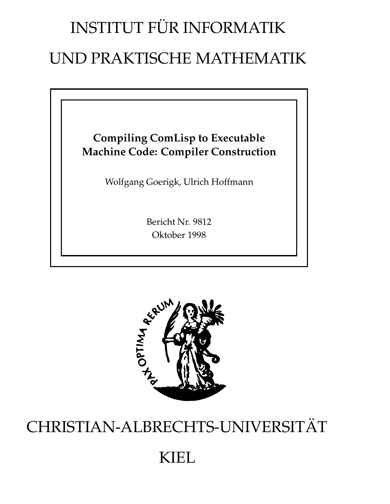# INSTITUT FÜR INFORMATIK UND PRAKTISCHE MATHEMATIK

**Compiling ComLisp to Executable Machine Code: Compiler Construction**

Wolfgang Goerigk, Ulrich Hoffmann

Bericht Nr. 9812 Oktober 1998



# CHRISTIAN-ALBRECHTS-UNIVERSITAT¨

# KIEL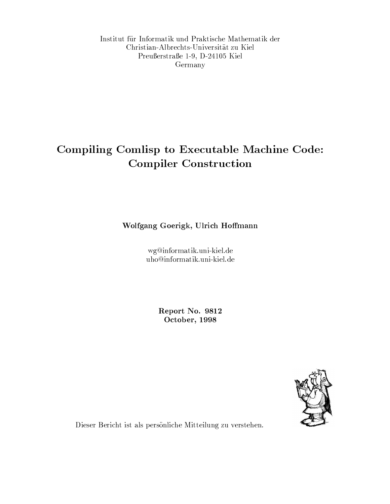Institut für Informatik und Praktische Mathematik der Christian-Albrechts-Universität zu Kiel Preußerstraße 1-9, D-24105 Kiel Germany

### Compiling Comlisp to Executable Machine Code: **Compiler Construction**

Wolfgang Goerigk, Ulrich Hoffmann

wg@informatik.uni-kiel.de uho@informatik.uni-kiel.de

> Report No. 9812 October, 1998



Dieser Bericht ist als persönliche Mitteilung zu verstehen.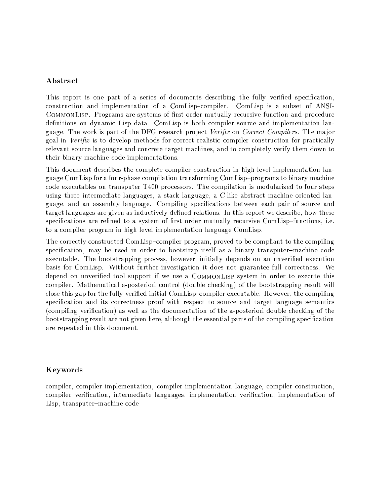### Abstract

This report is one part of a series of documents describing the fully verified specification, construction and implementation of a ComLisp-compiler. ComLisp is a subset of ANSI-COMMONLISP. Programs are systems of first order mutually recursive function and procedure definitions on dynamic Lisp data. ComLisp is both compiler source and implementation language. The work is part of the DFG research project Verifix on Correct Compilers. The major goal in Verifix is to develop methods for correct realistic compiler construction for practically relevant source languages and concrete target machines, and to completely verify them down to their binary machine code implementations.

This document describes the complete compiler construction in high level implementation language ComLisp for a four-phase compilation transforming ComLisp-programs to binary machine code executables on transputer T400 processors. The compilation is modularized to four steps using three intermediate languages, a stack language, a C-like abstract machine oriented language, and an assembly language. Compiling specifications between each pair of source and target languages are given as inductively defined relations. In this report we describe, how these specifications are refined to a system of first order mutually recursive ComLisp-functions, i.e. to a compiler program in high level implementation language ComLisp.

The correctly constructed ComLisp-compiler program, proved to be compliant to the compiling specification, may be used in order to bootstrap itself as a binary transputer-machine code executable. The bootstrapping process, however, initially depends on an unverified execution basis for ComLisp. Without further investigation it does not guarantee full correctness. We depend on unverified tool support if we use a COMMONLISP system in order to execute this compiler. Mathematical a-posteriori control (double checking) of the bootstrapping result will close this gap for the fully verified initial ComLisp-compiler executable. However, the compiling specification and its correctness proof with respect to source and target language semantics (compiling verification) as well as the documentation of the a-posteriori double checking of the bootstrapping result are not given here, although the essential parts of the compiling specification are repeated in this document.

### Keywords

compiler, compiler implementation, compiler implementation language, compiler construction, compiler verification, intermediate languages, implementation verification, implementation of Lisp, transputer-machine code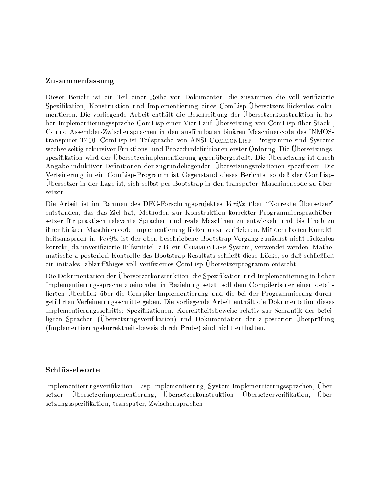### Zusammenfassung

Dieser Bericht ist ein Teil einer Reihe von Dokumenten, die zusammen die voll verifizierte Spezifikation, Konstruktion und Implementierung eines ComLisp-Übersetzers lückenlos dokumentieren. Die vorliegende Arbeit enthält die Beschreibung der Übersetzerkonstruktion in hoher Implementierungssprache ComLisp einer Vier-Lauf-Übersetzung von ComLisp über Stack-, C- und Assembler-Zwischensprachen in den ausführbaren binären Maschinencode des INMOStransputer T400. ComLisp ist Teilsprache von ANSI-COMMONLISP. Programme sind Systeme wechselseitig rekursiver Funktions- und Prozedurdefinitionen erster Ordnung. Die Übersetzungsspezifikation wird der Übersetzerimplementierung gegenübergestellt. Die Übersetzung ist durch Angabe induktiver Definitionen der zugrundeliegenden Übersetzungsrelationen spezifiziert. Die Verfeinerung in ein ComLisp-Programm ist Gegenstand dieses Berichts, so daß der ComLisp-Übersetzer in der Lage ist, sich selbst per Bootstrap in den transputer-Maschinencode zu übersetzen.

Die Arbeit ist im Rahmen des DFG-Forschungsprojektes Verifix über "Korrekte Übersetzer" entstanden, das das Ziel hat, Methoden zur Konstruktion korrekter Programmiersprachübersetzer für praktisch relevante Sprachen und reale Maschinen zu entwickeln und bis hinab zu ihrer binären Maschinencode-Implementierung lückenlos zu verifizieren. Mit dem hohen Korrektheitsanspruch in Verifix ist der oben beschriebene Bootstrap-Vorgang zunächst nicht lückenlos korrekt, da unverifizierte Hilfsmittel, z.B. ein COMMONLISP-System, verwendet werden. Mathematische a-posteriori-Kontrolle des Bootstrap-Resultats schließt diese Lücke, so daß schließlich ein initiales, ablauffähiges voll verifiziertes ComLisp-Übersetzerprogramm entsteht.

Die Dokumentation der Übersetzerkonstruktion, die Spezifikation und Implementierung in hoher Implementierungssprache zueinander in Beziehung setzt, soll dem Compilerbauer einen detaillierten Überblick über die Compiler-Implementierung und die bei der Programmierung durchgeführten Verfeinerungsschritte geben. Die vorliegende Arbeit enthält die Dokumentation dieses Implementierungsschritts; Spezifikationen. Korrektheitsbeweise relativ zur Semantik der beteiligten Sprachen (Übersetzungsverifikation) und Dokumentation der a-posteriori-Überprüfung (Implementierungskorrektheitsbeweis durch Probe) sind nicht enthalten.

### Schlüsselworte

Implementierungsverifikation, Lisp-Implementierung, System-Implementierungssprachen, Übersetzer, Übersetzerimplementierung, Übersetzerkonstruktion, Übersetzerverifikation, Übersetzungsspezifikation, transputer, Zwischensprachen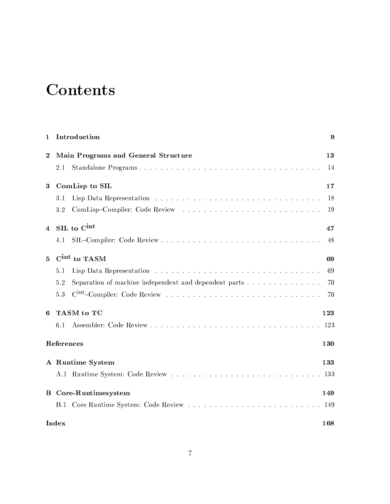## Contents

| 1              | Introduction                                                 | 9   |  |  |  |
|----------------|--------------------------------------------------------------|-----|--|--|--|
| $\bf{2}$       | Main Programs and General Structure                          | 13  |  |  |  |
|                | 2.1                                                          | 14  |  |  |  |
| 3              | ComLisp to SIL<br>17                                         |     |  |  |  |
|                | 3.1                                                          | 18  |  |  |  |
|                | 3.2                                                          | 19  |  |  |  |
| $\overline{4}$ | SIL to Cint                                                  | 47  |  |  |  |
|                | 4.1                                                          | 48  |  |  |  |
| $\mathbf{5}$   | $Cint$ to TASM                                               | 69  |  |  |  |
|                | 5.1                                                          | 69  |  |  |  |
|                | Separation of machine independent and dependent parts<br>5.2 | 70  |  |  |  |
|                | 5.3                                                          | 70  |  |  |  |
| 6              | TASM to TC<br>123                                            |     |  |  |  |
|                | 6.1                                                          | 123 |  |  |  |
|                | References<br>130                                            |     |  |  |  |
|                | A Runtime System                                             | 133 |  |  |  |
|                |                                                              | 133 |  |  |  |
|                | <b>B</b> Core-Runtimesystem                                  | 149 |  |  |  |
|                | <b>B.1</b>                                                   | 149 |  |  |  |
|                | Index                                                        | 168 |  |  |  |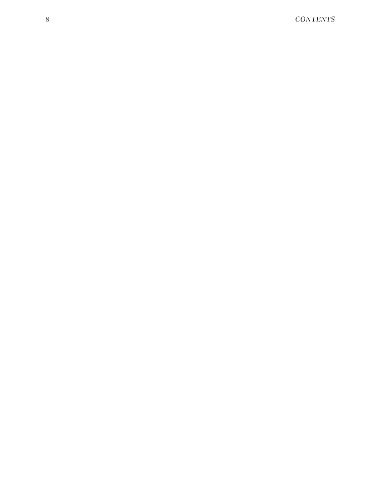### $CONTENTS$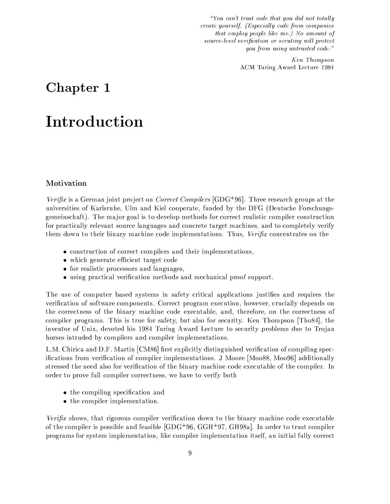"You can't trust code that you did not totally create yourself. (Especially code from companies that employ people like me.) No amount of source-level verification or scrutiny will protect you from using untrusted code."

> Ken Thompson ACM Turing Award Lecture 1984

### Chapter 1

## Introduction

### Motivation

Verifix is a German joint project on Correct Compilers [GDG+96]. Three research groups at the universities of Karlsruhe, Ulm and Kiel cooperate, funded by the DFG (Deutsche Forschungsgemeinschaft). The major goal is to develop methods for correct realistic compiler construction for practically relevant source languages and concrete target machines, and to completely verify them down to their binary machine code implementations. Thus, Verifix concentrates on the

- construction of correct compilers and their implementations,
- which generate efficient target code
- for realistic processors and languages,
- using practical verification methods and mechanical proof support.

The use of computer based systems in safety critical applications justifies and requires the verification of software components. Correct program execution, however, crucially depends on the correctness of the binary machine code executable, and, therefore, on the correctness of compiler programs. This is true for safety, but also for security. Ken Thompson [Tho84], the inventor of Unix, devoted his 1984 Turing Award Lecture to security problems due to Trojan horses intruded by compilers and compiler implementations.

L.M. Chirica and D.F. Martin [CM86] first explicitly distinguished verification of compiling specifications from verification of compiler implementations. J Moore [Moo88, Moo96] additionally stressed the need also for verification of the binary machine code executable of the compiler. In order to prove full compiler correctness, we have to verify both

- the compiling specification and
- $\bullet$  the compiler implementation.

Verifix shows, that rigorous compiler verification down to the binary machine code executable of the compiler is possible and feasible  $[GDG+96, GGH+97, GH98a]$ . In order to trust compiler programs for system implementation, like compiler implementation itself, an initial fully correct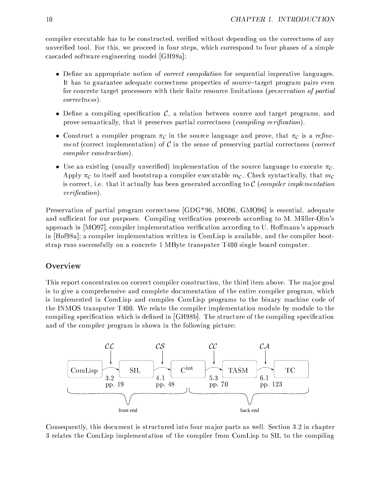compiler executable has to be constructed, verified without depending on the correctness of any unverified tool. For this, we proceed in four steps, which correspond to four phases of a simple cascaded software engineering model [GH98a]:

- Define an appropriate notion of *correct compilation* for sequential imperative languages. It has to guarantee adequate correctness properties of source-target program pairs even for concrete target processors with their finite resource limitations (preservation of partial  $correctness$ ).
- Define a compiling specification  $\mathcal{C}$ , a relation between source and target programs, and prove semantically, that it preserves partial correctness (compiling verification).
- Construct a compiler program  $\pi_c$  in the source language and prove, that  $\pi_c$  is a refine*ment* (correct implementation) of C in the sense of preserving partial correctness (*correct compiler construction*).
- Use an existing (usually unverified) implementation of the source language to execute  $\pi_c$ . Apply  $\pi_{\mathcal{C}}$  to itself and bootstrap a compiler executable  $m_{\mathcal{C}}$ . Check syntactically, that  $m_{\mathcal{C}}$ is correct, i.e. that it actually has been generated according to  $\mathcal C$  (compiler implementation  $verification$ ).

Preservation of partial program correctness  $[GDG^{+}96, MO96, GMO96]$  is essential, adequate and sufficient for our purposes. Compiling verification proceeds according to M. Müller-Olm's approach in [MO97], compiler implementation verification according to U. Hoffmann's approach in [Hof98a]; a compiler implementation written in ComLisp is available, and the compiler bootstrap runs successfully on a concrete  $1$  MByte transputer T400 single board computer.

### Overview

This report concentrates on correct compiler construction, the third item above. The major goal is to give a comprehensive and complete documentation of the entire compiler program, which is implemented in ComLisp and compiles ComLisp programs to the binary machine code of the INMOS transputer T400. We relate the compiler implementation module by module to the compiling specification which is defined in [GH98b]. The structure of the compiling specification and of the compiler program is shown in the following picture:



Consequently, this document is structured into four major parts as well. Section 3.2 in chapter 3 relates the ComLisp implementation of the compiler from ComLisp to SIL to the compiling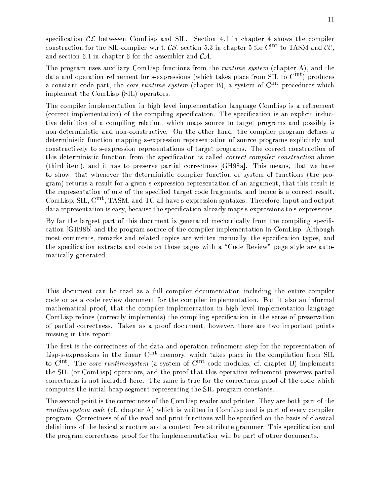specification  $CL$  between ComLisp and SIL. Section 4.1 in chapter 4 shows the compiler construction for the SIL-compiler w.r.t.  $\mathcal{CS}$ , section 5.3 in chapter 5 for C<sup>Int</sup> to TASM and  $\mathcal{CC}$ , and section 6.1 in chapter 6 for the assembler and  $CA$ .

The program uses auxiliary ComLisp functions from the *runtime system* (chapter A), and the data and operation refinement for s-expressions (which takes place from SIL to  $C<sup>int</sup>$ ) produces a constant code part, the *core runtime system* (chaper B), a system of  $C<sup>int</sup>$  procedures which implement the ComLisp (SIL) operators.

The compiler implementation in high level implementation language ComLisp is a refinement (correct implementation) of the compiling specification. The specification is an explicit inductive definition of a compiling relation, which maps source to target programs and possibly is non-deterministic and non-constructive. On the other hand, the compiler program defines a deterministic function mapping s-expression representation of source programs explicitely and constructively to s-expression representations of target programs. The correct construction of this deterministic function from the specification is called *correct compiler construction* above (third item), and it has to preserve partial correctness [GH98a]. This means, that we have to show, that whenever the deterministic compiler function or system of functions (the program) returns a result for a given s-expression representation of an argument, that this result is the representation of one of the specified target code fragments, and hence is a correct result. ComLisp, SIL, C<sup>int</sup>, TASM, and TC all have s-expression syntaxes. Therefore, input and output data representation is easy, because the specification already maps s-expressions to s-expressions.

By far the largest part of this document is generated mechanically from the compiling specification [GH98b] and the program source of the compiler implementation in ComLisp. Although most comments, remarks and related topics are written manually, the specification types, and the specification extracts and code on those pages with a "Code Review" page style are automatically generated.

This document can be read as a full compiler documentation including the entire compiler code or as a code review document for the compiler implementation. But it also an informal mathematical proof, that the compiler implementation in high level implementation language ComLisp refines (correctly implements) the compiling specification in the sense of preservation of partial correctness. Taken as a proof document, however, there are two important points missing in this report:

The first is the correctness of the data and operation refinement step for the representation of Lisp-s-expressions in the linear  $C<sup>int</sup>$  memory, which takes place in the compilation from SIL to C<sup>int</sup>. The core runtimesystem (a system of C<sup>int</sup> code modules, cf. chapter B) implements the SIL (or ComLisp) operators, and the proof that this operation refinement preserves partial correctness is not included here. The same is true for the correctness proof of the code which computes the initial heap segment representing the SIL program constants.

The second point is the correctness of the ComLisp reader and printer. They are both part of the runtimesystem code (cf. chapter A) which is written in ComLisp and is part of every compiler program. Correctness of of the read and print functions will be specified on the basis of classical definitions of the lexical structure and a context free attribute grammer. This specification and the program correctness proof for the implemementation will be part of other documents.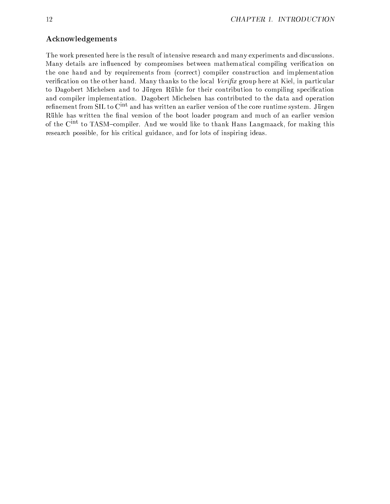### Acknowledgements

The work presented here is the result of intensive research and many experiments and discussions. Many details are influenced by compromises between mathematical compiling verification on the one hand and by requirements from (correct) compiler construction and implementation verification on the other hand. Many thanks to the local Verifix group here at Kiel, in particular to Dagobert Michelsen and to Jürgen Rühle for their contribution to compiling specification and compiler implementation. Dagobert Michelsen has contributed to the data and operation refinement from SIL to  $C<sup>int</sup>$  and has written an earlier version of the core runtime system. Jürgen Rühle has written the final version of the boot loader program and much of an earlier version of the C<sup>int</sup> to TASM-compiler. And we would like to thank Hans Langmaack, for making this research possible, for his critical guidance, and for lots of inspiring ideas.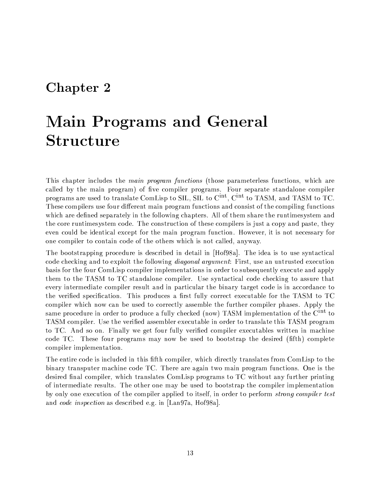### Chapter 2

## Main Programs and General Structure

This chapter includes the main program functions (those parameterless functions, which are called by the main program) of five compiler programs. Four separate standalone compiler programs are used to translate ComLisp to SIL, SIL to C<sup>int</sup>, C<sup>int</sup> to TASM, and TASM to TC. These compilers use four different main program functions and consist of the compiling functions which are defined separately in the following chapters. All of them share the runtimes ystem and the core runtimesystem code. The construction of these compilers is just a copy and paste, they even could be identical except for the main program function. However, it is not necessary for one compiler to contain code of the others which is not called, anyway.

The bootstrapping procedure is described in detail in [Hof98a]. The idea is to use syntactical code checking and to exploit the following *diagonal argument*: First, use an untrusted execution basis for the four ComLisp compiler implementations in order to subsequently execute and apply them to the TASM to TC standalone compiler. Use syntactical code checking to assure that every intermediate compiler result and in particular the binary target code is in accordance to the verified specification. This produces a first fully correct executable for the TASM to TC compiler which now can be used to correctly assemble the further compiler phases. Apply the same procedure in order to produce a fully checked (now) TASM implementation of the C<sup>Int</sup> to TASM compiler. Use the verified assembler executable in order to translate this TASM program to TC. And so on. Finally we get four fully verified compiler executables written in machine code TC. These four programs may now be used to bootstrap the desired (fifth) complete compiler implementation.

The entire code is included in this fifth compiler, which directly translates from ComLisp to the binary transputer machine code TC. There are again two main program functions. One is the desired final compiler, which translates ComLisp programs to TC without any further printing of intermediate results. The other one may be used to bootstrap the compiler implementation by only one execution of the compiler applied to itself, in order to perform *strong compiler test* and *code inspection* as described e.g. in [Lan97a, Hof98a].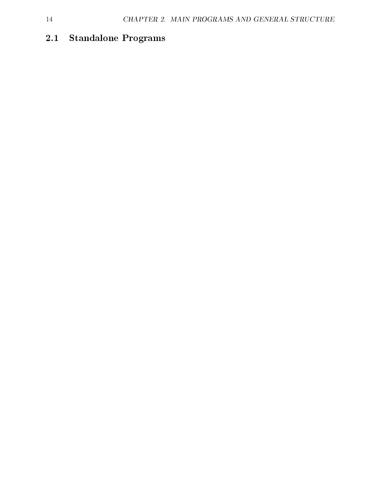#### **Standalone Programs**  $2.1$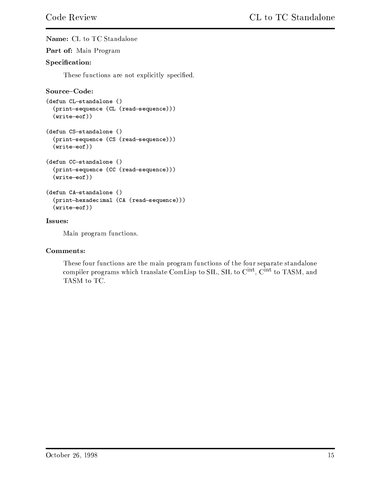Name: CL to TC Standalone

Part of: Main Program

### Specification:

These functions are not explicitly specified.

### Source-Code:

```
(defun CL-standalone ()
  (print-sequence (CL (read-sequence)))
  (write-eof))
```

```
(\text{defun CS-standard})(print-sequence (CS (read-sequence)))
  (write-eof))
```

```
(defun CC-standalone ()
  (print-sequence (CC (read-sequence)))
  (write-eof))
```

```
(defun CA-standalone ()
  (print-hexadecimal (CA (read-sequence)))
  (write-eof))
```
### Issues:

Main program functions.

### Comments:

These four functions are the main program functions of the four separate standalone compiler programs which translate ComLisp to SIL, SIL to C<sup>int</sup>, C<sup>1nt</sup> to TASM, and TASM to TC.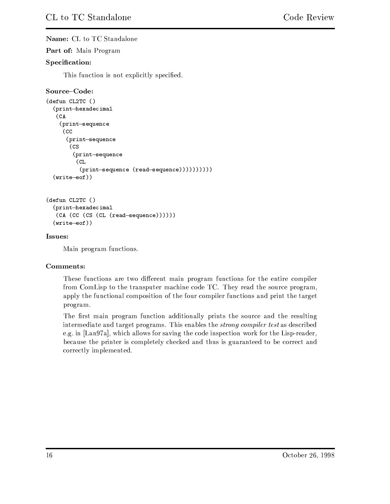### Name: CL to TC Standalone

### Part of: Main Program

### Specification:

This function is not explicitly specified.

### Source-Code:

```
(defun CL2TC ()
  (print-hexadecimal
   (CA
    (print-sequence
     (cc
      (print-sequence
       (CS
        (print-sequence
         CL(print - sequence (read-sequence))))))))))(write-eof))
```
#### (defun CL2TC () (print-hexadecimal (CA (CC (CS (CL (read-sequence))))))  $(write-eof)$

### Issues:

Main program functions.

### Comments:

These functions are two different main program functions for the entire compiler from ComLisp to the transputer machine code TC. They read the source program, apply the functional composition of the four compiler functions and print the target program.

The first main program function additionally prints the source and the resulting intermediate and target programs. This enables the *strong compiler test* as described e.g. in [Lan97a], which allows for saving the code inspection work for the Lisp-reader, because the printer is completely checked and thus is guaranteed to be correct and correctly implemented.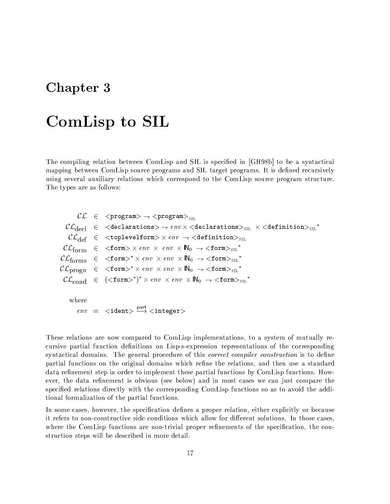### Chapter 3

## ComLisp to SIL

The compiling relation between ComLisp and SIL is specified in [GH98b] to be a syntactical mapping between ComLisp source programs and SIL target programs. It is defined recursively using several auxiliary relations which correspond to the ComLisp source program structure. The types are as follows:

|       | $\mathcal{CL} \in \langle \texttt{program} \rangle \rightarrow \langle \texttt{program} \rangle_{\texttt{SIL}}$                                                                                           |
|-------|-----------------------------------------------------------------------------------------------------------------------------------------------------------------------------------------------------------|
|       | $\mathcal{CL}_{\text{dec}}$ $\in$ $\leq$ declarations> $\rightarrow env \times$ $\leq$ declarations $>_{\text{SIL}}$ $\times$ $\leq$ definition $>_{\text{SIL}}$ $^{*}$                                   |
|       | $-\mathcal{CL}_{\textrm{def}} \hspace{0.2cm} \in \hspace{0.2cm}$ <code><toplevelform></toplevelform></code> $\times$ $\mathit{env}$ $\to$ <code><definition></definition></code> $_{\textrm{\tiny{SIL}}}$ |
|       | $\mathcal{CL}_{\text{form}} \in \langle \text{form} \rangle \times env \times env \times \mathbb{N}_{0} \to \langle \text{form} \rangle_{\text{SIL}}^*$                                                   |
|       | $\mathcal{CL}_{\text{forms}} \in \langle \text{form} \rangle^* \times env \times env \times \mathbb{N}_0 \to \langle \text{form} \rangle_{\text{SIL}}^*$                                                  |
|       | $\mathcal{CL}_{\text{program}} \in \langle \text{form} \rangle^* \times env \times env \times \mathbb{N}_0 \to \langle \text{form} \rangle_{\text{SIL}}^*$                                                |
|       | $\mathcal{CL}_{\text{cond}} \in (\text{form} >^*)^* \times env \times env \times \mathbb{N}_0 \to \text{form}_{\text{SIL}}^*$                                                                             |
|       |                                                                                                                                                                                                           |
| where |                                                                                                                                                                                                           |
|       | $env =$ <ident><math>\xrightarrow{\text{part}}</math> <integer></integer></ident>                                                                                                                         |

These relations are now compared to ComLisp implementations, to a system of mutually recursive partial function definitions on Lisp-s-expression representations of the corresponding syntactical domains. The general procedure of this *correct compiler construction* is to define partial functions on the original domains which refine the relations, and then use a standard data refinement step in order to implement these partial functions by ComLisp functions. However, the data refinement is obvious (see below) and in most cases we can just compare the specified relations directly with the corresponding ComLisp functions so as to avoid the additional formalization of the partial functions.

In some cases, however, the specification defines a proper relation, either explicitly or because it refers to non-constructive side conditions which allow for different solutions. In those cases, where the ComLisp functions are non-trivial proper refinements of the specification, the construction steps will be described in more detail.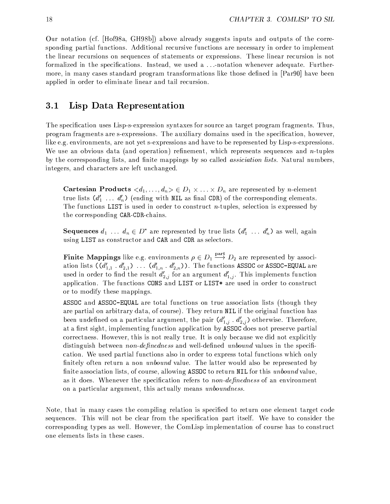Our notation (cf. [Hof98a, GH98b]) above already suggests inputs and outputs of the corresponding partial functions. Additional recursive functions are necessary in order to implement the linear recursions on sequences of statements or expressions. These linear recursion is not formalized in the specifications. Instead, we used a ...-notation whenever adequate. Furthermore, in many cases standard program transformations like those defined in [Par90] have been applied in order to eliminate linear and tail recursion.

#### $3.1$ Lisp Data Representation

The specification uses Lisp-s-expression syntaxes for source an target program fragments. Thus, program fragments are s-expressions. The auxiliary domains used in the specification, however, like e.g. environments, are not yet s-expressions and have to be represented by Lisp-s-expressions. We use an obvious data (and operation) refinement, which represents sequences and n-tuples by the corresponding lists, and finite mappings by so called *assiciation lists*. Natural numbers, integers, and characters are left unchanged.

**Cartesian Products**  $\langle d_1, \ldots, d_n \rangle \in D_1 \times \ldots \times D_n$  are represented by *n*-element true lists  $(d'_1 \ldots d'_n)$  (ending with NIL as final CDR) of the corresponding elements. The functions LIST is used in order to construct  $n$ -tuples, selection is expressed by the corresponding CAR-CDR-chains.

**Sequences**  $d_1$  ...  $d_n \in D^*$  are represented by true lists  $(d'_1$  ...  $d'_n$  as well, again using LIST as constructor and CAR and CDR as selectors.

**Finite Mappings** like e.g. environments  $\rho \in D_1 \stackrel{\text{part}}{\longrightarrow} D_2$  are represented by association lists  $((d'_{1,1} \cdot d'_{2,1}) \cdot \cdot \cdot (d'_{1,n} \cdot d'_{2,n}))$ . The functions ASSOC or ASSOC-EQUAL are used in order to find the result  $d'_{2,j}$  for an argument  $d'_{1,j}$ . This implements function application. The functions CONS and LIST or LIST\* are used in order to construct or to modify these mappings.

ASSOC and ASSOC-EQUAL are total functions on true association lists (though they are partial on arbitrary data, of course). They return NIL if the original function has been undefined on a particular argument, the pair  $(d'_{1,j}, d'_{2,j})$  otherwise. Therefore, at a first sight, implementing function application by ASSOC does not preserve partial correctness. However, this is not really true. It is only because we did not explicitly distinguish between *non-definedness* and well-defined *unbound* values in the specification. We used partial functions also in order to express total functions which only finitely often return a non *unbound* value. The latter would also be represented by finite association lists, of course, allowing ASSOC to return NIL for this unbound value. as it does. Whenever the specification refers to *non-definedness* of an environment on a particular argument, this actually means unboundness.

Note, that in many cases the compiling relation is specified to return one element target code sequences. This will not be clear from the specification part itself. We have to consider the corresponding types as well. However, the ComLisp implementation of course has to construct one elements lists in these cases.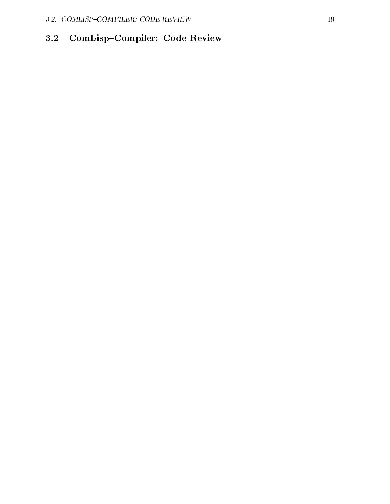### 3.2 ComLisp-Compiler: Code Review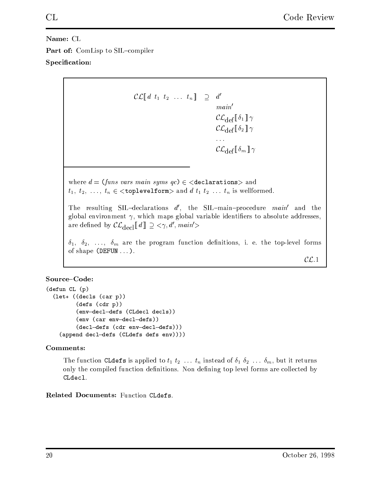Name: CL Part of: ComLisp to SIL-compiler Specification:

> $\mathcal{CL}[\![d \ t_1 \ t_2 \ \ldots \ t_n]\!] \supseteq d'$  $main'$  $\mathcal{CL}_{\text{def}}[\![\delta_1]\!]\gamma$  $\mathcal{CL}_{def}\llbracket \delta_2 \rrbracket \gamma$  $\mathcal{CL}_{\text{def}} \llbracket \delta_m \rrbracket \gamma$

where  $d = (funs~vars~main~syms~qc) \in \leq \text{declarations} >$  and  $t_1, t_2, \ldots, t_n \in \texttt{toplevelform>}$  and  $d t_1 t_2 \ldots t_n$  is wellformed.

The resulting SIL-declarations  $d'$ , the SIL-main-procedure  $main'$  and the global environment  $\gamma$ , which maps global variable identifiers to absolute addresses, are defined by  $\mathcal{CL}_{\text{dec}}[[d]] \supseteq \langle \gamma, d', \text{main'} \rangle$ 

 $\delta_1, \delta_2, \ldots, \delta_m$  are the program function definitions, i. e. the top-level forms of shape (DEFUN...).

 $CL.1$ 

### Source-Code:

```
(defun CL (p)
  (\text{let} * ((\text{decls } (\text{car } p)))(\text{defs } (\text{cdr } p))(env-decl-defs (CLdecl decls))
            (\texttt{env} (\texttt{car env-decl-dest})).(deted-defs (cdr env-decl-defs)))(append decl-defs (CLdefs defs env))))
```
### Comments:

The function CLdefs is applied to  $t_1$   $t_2$  ...  $t_n$  instead of  $\delta_1$   $\delta_2$  ...  $\delta_m$ , but it returns only the compiled function definitions. Non defining top level forms are collected by CLdecl.

Related Documents: Function CLdefs.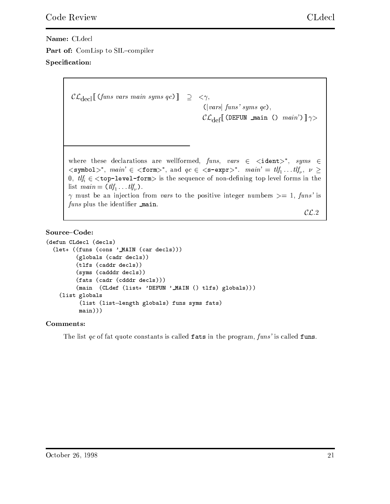Name: CLdecl Part of: ComLisp to SIL-compiler Specification:

> $\mathcal{CL}_{\text{dec}}[[\text{ (funs vars main syms qc)}]] \supseteq \langle \gamma,$  $\left($ |vars| funs' syms qc $\right)$ ,  $\mathcal{CL}_{\text{def}}$  (DEFUN main () main')  $\|\gamma\|$ where these declarations are wellformed, funs, vars  $\in$  <ident>\*, syms  $\in$  $\langle \texttt{symbol}\rangle^*, \text{ main}' \in \langle \texttt{form}\rangle^*, \text{ and } qc \in \langle \texttt{s-expr}\rangle^*. \text{ main}' = t l f_1 \dots t l f_\nu, \nu \rangle.$ 0,  $tlf_i \in \texttt{top-level-form}$  is the sequence of non-defining top level forms in the list  $main = (tlf_1 \dots tlf_n)$ .

> $\gamma$  must be an injection from vars to the positive integer numbers  $\geq$  = 1, funs' is funs plus the identifier main.

```
CL.2
```
### Source-Code:

```
(defun CLdecl (decls)
  (let* ((funs (cons '_MAIN (car decls)))
         (globals (cadr decls))
         (tlfs (caddr decls))
         (syms (cadddr decls))
         (fats (cadr (cdddr decls)))
         (main (CLdef (list* 'DEFUN '_MAIN () tlfs) globals)))
    (list globals)
          (list (list-length globals) funs syms fats)
         main))
```
### Comments:

The list  $qc$  of fat quote constants is called fats in the program,  $funs$  is called funs.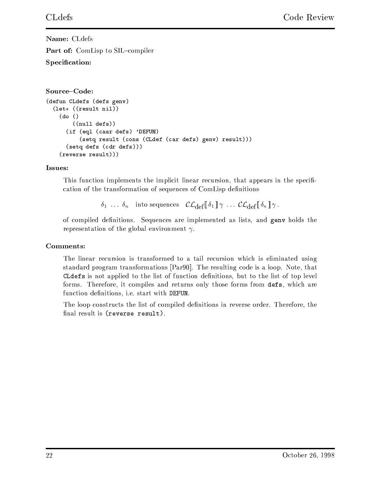### CLdefs

Name: CLdefs

Part of: ComLisp to SIL-compiler Specification:

### Source-Code:

```
(defun CLdefs (defs genv)
  (\text{let} * ((result nil))(do()((null defs))(if (eql (caar defs) 'DEFUN)
          (setq result (cons (CLdef (car defs) genv) result)))
      (setq defs (cdr defs)))
    (reverse result))
```
### Issues:

This function implements the implicit linear recursion, that appears in the specification of the transformation of sequences of ComLisp definitions

 $\delta_1 \ldots \delta_n$  into sequences  $\mathcal{CL}_{\text{def}}[\![\delta_1]\!] \gamma \ldots \mathcal{CL}_{\text{def}}[\![\delta_n]\!] \gamma$ .

of compiled definitions. Sequences are implemented as lists, and genv holds the representation of the global environment  $\gamma$ .

### Comments:

The linear recursion is transformed to a tail recursion which is eliminated using standard program transformations [Par90]. The resulting code is a loop. Note, that CLdefs is not applied to the list of function definitions, but to the list of top level forms. Therefore, it compiles and returns only those forms from defs, which are function definitions, i.e. start with DEFUN.

The loop constructs the list of compiled definitions in reverse order. Therefore, the final result is (reverse result).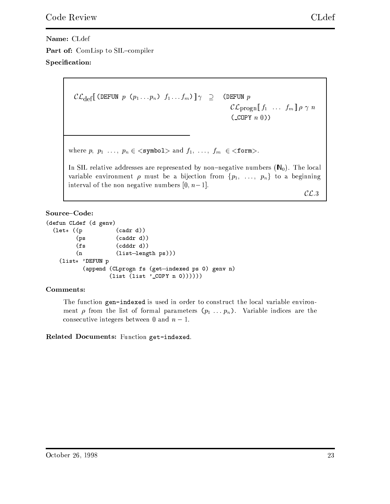Name: CLdef Part of: ComLisp to SIL-compiler Specification:

> $\mathcal{CL}_{\text{def}}$  (DEFUN  $p$  ( $p_1 \ldots p_n$ )  $f_1 \ldots f_m$ )  $\gamma \supseteq$ (DEFUN  $p$  $\mathcal{CL}_{\text{prop}}[f_1 \dots f_m] \rho \gamma n$  $(\text{COPY } n \; 0))$

```
where p, p_1, \ldots, p_n \in \langle \text{symbol} \rangle and f_1, \ldots, f_m \in \langle \text{form} \rangle.
```
In SIL relative addresses are represented by non-negative numbers  $(\mathbb{N}_0)$ . The local variable environment  $\rho$  must be a bijection from  $\{p_1, \ldots, p_n\}$  to a beginning interval of the non negative numbers  $[0, n-1]$ .

 $CL.3$ 

### Source-Code:

```
(defun CLdef (d genv)
  (\text{let} * (\text{p})(cadr d))(ps
                       (caddr d))(f<sub>s</sub>)(cdddr d))(n)(list-length ps))(list* 'DEFUN p
            (append (CLprogn fs (get-indexed ps 0) genv n)
                     (list (list '_COPY n 0))))))
```
### Comments:

The function gen-indexed is used in order to construct the local variable environment  $\rho$  from the list of formal parameters  $(p_1 \ldots p_n)$ . Variable indices are the consecutive integers between 0 and  $n-1$ .

### Related Documents: Function get-indexed.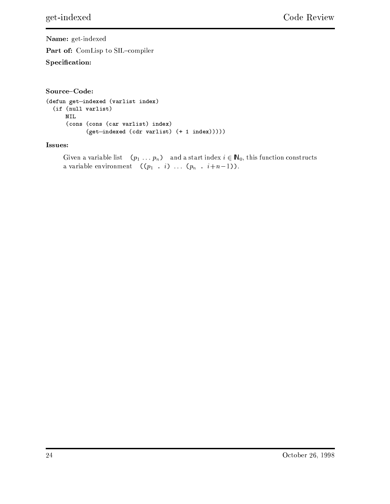Name: get-indexed

Part of: ComLisp to SIL-compiler

### Specification:

### Source-Code:

```
(defun get-indexed (varlist index)
  (if (null varlist)
      NIL
      (cons (cons (car varlist) index)
            (\verb|get-indexed (cdr varlist) (+ 1 index)))))
```
### Issues:

Given a variable list  $(p_1 \ldots p_n)$  and a start index  $i \in \mathbb{N}_0$ , this function constructs a variable environment  $((p_1 : i) ... (p_n : i+n-1)).$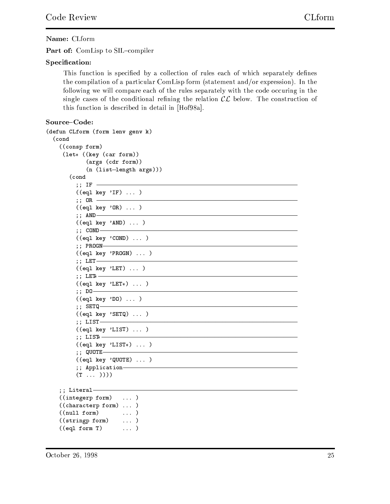Name: CLform

Part of: ComLisp to SIL-compiler

### Specification:

This function is specified by a collection of rules each of which separately defines the compilation of a particular ComLisp form (statement and/or expression). In the following we will compare each of the rules separately with the code occuring in the single cases of the conditional refining the relation  $\mathcal{CL}$  below. The construction of this function is described in detail in [Hof98a].

### Source-Code:

```
(defun CLform (form lenv genv k)
  (cond((consp form)
     (\text{let} * ((key (car form)))(args (cdr form))
             (n (list–length args)))\frac{1}{2};; IF \cdot((eq1 key 'IF) ... );; OR
         ((eq1 key 'OR ) ... );; AND-
         ((eq1 key 'AND) ... ); ; \text{COMP}-((eq1 key 'COND) ... );; PROGN-
         ((eq1 key 'PROGN) ... );; LET-
         ((eq1 key 'LET) ... );; LET*-
         ((eq1 key 'LET*) ... );; DO-
          ((eq1 key 'D0) ... );; SETQ -((eq1 key 'SETQ) ... );; LIST-
         ((eq1 key 'LIST) ... ): LISR \rightarrow((eq1 key 'LIST*) ... );; QUOTE-
         ((eq1 key 'QUOTE) ... );; Application-
         (\texttt{T} \ \ldots \ ))));; Literal-
    ((integerp form)
                         \ldots)
    ((characterp form) ... )((null form)\ldots)
    ((stringp form)
                         \ldots)
    ((eq1 for m T))\ldots)
```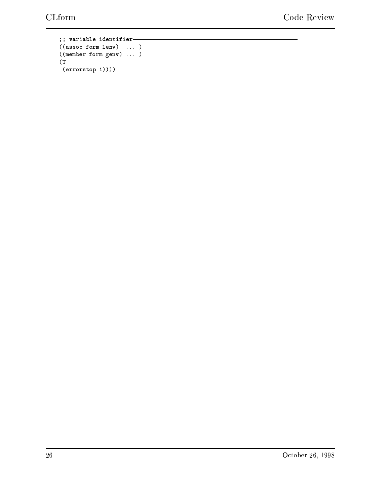```
;; variable identifier—<br>((assoc form lenv) ...)<br>((member form genv) ...)
\tau)(errorstop 1))))
```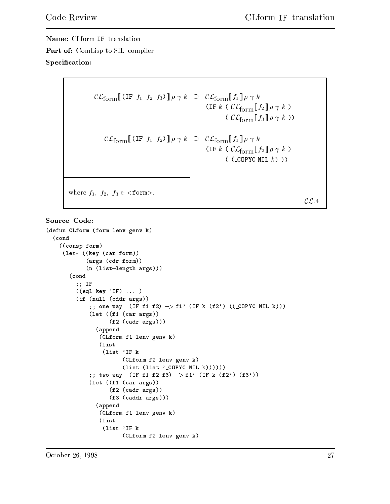Name: CLform IF-translation Part of: ComLisp to SIL-compiler Specification:

```
\mathcal{CL}_{\text{form}}[(\text{IF } f_1 \ f_2 \ f_3) ] \rho \gamma k \geq \mathcal{CL}_{\text{form}}[[f_1] \rho \gamma k](IF k \in \mathcal{CL}_{form}[[f_2]] \rho \gamma k)
                                                                                     (C\mathcal{L}_{form}[[f_3]\rho \gamma k))\mathcal{CL}_{\text{form}} (IF f_1 f_2) \rho \gamma k \supseteq \mathcal{CL}_{\text{form}} f_1 \rVert \rho \gamma k(IF k \in \mathcal{CL}_{form}[[f_2]] \rho \gamma k)
                                                                                     ( (_{\text{COPYC NIL}}k)))
```
where  $f_1$ ,  $f_2$ ,  $f_3 \in \text{form}$ .

 $\mathcal{CL}.4$ 

Source-Code:

```
(defun CLform (form lenv genv k)
  (cond
    ((consp form)
     (\text{let} * ((key (car form)))(args (cdr form))
             (n (list–length args)))(cond
         ;; IF -((eq1 key 'IF) ... )(if (null (cddr args))
              ;; one way (IF f1 f2) \Rightarrow f1' (IF k (f2') ((_COPYC NIL k)))
              (\text{let } ((f1 (car args)))(f2 (cadr args)))(append
                 (CLform f1 lenv genv k)
                 (list)
                  (list 'IF k
                         (CLform f2 lenv genv k)
                         (list (list 'COPYC NIL k))));; two way (IF f1 f2 f3) \rightarrow f1' (IF k (f2') (f3'))
              (\text{let } ((f1 (car args)))(f2 (cadr args))(f3 (caddr args)))(append
                 (CLform f1 lenv genv k)
                 (list
                  (list 'IF k
                         (CLform f2 lenv genv k)
```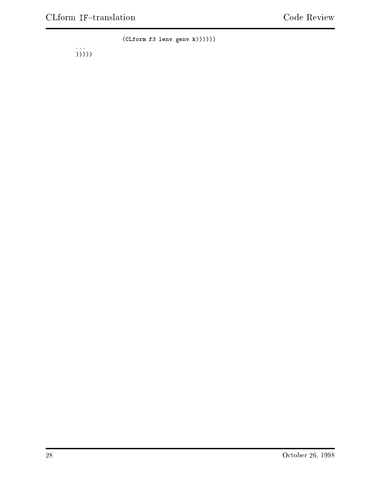```
(CLform f3 lenv genv k))))
```
 $\begin{array}{c} \ldots \\ \left. \ldots \right. \\ \left. \end{array}$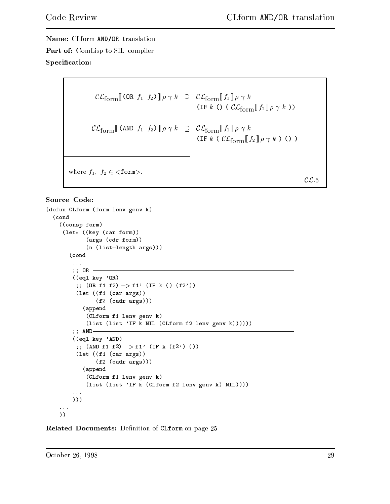$CL.5$ 

Name: CLform AND/OR-translation Part of: ComLisp to SIL-compiler Specification:

```
\mathcal{CL}_{\text{form}}[\![\text{OR } f_1 \ f_2]\!] \rho \gamma k \supseteq \mathcal{CL}_{\text{form}}[\![f_1]\!] \rho \gamma k(IF k () (\mathcal{CL}_{\text{form}}[[f_2]] \rho \gamma k))
              \mathcal{CL}_{\text{form}} (AND f_1 f_2) \rho \gamma k \supseteq \mathcal{CL}_{\text{form}} f_1 \rho \gamma k(IF k (\mathcal{CL}_{\text{form}}[[f_2] \rho \gamma k) ())
where f_1, f_2 \in \texttt{form}.
```
Source-Code:

```
(defun CLform (form lenv genv k)
  (cond
    ((consp form)
     (let* ((key (car form))
            (args (cdr form))
            (n (list-length args)))(cond; OR -((eq1 key 'OR);; (OR f1 f2) \rightarrow f1' (IF k () (f2'))
         (left (f1 (car args))(f2 (cadr args)))(append
            (CLform f1 lenv genv k)
            (list (list 'IF k NIL (CLform f2 lenv genv k))))))
        ;; AND-
        ((eql key 'AND)
         ;; (AND f1 f2) -> f1' (IF k (f2') ))
         (\text{let } ((f1 (car args)))(f2 (cadr args)))(append
            (CLform f1 lenv genv k)
            (list (list 'IF k (CLform f2 lenv genv k) NIL))))
        ))\ddotsc))
```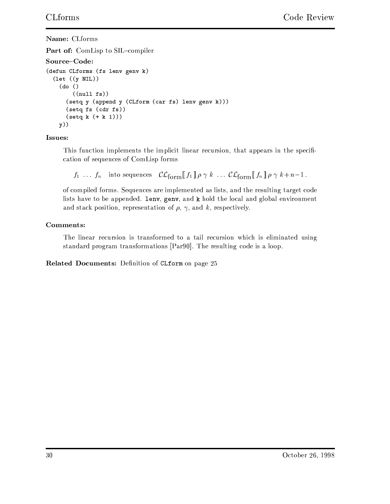Name: CLforms

Part of: ComLisp to SIL-compiler

### Source-Code:

```
(defun CLforms (fs lenv genv k)
  (\text{let } ((y \text{ NIL}))(do()((null fs))(setq y (append y (CLform (car fs) lenv genv k)))
      (setq fs (cdr fs))
       (\text{setq } k (+ k 1)))y))
```
### Issues:

This function implements the implicit linear recursion, that appears in the specification of sequences of ComLisp forms

 $f_1 \ldots f_n$  into sequences  $\mathcal{CL}_{form}[[f_1]] \rho \gamma k \ldots \mathcal{CL}_{form}[[f_n]] \rho \gamma k+n-1$ .

of compiled forms. Sequences are implemented as lists, and the resulting target code lists have to be appended. Lenv, genv, and k hold the local and global environment and stack position, representation of  $\rho$ ,  $\gamma$ , and k, respectively.

### Comments:

The linear recursion is transformed to a tail recursion which is eliminated using standard program transformations [Par90]. The resulting code is a loop.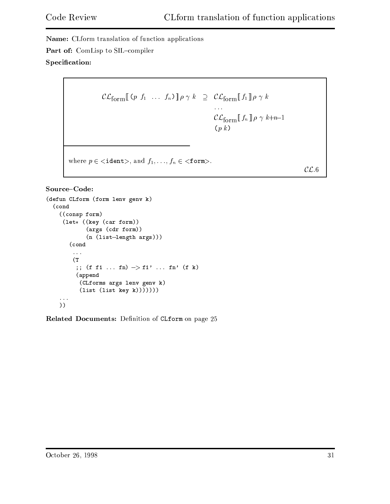Name: CLform translation of function applications Part of: ComLisp to SIL-compiler Specification:

 $\mathcal{CL}_{\text{form}}[(p \ f_1 \ \ldots \ f_n)] \rho \gamma k \geq \mathcal{CL}_{\text{form}}[f_1] \rho \gamma k$  $\mathbf{L}$  $\mathcal{CL}_{\text{form}}[f_n] \rho \gamma k+n-1$  $(p k)$ 

where  $p \in \text{, and  $f_1, \ldots, f_n \in \text{form}$ .$ 

 $\mathcal{CL}.6$ 

### Source-Code:

```
(defun CLform (form lenv genv k)
  (cond
    ((consp form)
     (\text{let} * ((key (car form)))(args (cdr form))
              (n (list-length args)))(cond
         \ldots(T);; (f f1 ... fn) \rightarrow f1' ... fn' (f k)
          (append
           (CLforms args lenv genv k)
           (list (list key k)))))\alpha , \alpha))
```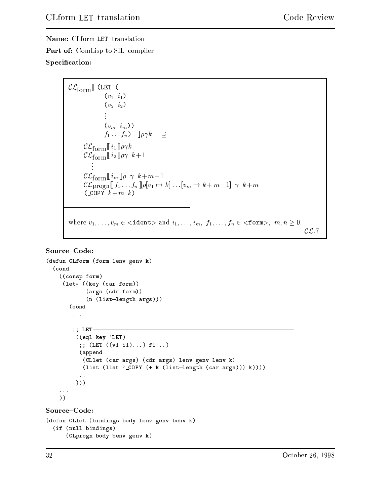$CL.7$ 

Name: CLform LET-translation

Part of: ComLisp to SIL-compiler Specification:

```
\mathcal{CL}_{\text{form}} [ (LET (
                     (v_1, i_1)(v_2, i_2)(v_m i_m)f_1 \ldots f_n) \|\rho \gamma k\| \geq\mathcal{CL}_{\textrm{form}}[\![\,i_1\,]\!] \rho \gamma k\mathcal{CL}_{\textrm{form}} [[ i_2 ]<br>_p^_k+1
             \ddot{\cdot}\mathcal{CL}_{\text{form}}[[i_m]]\rho \ \gamma \ k+m-1\mathcal{CL}_{\text{ program}}[f_1 \dots f_n] | \rho[v_1 \mapsto k] \dots [v_m \mapsto k+m-1] \gamma k+m(\angleCOPY k+m k)
where v_1, \ldots, v_m \in \text{<ident>} and i_1, \ldots, i_m, f_1, \ldots, f_n \in \text{form}>, m, n \geq 0.
```
### Source-Code:

```
(defun CLform (form lenv genv k)
  (cond
    ((consp form)
     (let* ((key (car form))
            (args (cdr form))
            (n (list-length args)))(cond
        \ldots;; LET-
         ((eq1 key 'LET);; (LET ((vi i1)...) f1...)(append
           (CLlet (car args) (cdr args) lenv genv lenv k)
           (list (list '_COPY (+ k (list-length (car args))) k))))
         \ddotsc)))
    \ddotsc))
```
### Source-Code:

```
(defun CLlet (bindings body lenv genv benv k)
  (if (null bindings)
      (CLprogn body benv genv k)
```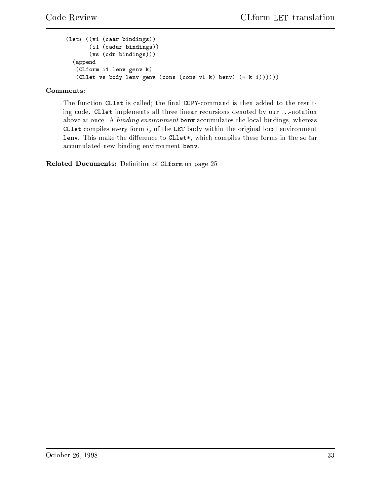```
(let* ((v1 (caar bindings))
      (i1 (cadar bindings))
      (vs (cdr bindings)))(append
   (CLform i1 lenv genv k)
   (CLlet vs body lenv genv (cons (cons v1 k) benv) (+ k 1))))))
```
### Comments:

The function CL1et is called; the final COPY-command is then added to the resulting code. CL1et implements all three linear recursions denoted by our ...-notation above at once. A binding environment benv accumulates the local bindings, whereas CL1et compiles every form  $i_j$  of the LET body within the original local environment lenv. This make the difference to CL1et\*, which compiles these forms in the so far accumulated new binding environment benv.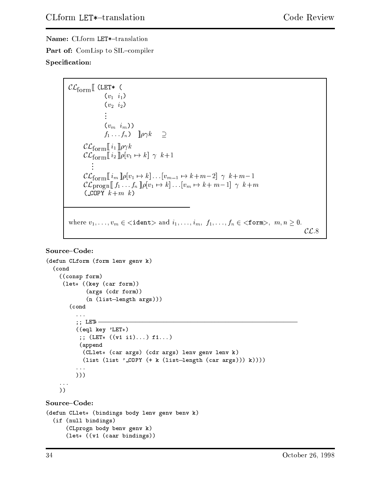Name: CLform LET\*-translation

Part of: ComLisp to SIL-compiler Specification:

```
\mathcal{CL}_{\text{form}} (LET* (
                    (v_1, i_1)(v_2, i_2)(v_m i_m)f_1 \ldots f_n) \|\rho \gamma k\| \geq\mathcal{CL}_{\textrm{form}}[\![\,i_1\,]\!] \rho \gamma k\mathcal{CL}_{\textrm{form}}[\![\,i_2\,]\!] \rho[\tv_1 \mapsto k]\ \ \gamma\ \ k+1\ddot{\cdot}\mathcal{CL}_{\text{form}}[[i_m] \rho[v_1 \mapsto k] \dots [v_{m-1} \mapsto k+m-2] \gamma k+m-1\mathcal{CL}_{\text{ program}}[[f_1 \dots f_n]] \rho[v_1 \mapsto k] \dots [v_m \mapsto k+m-1] \gamma k+m(\text{COPY } k+m k)where v_1, \ldots, v_m \in \text{<ident>} and i_1, \ldots, i_m, f_1, \ldots, f_n \in \text{form}>, m, n \geq 0.
                                                                                                                                          CL.8
```
### Source-Code:

```
(defun CLform (form lenv genv k)
  _{\rm (cond}((consp form)
     (let* ((key (car form))
             (args (cdr form))
             (n (list-length args)))\left(\text{cond}\right);; LET*-
          ((eq1 key 'LET*);; (LET* ((v1 i1)...) f1...)(append
            (CLlet* (car args) (cdr args) lenv genv lenv k)
            (list (list '_COPY (+ k (list-length (car args))) k))))
          \sim \sim \sim)))
    \ldots))
```
### Source-Code:

```
(defun CLlet* (bindings body lenv genv benv k)
  (if (null bindings)
      (CLprogn body benv genv k)
      (let* ((v1 (caar bindings))
```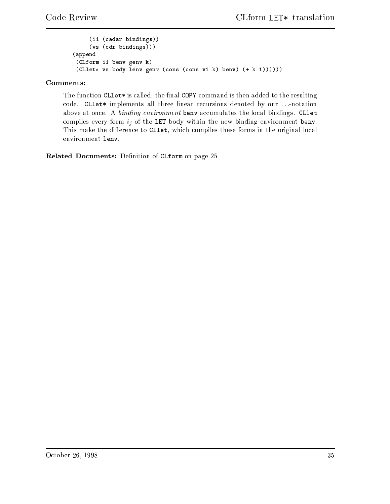```
(i1 (cadar bindings))
    (vs (cdr bindings)))(append
 (CLform i1 benv genv k)
(CLlet* vs body lenv genv (cons (cons vi k) benv) (+ k 1))))))
```
### Comments:

The function CL1et\* is called; the final COPY-command is then added to the resulting code. CL1et\* implements all three linear recursions denoted by our ...-notation above at once. A binding environment benv accumulates the local bindings. CL1et compiles every form  $i_j$  of the LET body within the new binding environment benv. This make the difference to CL1et, which compiles these forms in the original local environment lenv.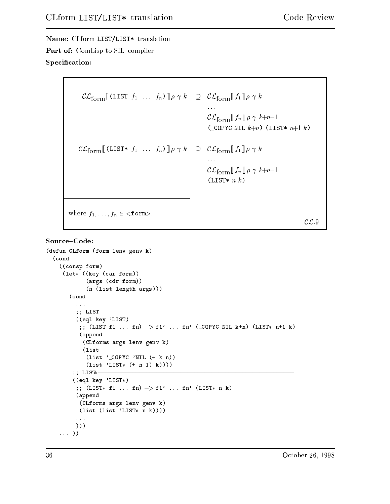Name: CLform LIST/LIST\*-translation Part of: ComLisp to SIL-compiler Specification:

| $\mathcal{CL}_{\text{form}}$ (LIST $f_1$ $f_n$ ) $\rho \gamma k$ $\supseteq$ $\mathcal{CL}_{\text{form}}$ $f_1 \rVert \rho \gamma k$  | $\mathcal{CL}_{\text{form}}[[f_n]] \rho \gamma k+n-1$<br>(_COPYC NIL $k+n$ ) (LIST* $n+1$ k) |
|---------------------------------------------------------------------------------------------------------------------------------------|----------------------------------------------------------------------------------------------|
| $\mathcal{CL}_{\text{form}}$ (LIST* $f_1$ $f_n$ ) $\rho \gamma k$ $\supseteq$ $\mathcal{CL}_{\text{form}}$ $f_1 \rVert \rho \gamma k$ | $\mathcal{CL}_{\text{form}}[[f_n]]\rho \gamma k+n-1$<br>$(LIST* n k)$                        |
| where $f_1, \ldots, f_n \in \texttt{form}$ .                                                                                          |                                                                                              |

 $CL.9$ 

### Source-Code:

```
(defun CLform (form lenv genv k)
  (cond
    ((consp form)
     (\text{let} * ((key (car form)))(args (cdr form))
            (n (list-length args)))(cond
          \ddotsc;; LIST-((eql key 'LIST)
          ;; (LIST f1 ... fn) \rightarrow f1' ... fn' (_COPYC NIL k+n) (LIST* n+1 k)
          (append
           (CLforms args lenv genv k)
            (iist)(list '_COPYC 'NIL (+ k n))(list 'LIST* (+ n 1) k))));; LIST -((eql key 'LIST*)
         ;; (LIST* f1 ... fn) \rightarrow f1' ... fn' (LIST* n k)(append
          (CLforms args lenv genv k)
          (list (list 'LIST* n k))))\ddotsc)))
    \ldots)
```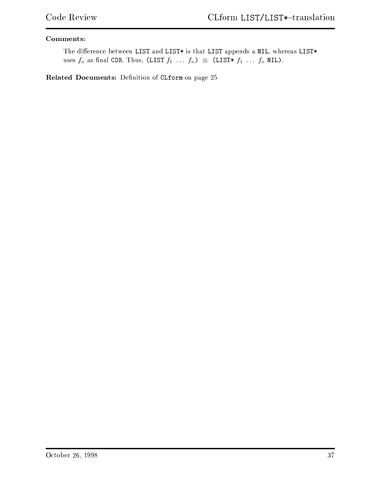## Comments:

The difference between LIST and LIST\* is that LIST appends a NIL, whereas LIST\* uses  $f_n$  as final CDR. Thus, (LIST  $f_1$  ...  $f_n$ )  $\equiv$  (LIST\*  $f_1$  ...  $f_n$  NIL).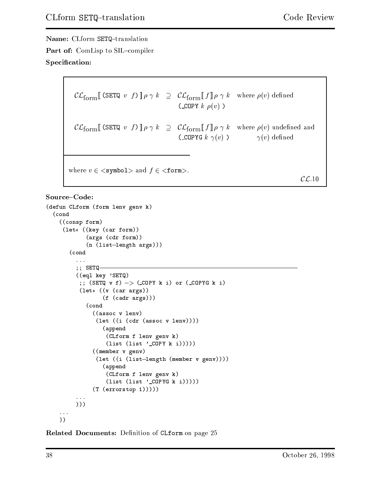Name: CLform SETQ-translation Part of: ComLisp to SIL-compiler Specification:

> $\mathcal{CL}_{\text{form}}[$  (SETQ v f)  $]\rho \gamma k \supseteq \mathcal{CL}_{\text{form}}[f]\rho \gamma k$  where  $\rho(v)$  defined (\_COPY  $k \rho(v)$ )  $\mathcal{CL}_{\text{form}}$  (SETQ v f)  $\rho \gamma k \supseteq \mathcal{CL}_{\text{form}}[f] \rho \gamma k$  where  $\rho(v)$  undefined and (\_COPYG  $k \gamma(v)$ )  $\gamma(v)$  defined where  $v \in \langle \texttt{symbol} \rangle$  and  $f \in \langle \texttt{form} \rangle$ .  $CL.10$

### Source-Code:

```
(defun CLform (form lenv genv k)
  (cond
    ((consp form)
     (\text{let} * ((key (car form)))(args (cdr form))
             (n (list-length args)))_{\rm (cond}\mathbf{A};; SETQ-
          ((eq1 key 'SETQ);; (SETQ v f) -> (COPT k i) or (COPT G k i)(\text{let} * ((v (car args)))(f (cadr args)))\epsiloncond
                ((assoc v lenv)(\text{let } ((i (cdr (assoc v lenv))))(append
                    (CLform f lenv genv k)
                    (list (list '_COPY k i))))((member v genv)
                 (let ((i (list-length (member v genv))))
                   (append
                    (CLform f lenv genv k)
                    (list '_COPYG k i))))(T (errorstop 1))))\ddot{\phantom{a}})))
    \bullet . \bullet .
    ))
```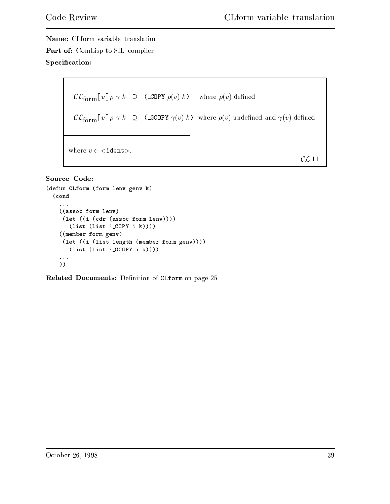'(e.! AD %?1 f<'(/=9E, /) J= Part of: ComLisp to SIL-compiler  $\sim$  .04  $\sim$ 

 $\ell$   $\ell$   $\blacksquare$   $\blacksquare$   $\blacksquare$   $\blacksquare$   $\blacksquare$   $\blacksquare$   $\blacksquare$   $\blacksquare$   $\blacksquare$   $\blacksquare$   $\blacksquare$   $\blacksquare$   $\blacksquare$   $\blacksquare$   $\blacksquare$   $\blacksquare$   $\blacksquare$   $\blacksquare$   $\blacksquare$   $\blacksquare$   $\blacksquare$   $\blacksquare$   $\blacksquare$   $\blacksquare$   $\blacksquare$   $\blacksquare$   $\blacksquare$   $\blacksquare$   $\blacksquare$   $\blacksquare$ 

 $\ell_{\ell}$  [  $\mathbb{Z}$  |  $\mathbb{Z}$  /  $\mathbb{Z}$   $\mathbb{Z}$   $\mathbb{Z}$   $\mathbb{Z}$   $\mathbb{Z}$   $\mathbb{Z}$   $\mathbb{Z}$   $\mathbb{Z}$   $\mathbb{Z}$   $\mathbb{Z}$   $\mathbb{Z}$   $\mathbb{Z}$  and  $\mathbb{Z}$   $\mathbb{Z}$   $\mathbb{Z}$   $\mathbb{Z}$   $\mathbb{Z}$   $\mathbb{Z}$   $\mathbb{Z}$   $\mathbb{Z}$   $\mathbb$ 

where  $v \in <$ ident $>$ .  $-$ 

 $CL.11$ 

Source-Code:

```
(defun CLform (form lenv genv k)
 (cond
    \blacksquare( :.*37 (.(5B(ID5)9AF( 8P6.6,;PD-
+';,A3Q :.*3/ >.>.>.>
       (list (list '_COPY i k)))((member form genv))(let ((i (list-length (member form genv))))(list (list '_GCDPY i k)))\ddotsc)
```
 $\blacksquare$  ) and  $\blacksquare$  . The contract of the contract of the contract of the contract of the contract of the contract of the contract of the contract of the contract of the contract of the contract of the contract of the con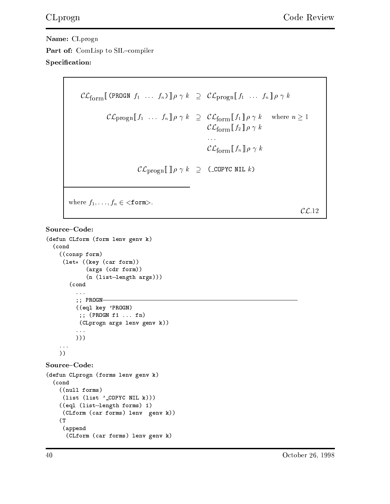Name: CLprogn Part of: ComLisp to SIL-compiler Specification:

```
\mathcal{CL}_{\text{form}} [(PROGN f_1 ... f_n)] \rho \gamma k \supseteq \mathcal{CL}_{\text{ program}} [f_1 ... f_n] \rho \gamma k\mathcal{CL}_{\text{prop}}[[f_1 \ \ldots \ f_n]] \rho \gamma k \supseteq \mathcal{CL}_{\text{form}}[[f_1]] \rho \gamma kwhere n > 1\mathcal{CL}_{\text{form}}[f_2]\rho \gamma k\mathcal{CL}_{\text{form}}[[f_n]] \rho \gamma k\mathcal{CL}_{\text{prop}} \llbracket \; \; \; \; \; \rho \; \gamma \; k \; \; \; \; \geq \; \; \; \text{(COPYC NIL } k)
```
where  $f_1, \ldots, f_n \in \texttt{form}$ .

 $\mathcal{CL}.12$ 

```
Source-Code:
```

```
(defun CLform (form lenv genv k)
  \epsiloncond
    ((consp form)
     (\text{let} * ((key (car form)))(args (cdr form))
              (n (list-length args)))(cond
          \ddots;; PROGN-
          ((eql key 'PROGN)
           ;\; (PROGN f1 ... fn)
           (CLprogn args lenv genv k))
          \sim \sim)))
    \sim 10))
```

```
Source-Code:
```

```
(defun CLprogn (forms lenv genv k)
  \epsiloncond
    ((null forms)(list ' \c{OPYC NIL k)))((eql (list-length forms) 1)
     (CLform (car forms) lenv genv k))
    (T)(append
      (CLform (car forms) lenv genv k)
```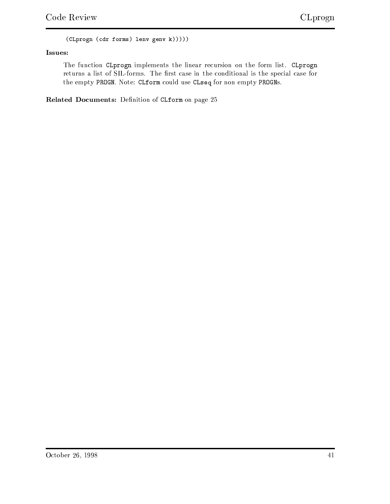(CLprogn (cdr forms) lenv genv k)))))

#### Issues:

The function CLprogn implements the linear recursion on the form list. CLprogn returns a list of SIL-forms. The first case in the conditional is the special case for the empty PROGN. Note: CLform could use CLseq for non empty PROGNs.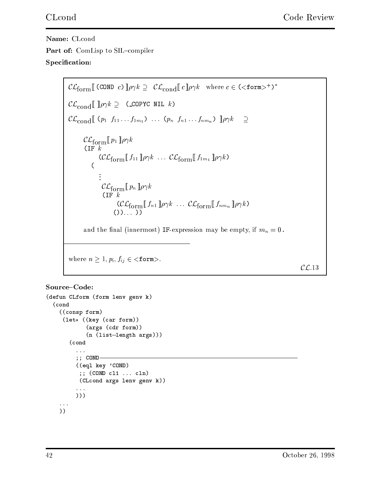Name: CLcond

Part of: ComLisp to SIL-compiler Specification:

> $\mathcal{CL}_{form}$  [(COND c)  $p \gamma k \supseteq c \mathcal{L}_{cond}$  [c]  $p \gamma k$  where  $c \in \text{(}^+)^*$  $\mathcal{CL}_{\text{cond}}[\ ]\rho\gamma k \supseteq$  (\_COPYC NIL k)  $\mathcal{CL}_{\text{cond}}[\![$   $(p_1 \ f_{11} \dots f_{1m_1}) \ \dots \ (p_n \ f_{n1} \dots f_{nm_n}) \ ]\!] \rho \gamma k$  $\supseteq$  $\mathcal{CL}_{\text{form}}[p_1] \rho \gamma k$  $(IF k$  $(\mathcal{CL}_{\mathrm{form}}[\![\;f_{11}\!]\!] \rho \gamma k \ \ldots \ \mathcal{CL}_{\mathrm{form}}[\![\;f_{1m_1}\!]\!] \rho \gamma k)$  $\overline{C}$  $\mathcal{CL}_{\text{form}}[p_n]$   $p \gamma k$  $(IF \; k)$  $\mathcal{CL}_{\text{form}}[[f_{n1}]]\rho\gamma k \dots \mathcal{CL}_{\text{form}}[[f_{nmn}]]\rho\gamma k$  $( ) ) ... )$ and the final (innermost) IF-expression may be empty, if  $m_n = 0$ . where  $n \geq 1$ ,  $p_i$ ,  $f_{ij} \in \text{form}$ .

Source-Code:

```
(defun CLform (form lenv genv k)
  (cond
    ((consp form)
     (let* ((key (car form))
             (args (cdr form))(n (list-length args)))(cond
          \ddotsc;; \texttt{COND}((eql key 'COND)
           \mathbf{C}; (COND cl1 ... cln)
           (CLcond args lenv genv k))
          \ddotsc)))
    \sim 10))
```
 $CL.13$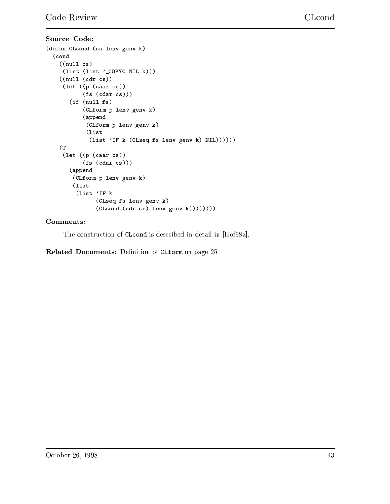## Source-Code:

```
(defun CLcond (cs lenv genv k)
  (cond)((null cs))(list ' \c{COPYC NIL k}((null (cdr cs)))(\text{let } ((p (caar cs)))(fs (cdar cs)))(if (null fs)(CLform p lenv genv k)
            (append
             (CLform p lenv genv k)(iis<sub>t</sub>)(list 'IF k (Clseq fs lenv genv k) NIL))))\epsilon - \epsilon(\text{let } ((p (caar cs)))(fs (cdar cs)))\zetaappend
        (CLform p lenv genv k)(iist)(iist 'IF k)(CLseq fs lenv genv k)(CLcond (cdr cs) lenv genv k))))))
```
### Comments:

ل المساحة التي تقدم المساحة التي تقدم التي تقدم التي تقدم التي تقدم التي تقدم التي تقدم التي تقدم التي تقدم ال<br>التي تقدم التي تقدم التي تقدم التي تقدم التي تقدم التي تقدم التي تقدم التي تقدم التي تقدم التي تقدم التي تقدم

 $\blacksquare$  ) is the matrix of the contract of the contract of  $\blacksquare$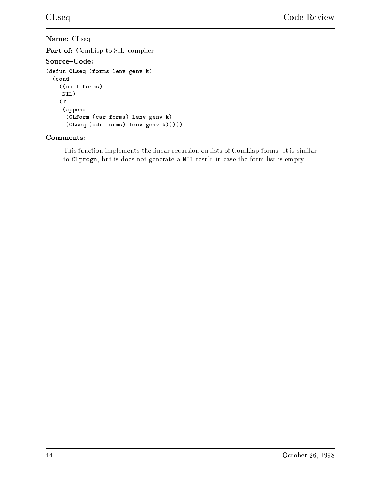## CLseq

Name: CLseq

Part of: ComLisp to SIL-compiler Source-Code: (defun CLseq (forms lenv genv k)  $\epsilon$  cond  $((null forms)$ NIL)  $\tau)$ (append (CLform (car forms) lenv genv k) (CLseq (cdr forms) lenv genv k)))))

## Comments:

This function implements the linear recursion on lists of ComLisp-forms. It is similar to CLprogn, but is does not generate a NIL result in case the form list is empty.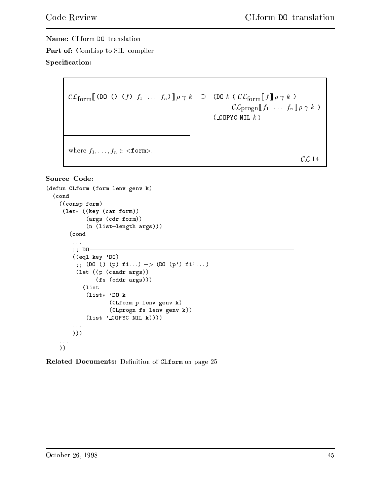Name: CLform D0-translation Part of: ComLisp to SIL-compiler Specification:

```
\mathcal{CL}_{\text{form}}[ (DO () (f) f_1 ... f_n) \rho \gamma k \supseteq (DO k (\mathcal{CL}_{\text{form}}[f] \rho \gamma k)
                                                                                         \mathcal{CL}_{\text{prop}}[f_1 \dots f_n] \rho \gamma k(\angleCOPYC NIL k)
```
where  $f_1, \ldots, f_n \in \texttt{form}$ .

 $\mathcal{CL}.14$ 

```
Source-Code:
```

```
(defun CLform (form lenv genv k)
  \epsilon cond
    ((consp form)
     (let* ((key (car form))
             (args (cdr form))
             (n (list-length args)))(cond
        \ldots;; DO-
        ((eq1 key 'D0);; (DO () (p) f1...) -> (DO (p') f1'...)
          (let ((p (caadr args))
                (fs (cddr args)))(i)(\text{list}* \text{ 'D0 } k)(CLform p lenv genv k)
                     (CLprogn fs lenv genv k))
             (list '_COPYC NIL k)))\sim 10 .
        )))
    \sim 10))
```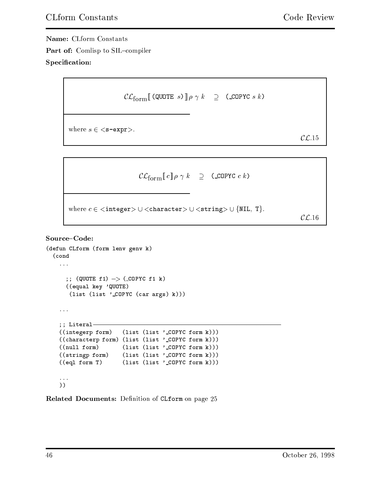'(e.! AD %AC9J Part of: Comlisp to SIL-compiler  $\sim$  .04  $\sim$ 

```
\mathcal{C}\mathcal{C} = \mathbb{I} (CUIOTE a) \mathbb{I} and \mathbb{I} and \mathbb{I} and \mathbb{I} and \mathbb{I} and \mathbb{I} and \mathbb{I} and \mathbb{I} and \mathbb{I} and \mathbb{I} and \mathbb{I} and \mathbb{I} and \mathbb{I} and \mathbb{I} and \mathbb{I}
```
n and a finite state of the state of the state of the state of the state of the state of the state of the state of the state of the state of the state of the state of the state of the state of the state of the state of the

:7YFi7 T

```
\ell \ell \blacksquare \blacksquare \blacksquare \blacksquare \blacksquare \blacksquare \blacksquare \blacksquare \blacksquare \blacksquare \blacksquare \blacksquare \blacksquare \blacksquare \blacksquare \blacksquare \blacksquare \blacksquare \blacksquare \blacksquare \blacksquare \blacksquare \blacksquare \blacksquare \blacksquare \blacksquare \blacksquare \blacksquare \blacksquare \blacksquare
```

```
where c \in < integer > U < character > U < string > U \{ NIL. T\}.
```

```
CL.16
```
### Source-Code:

```
(defun CLform (form lenv genv k)
   (cond
           \ldots ( \cap \cap \cap \Gamma \rightarrow \{ \cap \cap \cap \{ \{ \} \} \ldots \cap \cap \{ \{ \} \{ \} \ldots \{ \{ \} \{ \{ \} \{ \} \{ \{ \} \{ \} \{ \{ \} \{ \{ \} \{ \mathcal{L} , and the set of the set of the set of the set of the set of the set of the set of the set of the set of the set of the set of the set of the set of the set of the set of the set of the set of the set of the set 
           (list (list 'cOPYC (car args) k)))	
	 2BI7'*,A'8.:P4.494.4.4.4.494.4.4.4'4.4.4'4.494P494.4'4.4.4'4.4.4'4.4.4'4.494P494.4'4.4.4'4.4.4'4.4.4'4.494P494.4'4.4.4'4.4
      ((integerp form) (list (list 'cOPYC form k)))\mathcal{L}((null form) (list (list 'cOPYC form k)))((string form) (list (list '_COPYC form k)))
                                       (list (list '_COPYC form k)))(.( *3C': +';3A3Q -
      \sim \sim \sim)
```
 $\blacksquare$  ) and  $\blacksquare$  . The contract of the contract of the contract of the contract of the contract of the contract of the contract of the contract of the contract of the contract of the contract of the contract of the con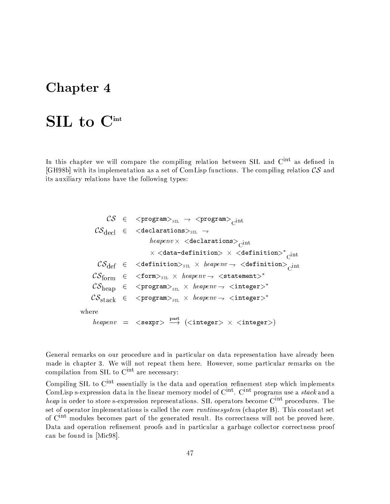# Chapter 4

# SIL to Cint

In this chapter we will compare the compiling relation between SIL and C<sup>int</sup> as defined in [GH98b] with its implementation as a set of ComLisp functions. The compiling relation  $\mathcal{CS}$  and its auxiliary relations have the following types:

```
\mathcal{CS} \in \langle \texttt{program} \rangle_{\texttt{SIL}} \to \langle \texttt{program} \rangle_{\texttt{C}}int
         \mathcal{CS}_{\text{decl}} \in <declarations><sub>sIL</sub> \rightarrowheapenv \times \langle \texttt{declarations} \rangle_{\text{C}}int
                                              \times <data-definition> \times <definition>*<sub>cint</sub>
           \mathcal{CS}_{\text{def}} \in \prec definition>_{\text{SIL}} \times heapenv \rightarrow \prec definition>_{\text{Cint}}\mathcal{CS}_{\text{form}} \in \langle \text{form}_{\text{SIL}} \times \text{} \text{heapenv} \rightarrow \langle \text{statement} \rangle^*\mathcal{CS}_{\text{heap}} \in \langle program\rangle_{\text{SIL}} \times heapenv \rightarrow \langle integer\rangle^*\mathcal{CS}_{\text{stack}} \in \langle \text{program} \rangle_{\text{sub}} \times \text{begin} \rightarrow \langle \text{integer} \rangle^*where
       heapenv = \langle \texttt{sexpr} \rangle \overset{\text{part}}{\longrightarrow} (\langle \texttt{integer} \rangle \times \langle \texttt{integer} \rangle)
```
General remarks on our procedure and in particular on data representation have already been made in chapter 3. We will not repeat them here. However, some particular remarks on the compilation from SIL to C<sup>int</sup> are necessary:

Compiling SIL to C<sup>int</sup> essentially is the data and operation refinement step which implements ComLisp s-expression data in the linear memory model of  $C<sup>int</sup>$ .  $C<sup>int</sup>$  programs use a *stack* and a *heap* in order to store s-expression representations. SIL operators become C<sup>int</sup> procedures. The set of operator implementations is called the *core runtimesystem* (chapter B). This constant set of C<sup>int</sup> modules becomes part of the generated result. Its correctness will not be proved here. Data and operation refinement proofs and in particular a garbage collector correctness proof can be found in [Mic98].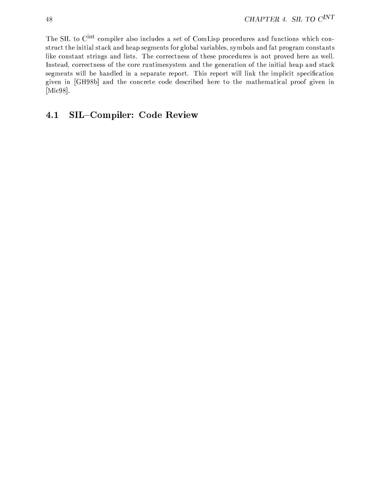The SIL to C<sup>int</sup> compiler also includes a set of ComLisp procedures and functions which construct the initial stack and heap segments for global variables, symbols and fat program constants like constant strings and lists. The correctness of these procedures is not proved here as well. Instead, correctness of the core runtimesystem and the generation of the initial heap and stack segments will be handled in a separate report. This report will link the implicit specification given in [GH98b] and the concrete code described here to the mathematical proof given in [Mic98].

#### SIL-Compiler: Code Review 4.1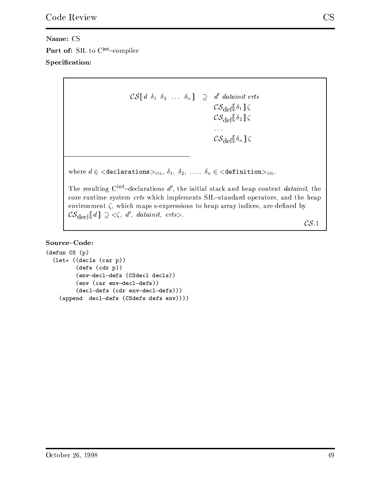Name: CS Part of: SIL to Cint-compiler Specification:

```
\mathcal{CS}[\![d \; \delta_1 \; \delta_2 \; \ldots \; \delta_n]\!] \supseteq d' \; data init \; cuts\mathcal{CS}_{\text{def}}[\![\delta_1]\!]\mathcal{CS}_{\text{def}}[\![\,\delta_2\,]\!]\mathcal{CS}_{\mathbf{def}}[\![\delta_n]\!]\zeta
```
where  $d \in \text{}\n_{\text{SL}}, \delta_1, \delta_2, \ldots, \delta_n \in \text{}\n_{\text{SL}}.$ 

The resulting  $C<sup>int</sup>$ -declarations  $d'$ , the initial stack and heap content *datainit*, the core runtime system crts which implements SIL-standard operators, and the heap environment  $\zeta$ , which maps s-expressions to heap array indices, are defined by  $\mathcal{CS}_{\text{dec}}[[d]] \supseteq \langle \zeta, d', \text{ datainit}, \text{ crts} \rangle.$ 

 $\mathcal{CS}.1$ 

```
(\text{defun CS } (p))(\text{let} * ((\text{decls } (\text{car } p)))(\text{defs } (\text{cdr } p))(env-decl-defs (CSdecl decls))
            (env (car env-decl-defs))
            (deted - defs (cdr env-decl - defs)))(append decl-defs (CSdefs defs env))))
```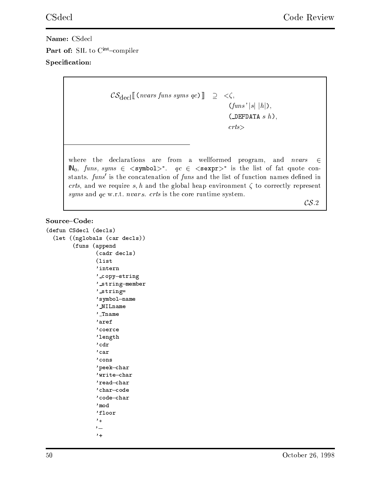Name: CSdecl Part of: SIL to C<sup>int</sup>-compiler Specification:

 $\mathcal{CS}_{\text{dec}}[[\text{ (nvars fins syms qc)}]] \supseteq \langle \zeta, \rangle$ 

 $(funs' |s| |h|),$  $(\mathsf{DEFDATA}\; s\; h),$  $crts$ 

where the declarations are from a wellformed program, and *nvars*  $\epsilon$  $\mathbb{N}_0$ , funs, syms  $\in$  <symbol>\*.  $qc \in$  <sexpr>\* is the list of fat quote constants. funs is the concatenation of funs and the list of function names defined in crts, and we require s, h and the global heap environment  $\zeta$  to correctly represent syms and  $qc$  w.r.t. nvars.  $crts$  is the core runtime system.

 $\mathcal{CS}.2$ 

```
(defun CSdecl (decls)
  (let ((nglobals (car decls))
         (funs (append
                  (cadr decls)
                  (1)'intern
                 '_copy-string
                  '_string-member
                  '_string=
                  'symbol-name
                  '_NILname
                  '_Tname
                 'aref
                  'coerce
                 'length
                  'cdr
                  ^\prime car
                 'cons
                  'peek-char
                  'write-char
                  'read-char
                  'char-code
                 'code-char
                  'mod
                  'floor
                  ^{\prime} *
                 \prime -\mathcal{F}_{\pm}
```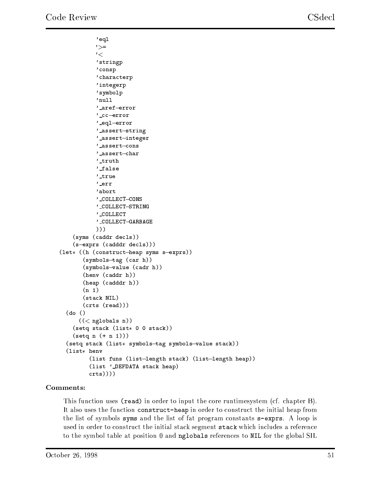```
'eq1\rightarrowa contract and contract and contract and
              'stringp
              'consp
              'characterp
              'integerp
              'symbolp
              'null
              '_aref-error
              '_cc-error
              '_eql-error
              '_assert-string
              '_assert-integer
              '_assert-cons
              '_assert-char
              '_truth
              '_false
              '_true
              '_err
              'abort
               0.2'2&%0 -
40PK
              0.2'2 - 20.2'2 - 20.2'2 - 20.2'2 - 20.2'2 - 20.2'2 - 20.2'2 - 20.2'2 - 20.2'2 - 20.2'2 - 20.2'2 - 20.2'2 - 20.
               0.2'2&%0 -
               0.2'2&%0 -
4.M-
.M
%
             ))(syms (caddr decls))(s-exprs (cadddr decls)))
(let* ((h (construct-heap syms s-exprs))
        (symbols-tag (car h))(symbols-value (cadr h))(henv (caddr h))(heap (cadddr h))(n, 1)(stack NIL)
        (crts (read)))(do()\langle, \rangle(setq stack (list* 0 0 stack))(\text{setq n } (+ n 1)))(setq stack (list* symbols-tag symbols-value stack))
  (E:B3657 - N'*3) - N'*37- N'*37- N'*37- N'*37- N'*37- N'*37- N'*37- N'*37- N'*37- N'*37- N'*37- N'*37- N'*37-
           (list funs (list-length stack) (list-length heap))
            (list '_DEFDATA stack heap)
           crts))
```
### Comments:

rmit and the set of the set of  $\mathbb{R}^n$  and  $\mathbb{R}^n$ It also uses the function  ${\tt construct\text{-}heap}$  in order to construct the initial heap from ,"/ c 0%&(/ +
0+M!,/= & ~. \* % #,' +'M#
+iF&L/ used in order to construct the initial stack segment  $\mathtt{stack}$  which includes a reference &,O0%(6/8,(/ c Q6 '! \*:% %+ 9 #Y"+\*,'.j C,O\*/ (/GPRD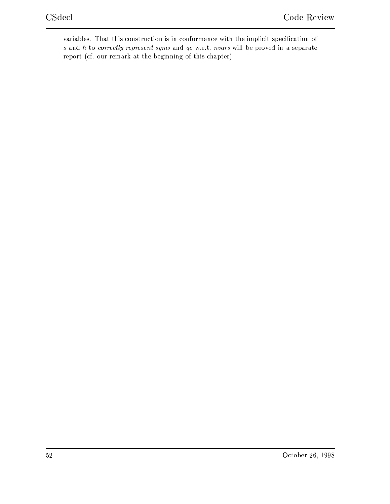variables. That this construction is in conformance with the implicit specification of  $s$  and  $h$  to correctly represent syms and  $qc$  w.r.t. nvars will be proved in a separate report (cf. our remark at the beginning of this chapter).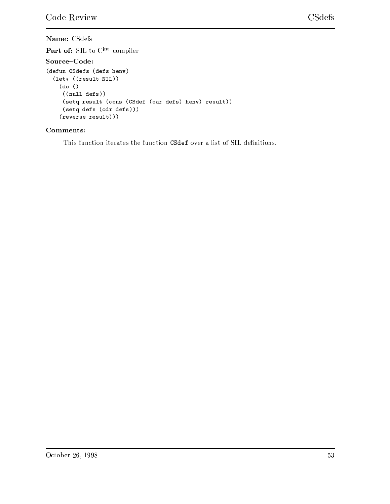Name: CSdefs

Part of: SIL to Cint-compiler

## Source-Code:

```
(defun CSdefs (defs henv)
  (left * ((result NIL))(do()((null defs))(setq result (cons (CSdef (car defs) henv) result))
     (setq defs (cdr defs)))
    (reverse result))
```
## Comments:

This function iterates the function CSdef over a list of SIL definitions.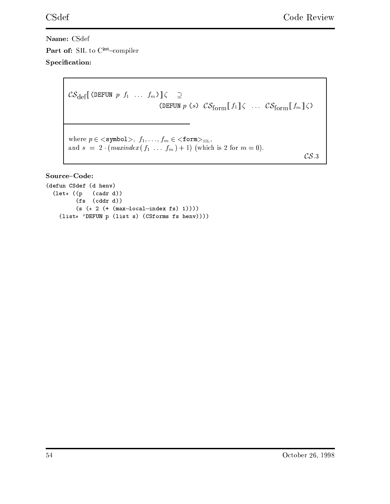Name: CSdef

Part of: SIL to Cint-compiler

## Specification:

 $\mathcal{CS}_{\text{def}}$  (DEFUN  $p$   $f_1$  ...  $f_m$ )  $\rrbracket \zeta \quad \supseteq$ (DEFUN  $p(S)$  CS<sub>form</sub>  $f_1 \subseteq \ldots$  CS<sub>form</sub>  $f_m \subseteq \cap$ 

where  $p \in \langle \texttt{symbol} \rangle, f_1, \dots, f_m \in \langle \texttt{form} \rangle_{\texttt{SIL}},$ and  $s = 2 \cdot (maxindex(f_1 \dots f_m) + 1)$  (which is 2 for  $m = 0$ ).

 $\mathcal{CS}.3$ 

```
(defun CSdef (d henv)
  (\text{let} * ((p \quad (\text{cadr } d)))(fs (cddr d))(s (* 2 (+ (max-local-index fs) 1))))(list* 'DEFUN p (list s) (CSforms fs henv))))
```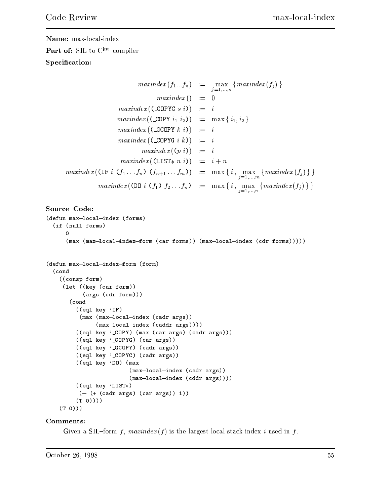Name: max-local-index Part of: SIL to C<sup>int</sup>-compiler Specification:

```
maxindex(f_1...f_n) := \max_{j=1,...,n} \{maxindex(f_j)\}\maxindex() := 0maxindex ((\text{COPYC } s i)) := imaxindex ((COPY i_1 i_2)) := max{i_1, i_2}maxindex ((\text{GCDPY } k i)) := imaxindex ((\text{COPYG } i k)) := imaxindex((p i)) := imaxindex((LIST * n i)) := i + nmaxindex ((\text{IF } i \ (f_1 \ldots f_n) \ (f_{n+1} \ldots f_m)) := \max\{i, \max_{j=1,\ldots,m} \{\mathit{maxindex}(f_j)\}\}\maxindex (\texttt{OD } i \texttt{ (f_1) } f_2 \ldots f_n) := \max \{ i, \max_{j=1,\ldots,n} \{ maxindex(f_j) \} \}
```
#### Source-Code:

```
(defun max-local-index (forms)
  (if (null forms)
      \circ(max (max-local-index-form (car forms)) (max-local-index (cdr forms)))))
(defun max-local-index-form (form)
  \epsiloncond
    ((consp form)
     (\text{let } ((key (car form)))(\arg s \ (\text{cdr form})))\epsiloncond
          ((eq1 keV 'IF)(max (max-local-index (cadr args))
                (max - local - index (caddr args))))((eql key '_COPY) (max (car args) (cadr args)))
          ((eq1 key '_COPYG) (car args))((eq1 key '_GCDPY) (cadr args))((eql key '_COPYC) (cadr args))
          ((eql key 'DO) (max
                            (max-local-index (cadr args))
                            (max - local - index (cddr args)))((eq1 key 'LIST*)(- (+ (cadr args) (car args)) 1))(T<sub>0</sub>)))(T<sub>0</sub>)))
```
#### Comments:

Given a SIL-form f,  $maxindex(f)$  is the largest local stack index i used in f.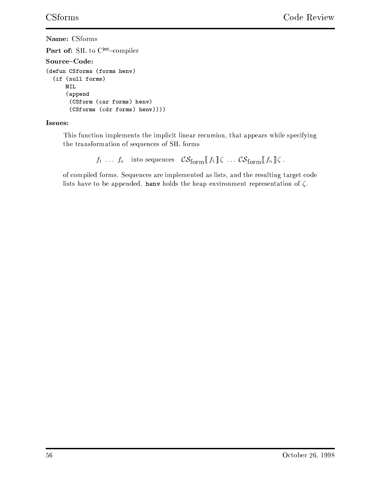Name: CSforms

Part of: SIL to C<sup>int</sup>-compiler

## Source-Code:

```
(defun CSforms (forms henv)
  (if (null forms)
     NIL
      (append
       (CSform (car forms) henv)
       (CSforms (cdr forms) henv))))
```
## Issues:

This function implements the implicit linear recursion, that appears while specifying the transformation of sequences of SIL forms

 $f_1 \ldots f_n$  into sequences  $\mathcal{CS}_{\text{form}}[[f_1]] \zeta \ldots \mathcal{CS}_{\text{form}}[[f_n]] \zeta$ .

of compiled forms. Sequences are implemented as lists, and the resulting target code lists have to be appended. henv holds the heap environment representation of  $\zeta$ .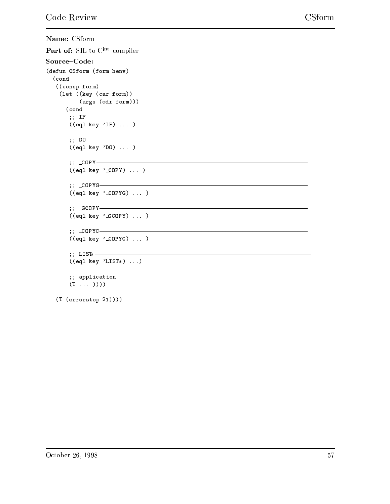```
Name: CSform
Part of: SIL to Cint-compiler
Source-Code:
(defun CSform (form henv)
  \epsiloncond
   ((consp form)
    (\text{let } ((key (car form)))(args (cdr form)))
      (cond
       ;; IF-((eq1 key 'IF) ... );; DO-
       ((eq1 key 'D0) ... );; _COPY —
       ((eq1 key 'COPY) ... );; \angleCOPYG-
       ((eq1 key 'COPYG) ... ); ; \angle GCOPY -((eq1 key 'GCDPY) ... ); : \text{COPYC} -
       ((eq1 key '_COPYC) ... );; LIST -((\verb"eq1 key 'LIST*) ...);; application-
       (T \ldots ))))(T (errorstop 21))))
```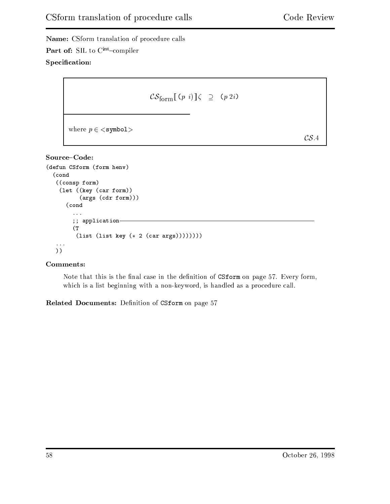Name: CSform translation of procedure calls Part of: SIL to C<sup>int</sup>-compiler Specification:

> $\mathcal{CS}_{\text{form}}[(p \; i)] \zeta \ge (p \; 2i)$ where  $p \in \langle \texttt{symbol} \rangle$  $\mathcal{CS}.4$

#### Source-Code:

```
(defun CSform (form henv)
  (cond
   ((consp form)
    (\text{let } ((key (car form)))(args (cdr form)))\epsiloncond
         \ldots;; application-
         (T)(list (list key (* 2 (car args))))))))\ldots))
```
### Comments:

Note that this is the final case in the definition of CSform on page 57. Every form, which is a list beginning with a non-keyword, is handled as a procedure call.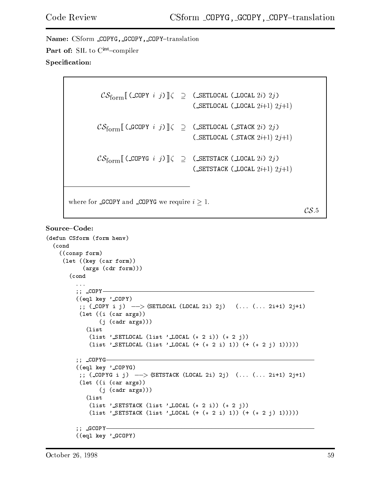Name: CSform COPYG, GCOPY, COPY-translation Part of: SIL to C<sup>int</sup>-compiler Specification:

|  | $CS_{\text{form}}$ (COPY i j) $\left  \zeta \right  \supset \sup$ (SETLOCAL (LOCAL 2i) 2j)<br>(SETLOCAL (LOCAL $2i+1$ ) $2j+1$ )          |
|--|-------------------------------------------------------------------------------------------------------------------------------------------|
|  | $CS_{\text{form}}$ (CCOPY i j) $\left  \zeta \right  \supset \sup$ (SETLOCAL (STACK 2i) 2j)<br>(SETLOCAL (STACK $2i+1$ ) $2j+1$ )         |
|  | $\mathcal{CS}_{\text{form}}[\![$ (_COPYG i j) $]\!]$ $\zeta$ $\supseteq$ (_SETSTACK (_LOCAL 2i) 2j)<br>(SETSTACK (LOCAL $2i+1$ ) $2j+1$ ) |

where for  $\text{\_GCDPY}$  and  $\text{\_COPYG}$  we require  $i \geq 1$ .

 $\mathcal{CS}.5$ 

```
(defun CSform (form henv)
  (cond
    ((\text{consp form})(let ((key (car form))
             (\arg s \ (cdr form)))(cond
          \ddotsc;; \_COPY —
          ((eql key '_COPY)
           ;; (\text{COPY} i j) \text{ --- } (\text{SETLOGAL} ( \text{LOCAL } 2i) 2j) \text{ } (\dots (\dots 2i+1) 2j+1)(\text{let } ((i (car args)))(j (cadr args)))(iist)(list ' \text{-SETLOCAL} (list ' \text{-LOCAL} (* 2 i)) (* 2 j))(list ' \texttt{--SETLOCAL} (list ' \texttt{ \texttt{LOCAL} (+ (* 2 i) 1)) ( + (* 2 j) 1))));; \_COPYG-
          ((eql key '_COPYG)
           ;; (\text{COPYG} i j) \text{ --- } (\text{SETSTACK} (LOCAL 2i) 2j) \text{ } (\dots \text{ } (\dots 2i+1) 2j+1)(\text{let } ((i (car args)))(j (cadr args)))(list)(list ' _SETSTACK (list 'LOGAL (+ (* 2 i) 1)) (+ (* 2 j) 1)))); ; \BoxCOPY —
          ((eql key '_GCOPY)
```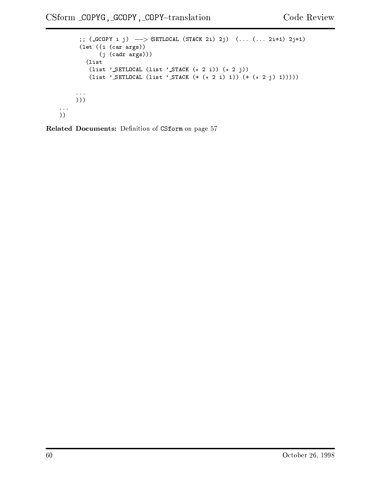```
	
	 ( 0 B> 44-

(K!%-
2.03M92F(GK -
M<0  B'>  > ( 
-
( 

  B3>   .>
        (\text{let } ((i (car args)))(j (cadr args)))(iis<sub>t</sub>)/ai: 2 .0.mm - 2 .0.mm - 2 .0.mm - 2 .0.mm - 2 .0.Min - 2 .0.Min - 2 .0.Min - 2 .0.Min - 2 .0.Min - 2 .0.Min -
             (E:B36 7  K% -
 2 .0.M.2 ( :B3657  K -
 M0 S( S(
  B'> 9>.> (S(
  > 3>.>9>.>.>
      )))
```
 $\blacksquare$  in  $\blacksquare$  and  $\blacksquare$  and  $\blacksquare$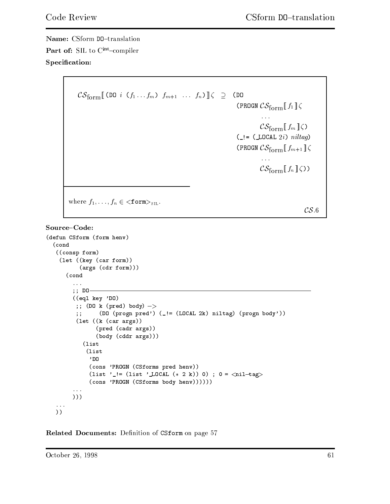Name: CSform D0-translation Part of: SIL to C<sup>int</sup>-compiler Specification:

> $CS_{\text{form}}$  (DO i  $(f_1 \ldots f_m)$   $f_{m+1}$   $\ldots$   $f_n$ )  $\|\zeta\|$   $\supset$  $(DD)$ (PROGN $\mathcal{CS}_{\mathrm{form}}[\![\,f_1\,]\!]$   $\zeta$  $\ddotsc$  $CS_{\text{form}}[[f_m]]\zeta$  $(\_\!=\!\text{ (LOCAL } 2i) \text{ niltag})$ (PROGN  $\mathcal{CS}_{\mathrm{form}}[[f_{m+1}]]\zeta$  $\ldots$  $CS_{\text{form}}[f_n]\Omega)$

where  $f_1, \ldots, f_n \in \langle \texttt{form} \rangle_{\texttt{SIL}}$ .

 $\mathcal{CS}.6$ 

### Source-Code:

```
(defun CSform (form henv)
  (cond
   ((\text{consp form})(let ((key (car form))
           (args (cdr form)))
      \epsiloncond
         \ldots;; DO-
         ((eq1 key 'D0);; (D0 k (pred) body) ->
                  (DO (progn pred') (_!= (LOCAL 2k) niltag) (progn body'))
          \mathbf{5}(\text{let } ((k (car args)))(pred (cadr args))
                 (body (cddr args)))
            (list
             (list
              סמי
              (cons 'PROGN (CSforms pred henv))
              (list '_!= (list '_LOCAL (* 2 k)) 0) ; 0 = \langlenil-tag>
              (cons 'PROGN (CSforms body henv))))))
         \sim 10 .
        )))
   \ldots))
```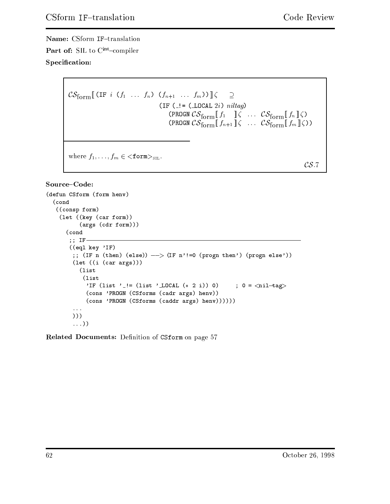Name: CSform IF-translation Part of: SIL to C<sup>int</sup>-compiler Specification:

> $CS_{\text{form}}$  (IF i  $(f_1 \ldots f_n)$   $(f_{n+1} \ldots f_m)$ )  $\|\zeta\|$  $\supset$ (IF  $(\perp) = (\perp OCH 2i)$  niltag) (PROGN  $\mathcal{CS}_{\text{form}}[[f_1 \quad ]] \zeta \quad \dots \quad \mathcal{CS}_{\text{form}}[[f_n]] \zeta$ ) (PROGN  $\mathcal{CS}_{\text{form}}[[f_{n+1}]\zeta \dots \mathcal{CS}_{\text{form}}[[f_m]\zeta)$ )

where  $f_1, \ldots, f_m \in \texttt{form}\texttt{>}_{\texttt{SIL}}$ .

#### $CS.7$

### Source-Code:

```
(defun CSform (form henv)
  \text{cond}((consp form)
    (let ((key (car form))
           (\arg s \ (\text{cdr form})))(cond
       ;; IF-((eql key 'IF)
        ;; (IF n (then) (else)) \longrightarrow (IF n'!=0 (progn then') (progn else'))
        (left ((i (car args)))(list
            (iist'IF (list '_!= (list '_LOCAL (* 2 i)) 0)
                                                              , 0 = \langlenil—tag\rangle(cons 'PROGN (CSforms (cadr args) henv))
             (cons 'PROGN (CSforms (caddr args) henv))))))
         \ldots))\ldots)
```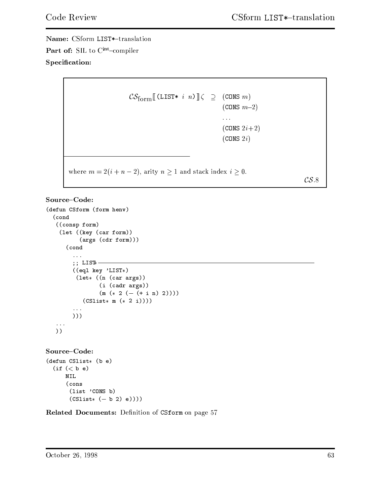Name: CSform LIST\*-translation Part of: SIL to C<sup>int</sup>-compiler

## Specification:

```
\mathcal{CS}_{\text{form}}[\![\text{ (LIST* } i \ n)] \!] \zeta \supseteq \text{ (CONS } m)(CDMS \; m-2)\ldots(CDNS 2i+2)(CONS 2i)where m = 2(i + n - 2), arity n \ge 1 and stack index i \ge 0.
```
 $CS.8$ 

### Source-Code:

```
(defun CSform (form henv)
  _{\rm (cond}((\text{consp form})(let ((key (car form))
           (args (cdr form)))(cond
         \sim \sim \sim;; LIST*-
         ((eq1 key 'LIST*)(\text{let} * ((n (car args)))(i (cadr args))(m (* 2 (- (+ i n) 2))))(CSlist* m (* 2 i))))\ddotsc)))
   \ddotsc))
```
### Source-Code:

(defun CSlist\* (b e)  $(it (< b e)$ **NIL** (cons (list 'CONS b)  $(CSlist* (- b 2) e))))$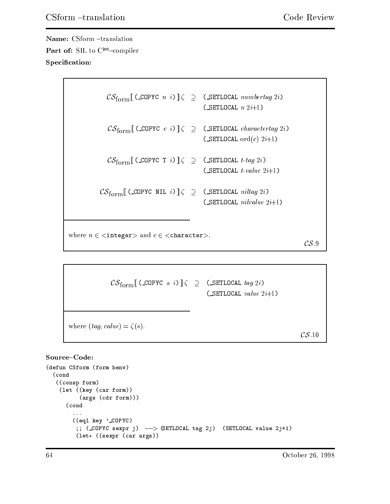Name: CSform -translation Part of: SIL to C<sup>int</sup>-compiler Specification:

```
CS_{\text{form}} (COPYC n i) \left| \zeta \right| \supset \Big| (SETLOCAL numbertag 2i)
                                                             (\text{SETLOCAL} n 2i+1)
                  CS_{\text{form}} (COPYC c i) \left[ \zeta \supseteq \zeta \right] (SETLOCAL charactertag 2i)
                                                             (SETLOCAL ord(c) 2i+1)
                 CS_{\text{form}} (COPYC T i) \left| \zeta \right| \supset \Big| (SETLOCAL t-tag 2i)
                                                             (SETLOCAL t-value 2i+1)
              \mathcal{CS}_{\text{form}}[ (_COPYC NIL i) ]\zeta \supseteq (_SETLOCAL niltag 2i)
                                                             (\text{SETLOCAL } \textit{nilvalue } 2i+1)where n \in \langle integer > and c \in \langle character >.
```
 $CS.9$ 

 $CS_{\text{form}}$  (COPYC s i)  $\left| \zeta \right| \supset \sup$  (SETLOCAL tag 2i)  $(\text{SETLOCAL} value 2i+1)$ 

where  $(tag, value) = \zeta(s)$ .

 $\mathcal{CS}.10$ 

```
(defun CSform (form henv)
  (cond
   ((\text{consp form})(let ((key (car form))
            (\arg s \cdot (cdr form)))(cond
         ((eql key '_COPYC)
          ;; (\text{COPYC} \text{sexpr } j) \text{ --- } (\text{SETLOCAL tag } 2j) (SETLOCAL value 2j+1)
           (let* ((sexpr (car args))
```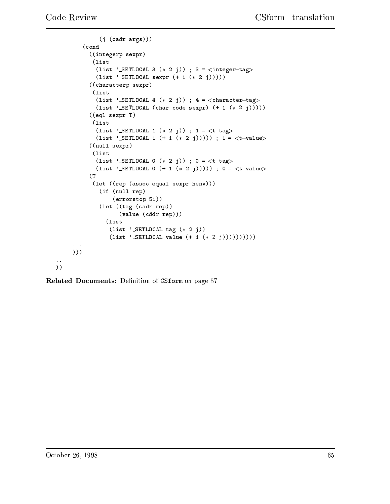```
(j (cadr args)))\epsiloncond
       ((integerp sexpr)
         (list
           (E:B3657  K % -
 2 '03M'2 (
  >.> 	    BI/.7<*!'*3AI4'7<8!

           (E:B3657  K % -
 2 '03M'2	6,*,O.?.A (  (
  >.>.>.>9>
       ((characterp sexpr)
         (Iist)(1 \cdot b \cdot b \cdot \alpha)(E:B3657  K % -
 2 '03M'2=(ID N'83A54D,;3)'* 6,*,O.?.A > ( (  >9>.>.>.>
        \lambda ( \lambda -300 \lambda -300 \lambda -300 \lambda -300 \lambda >
         (iis<sub>t</sub>)(1:0,1) and (2:0,1) (3:0,1)(1:1) and (1:2:1) ( (2:1) ) (3:1) ) (3:1)((null \; sexpr))(list
           (1'') . \Box (3'') (3'') (3'') (3'') (3'') (3'') (3'') (3'') (3'') (3'') (3'') (3'') (3'') (3'') (3'') (3'') (3'') (3'') (3'') (3'') (3'') (3'') (3'') (3'') (3'') (3'') (3'') (3'') (3'') (3'(1 . \alpha for \alpha and (1) and (1) and (1) and (1) and (1) and (1) and (1) and (1) and (1) and (1) and (1) and (1) and (1) and (1) and (1) and (1) and (1) and (1) and (1) and (1) 
        \sqrt{ } -
         (\text{let } ((rep (assoc-equal server henv)))(if (null rep)\mathcal{L} and \mathcal{L} are a set of \mathcal{L} . The set of \mathcal{L}(let ((tag (cadr rep))
                     (value (cddr rep)))(iis<sub>t</sub>)( :B3657  K% -
 2 '0.M.2 7'8! (
  >.>
                 ( :B3657  K% -
 2 '0.M.2-
'8.:,-'*=(  (
  >.>.>9>.>.>.>.>9>.>
))
```
 $\blacksquare$  ) . T  $\blacksquare$  , and a contract of the contract of the contract of the contract of the contract of the contract of the contract of the contract of the contract of the contract of the contract of the contract of the c

 $)$ 

 $\ddot{\phantom{a}}$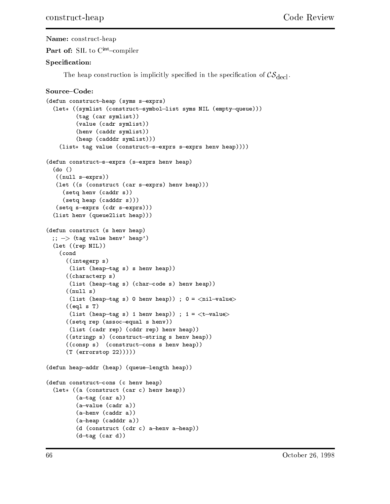Name: construct-heap

Part of: SIL to C<sup>int</sup>-compiler

#### Specification:

The heap construction is implicitly specified in the specification of  $\mathcal{CS}_{\text{dec}}$ .

```
(defun construct-heap (syms s-exprs)
  (let* ((symlist (construct-symbol-list syms NIL (empty-queue)))
         (tag (car symlist))
         (value (cadr symlist))
         (henv (caddr symlist))
         (headdr symlist)))
    (list* tag value (construct-s-exprs s-exprs henv heap))))
(defun construct-s-exprs (s-exprs henv heap)
  (do()((null s-express))(let ((s (construct (car s-exprs) henv heap)))
     (setq henv (caddr s))
     (setq heap (cadddr s)))
   (setq s-exprs (cdr s-exprs)))(list henv (queue2list heap)))
(defun construct (s henv heap)
 ;; -> (tag value henv' heap')
  (\text{let } ((rep NIL)))\epsiloncond
      ((integerp s))(list (heap-tag s) s henv heap))
      ((characterp s))(list (heap-tag s) (char-code s) henv heap))
      ((null s)(list (heap-tag s) 0 henv heap)) ; 0 = \langlenil-value>
      ((eq1 s T)(list (heap-tag s) 1 henv heap)) ; 1 = <t-value>
      ((setq rep (assoc-equal s henv))
       (list (cadr rep) (cddr rep) henv heap))
      ((stringp s) (construct-string s henv heap))
      ((consp s) (construct-cons s henv heap))
      (T (errorstop 22))))(defun heap-addr (heap) (queue-length heap))
(defun construct-cons (c henv heap)
  (let* ((a (construct (car c) heny heap))
         (a-tag (car a))(a-value (cadr a))
         (a-henv (caddr a))
         (a-heap (cadddr a))
         (d (construct (cdr c) a-henv a-heap))
         (d-tag (car d))
```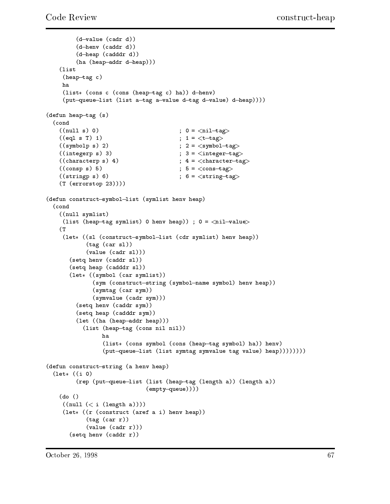```
(d-value (cadr d))(d - henv (caddr d))(d - heap (cadddr d))(ha (heap-addr d-heap)))
      (iis<sub>t</sub>)(heap-tag c)ha
       (list* (cons c (cons (heap-tag c) ha)) d-henv)
       (put-quene-list (list a-tag a-value d-tag d-value) d-head(p)))
(defun heap-tag(s))(cond((null s) 0), 0 = \langlenil-tag>
      (.( *3C': 6 -
 > .> ; 1 = \langle t - tag \rangle\overline{\phantom{a}} , \overline{\phantom{a}} , \overline{\phantom{a}} , \overline{\phantom{a}} , \overline{\phantom{a}} , \overline{\phantom{a}} , \overline{\phantom{a}} , \overline{\phantom{a}} , \overline{\phantom{a}} , \overline{\phantom{a}} , \overline{\phantom{a}} , \overline{\phantom{a}} , \overline{\phantom{a}} , \overline{\phantom{a}} , \overline{\phantom{a}} , \overline{\phantom{a}}; 2 = <symbol-tag>\overline{1} , and a set of the set of the set of the set of the set of the set of the set of the set of the set of the set of the set of the set of the set of the set of the set of the set of the set of the set of the set of
                                                             3 = <integer-tag>
      \overline{a} and \overline{a}\beta; 4 = \langlecharacter-tag\rangle((\text{consp s}) 5)
                                                            \frac{1}{2} 5 = \langle \text{cons-tag} \rangle((string s) 6)6 = \langlestring-tag>
      ( -
 (*,A.A';3A6 7';3?   >.>.>.>
(defun construct-symbol-list (symlist henv heap)
   (cond
      ((null symbol)( :B3657 (N'*983?I4'7'8! 6"3Q:B3657>  N'*,/ N'*.83?J>9> 	   /B5:I4<8.:3-'*

      \epsilon - \epsilon(let*((sl (constant-symbol-list (cdr synthit) henv heap))(tag (car sl))(value (cadr sl)))(setq henv (caddr sl))(setq heap (cadddr sl))
           (\text{let} * ((symbol (car synthesis))(sym (construct-string (symbol-name symbol) henv heap))
                     (symtag (car sym))(symvalue (cadr sym)))(setq henv (caddr sym))
              (setq heap (cadddr sym))
              (\text{let } ((ha (heap—addr heap)))(list (heap-tag (cons nil nil))
                          h<sub>a</sub>
                          (list* (cons symbol (cons (heap-tag symbol) ha)) henv)
                          (put-queue-list (list symtag symvalue tag value) heap))))))))
(defun construct-string (a henv heap)
   (\text{let} * ((i 0))(rep (put-queue-list (list (heap-tag (length a)) (length a))
                                              (empty-queue))))(do()(9(/.-':.: (  B(E:.*,/.7.N18>.>9>.>
       (left * ((r (construct (aref a i) hen v heap))(tag (car r))(value (cadr r)))(\text{setq henv }(\text{caddr }r))
```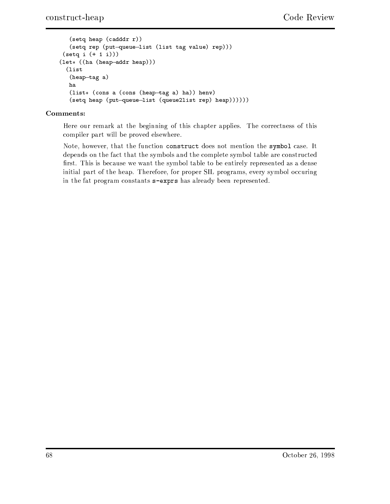```
(setq \text{ heap } (cadddr \r))(setq rep (put-queue-list (list tag value) rep)))
(setq i (+ 1 i)))(let* ((ha (heap-addr heap)))
 (iist)(heap-tag a)
  ha
  (list* (cons a (cons (heap-tag a) ha)) henv)
   (setq heap (put-queue-list (queue2list rep) heap)))))))
```
### Comments:

Here our remark at the beginning of this chapter applies. The correctness of this compiler part will be proved elsewhere.

Note, however, that the function construct does not mention the symbol case. It depends on the fact that the symbols and the complete symbol table are constructed first. This is because we want the symbol table to be entirely represented as a dense initial part of the heap. Therefore, for proper SIL programs, every symbol occuring in the fat program constants s-exprs has already been represented.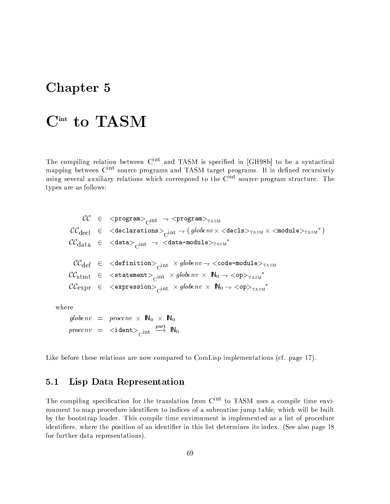# Chapter 5

# Cint to TASM

The compiling relation between  $C<sup>int</sup>$  and TASM is specified in [GH98b] to be a syntactical mapping between C<sup>int</sup> source programs and TASM target programs. It is defined recursively using several auxiliary relations which correspond to the  $C<sup>int</sup>$  source program structure. The types are as follows:

 $\mathcal{CC} \in \langle \texttt{program} \rangle_{\text{cint}} \to \langle \texttt{program} \rangle_{\texttt{Task}}$  $\mathcal{CC}_{\text{decl}}$   $\in$   $\leq$  declarations $>$ <sub>C</sub>int  $\rightarrow$  ( $\text{globenv}\times$   $\leq$  decls $>$ <sub>TASM</sub>  $\times$   $\leq$  module $>$ <sub>TASM</sub>  $^*$ )  $\mathcal{CC}_{\text{data}} \in \langle \text{data} \rangle_{\text{cint}} \to \langle \text{data-model} \rangle_{\text{trans}}$ \*  $\mathcal{CC}_{def} \in \langle \text{definition} \rangle_{\text{cint}} \times \text{globenv} \rightarrow \langle \text{code-models} \rangle_{\text{TASM}}$  $\mathcal{CC}_{\text{stmt}} \in \langle \texttt{statement} \rangle_{\text{cint}} \times \textit{globenv} \times \mathbb{N}_{0} \rightarrow \langle \texttt{op} \rangle_{\texttt{task}}^*$  $\mathcal{CC}_{\text{expr}} \in \langle \text{expression} \rangle_{\text{cint}} \times \text{globenv} \times \mathbb{N}_0 \to \langle \text{op} \rangle_{\text{Task}}^*$ where  $\mathit{globenv} = \mathit{procent} \times \mathbb{N}_0 \times \mathbb{N}_0$ *procenv* =  $\langle$ **ident** $>_{\text{cint}}$   $\overset{\text{part}}{\longrightarrow}$  N<sub>0</sub>

Like before these relations are now compared to ComLisp implementations (cf. page 17).

#### $5.1$ Lisp Data Representation

The compiling specification for the translation from C<sup>int</sup> to TASM uses a compile time environment to map procedure identifiers to indices of a subroutine jump table, which will be built by the bootstrap loader. This compile time environment is implemented as a list of procedure identifiers, where the position of an identifier in this list determines its index. (See also page 18) for further data representations).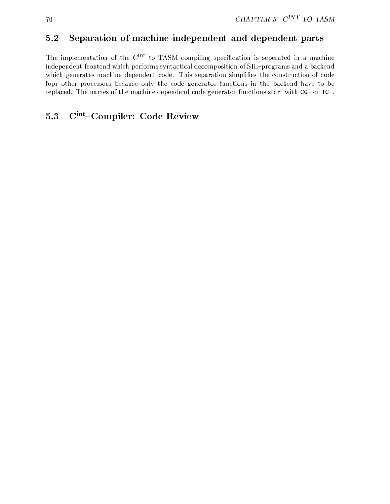#### Separation of machine independent and dependent parts  $5.2$

The implementation of the C<sup>int</sup> to TASM compiling specification is seperated in a machine independent frontend which performs syntactical decomposition of SIL-programs and a backend which generates machine dependent code. This separation simplifies the construction of code fopr other processors because only the code generator functions in the backend have to be replaced. The names of the machine dependend code generator functions start with CG- or TC-.

#### Cint-Compiler: Code Review 5.3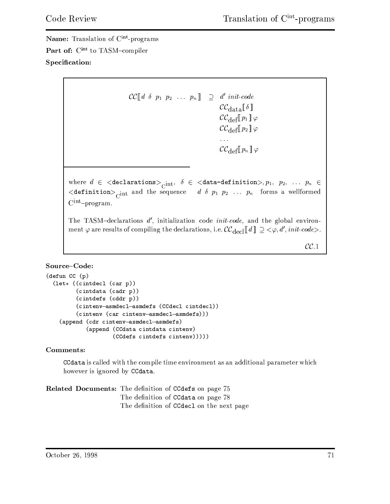Name: Translation of C<sup>int</sup>-programs Part of: Cint to TASM-compiler Specification:

> $\mathcal{CC} \llbracket d \; \delta \; p_1 \; p_2 \; \ldots \; p_n \rrbracket \quad \supset \; d' \; init-code$  $\mathcal{CC}_{\text{data}}[\![\delta]\!]$  $\mathcal{CC}_{\text{def}}[p_1] \varphi$  $\mathcal{CC}_{\text{def}}[p_2] \varphi$  $\mathcal{CC}_{\text{def}}[p_n]$   $\varphi$

where  $d \in \langle \text{declarations} \rangle_{\text{clint}}$ ,  $\delta \in \langle \text{data-definition} \rangle, p_1, p_2, \dots p_n \in$  $\leq$ definition $>_{\text{C}}$ int and the sequence d  $\delta$   $p_1$   $p_2$  ...  $p_n$  forms a wellformed  $C<sup>int</sup>-program.$ 

The TASM-declarations d', initialization code *init-code*, and the global environment  $\varphi$  are results of compiling the declarations, i.e.  $\mathcal{CC}_{\text{dec}}[[d]] \supseteq \varphi, d', init-code>$ .

 $\mathcal{CC}.1$ 

## Source-Code:

```
(defun CC (p)
  (let* ((cintdecl (car p))
         (cintdata (cadr p))
         (cintdefs (cddr p))(cintenv-asmdecl-asmdefs (CCdecl cintdecl))
         (cintenv (car cintenv-asmdecl-asmdefs)))
    (append (cdr cintenv-asmdecl-asmdefs)
            (append (CCdata cintdata cintenv)
                    (CCdefs cintdefs cintenv))))
```
### Comments:

CCdata is called with the compile time environment as an additional parameter which however is ignored by CCdata.

Related Documents: The definition of CCdefs on page 75 The definition of CCdata on page 78 The definition of CCdec1 on the next page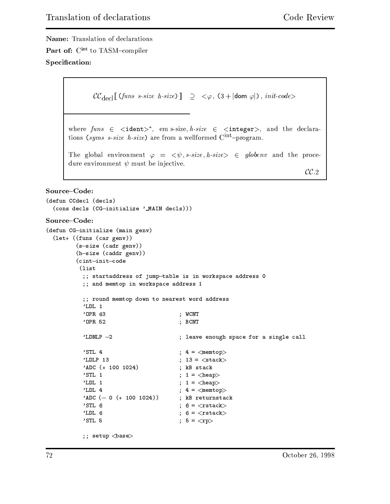Name: Translation of declarations Part of: Cint to TASM-compiler Specification:

 $\mathcal{CC}_{\text{dec}}[$  (funs s-size h-size)  $]\quad 2 \quad <\varphi$ ,  $(3+|\text{dom }\varphi|)$ , init-code>

```
where funs \in <ident>*, em s-size, h-size \in <integer>, and the declara-
tions (syms s-size h-size) are from a wellformed C<sup>int</sup>-program.
```
The global environment  $\varphi = \langle \psi, s \text{--size}, h \text{--size} \rangle \in globenv$  and the procedure environment  $\psi$  must be injective.

 $\mathcal{CC}.2$ 

```
(defun CCdecl (decls)
  (cons decls (CG-initialize '_MAIN decls)))
Source-Code:
(defun CG-initialize (main genv)
  (\text{let} * ((funs (car genv)))(s-size (cadr genv))
           (h-size (caddr genv))(cint–init–code(list
            ;; startaddress of jump-table is in workspace address 0
             ;; and memtop in workspace address 1
             ;; round memtop down to nearest word address
             'LDL 1
                                               ; WCNT
             'OPR 63
             'OPR 52
                                               ; BCNT
             'LDNLP -2
                                               ; leave enough space for a single call
             'STL 4
                                               ; 4 = <memtop>
                                               ; 13 = \text{stack}'LDLP 13
             'ADC (* 100 1024)
                                               ; kB stack
             'STL 1
                                               ; 1 = \langle \text{heap} \rangle'LDL 1
                                               : 1 = \langle \text{heap} \rangle; 4 = \langle \text{mentop} \rangle'LDL4'ADC (- 0 (* 100 1024)); kB returnstack
             'STL 6
                                               ; 6 = \langle \text{rstack} \rangle'LDL 6
                                               ; 6 = \langle \text{rstack} \rangle'STL 5
                                               ; 5 = <rp>;; setup <base>
```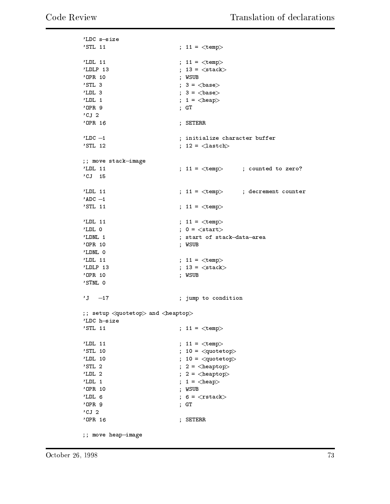```
'LDC s-size
'STL 11
                                   ; 11 = \text{temp}'LDL 11
                                   : 11 = \text{temp}'LDLP 13
                                   ; 13 = \text{stack}'OPR 10
                                   ; WSUB
'STL 3
                                  \therefore 3 = \langle \text{base} \rangle\Rightarrow 3 = <base>
'LDL 3
                                   ; 1 = <heap>
'LDL'1
'OPR 9
                                   ; GT'CI 2
'OPR 16
                                   ; SETERR
'LDC -1; initialize character buffer
'STL 12
                                   ; 12 = \langlelastch>
;; move stack-image
'LDL 11
                                  ; 11 = <temp>; counted to zero?
°CJ 15
'LDL 11
                                  : 11 = \texttt{<temp>}; decrement counter
'ADC -1'STL 11
                                   ; 11 = \texttt{<temp>}'LDL 11
                                   : 11 = \langle temp \rangle'LDI. 0
                                   ; 0 = \langle start \rangle'LDNL 1
                                   ; start of stack-data-area
'OPR 10
                                   ; WSUB
'LDNL O
'LDL 11
                                  : 11 = \langle temp \rangle'LDLP 13
                                   ; 13 = \text{stack}'OPR 10
                                   ; WSUB
'STNL 0
'J -17; jump to condition
;; setup <quotetop> and <heaptop>
'LDC h-size
'STL 11
                                   ; 11 = \text{temp}'LDL 11
                                   ; 11 = \text{temp}'STL 10
                                   : 10 = \langle \text{quotetop} \rangle'LDL 10
                                   : 10 = \langle quotient \rangle; 2 = <\heasuredangleheaptop>'STL 2
'LDL 2
                                  ; 2 = <\heasuredangleheaptop>'LDL 1
                                  ; 1 = <heap>
'OPR 10
                                   ; WSUB
                                  6 = <rstack>
'LDL 6
'OPR 9
                                   ; GT
^{\circ}CJ 2
'OPR 16
                                   ; SETERR
;; move heap-image
```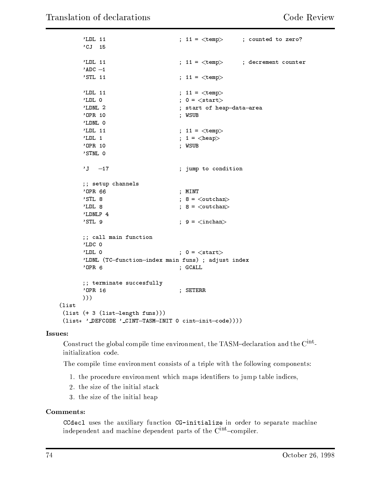```
'LDL 11
                                                            	    7'*Q'?
 	 D ;3-./.7'*,)	7<; 
<*3A';
           'LDL 11
                                                           ; 11 = \langle temp \rangle ; decrement counter
           'ADC -1@K -
2  
                                                           ; 11 = \langle \texttt{temp} \rangle'LDL 11; 11 = <temp>2.101.0; 0 = \langle start \rangle 2!#'2  ; start of heap-data-area
           'OPR 10
                                                           ; WSUB
           'LDNL 0
           'LDL 11; 11 = \langle \text{temp} \rangle21.101.11; 1 = \langle \text{heap} \rangle'OPR 10
                                                           ; WSUB
            @K -
'2 
                                                           ; jump to condition
            6, 2340-20 ALAMBATA
           'OPR 66
                                                          : MINT
            . <u>2002</u> - 2002 - 2002 - 2002 - 2002 - 2002 - 2002 - 2002 - 2002 - 2002 - 2002 - 2002 - 2002 - 2002 - 2002 - 200
                                                          ; 8 = \langleoutchan\rangle'LDL 8
                                                          ; 8 = \langle \text{outchan} \rangle 2!#'2 
            @K -
2 
                                                           9 = <inchan>
            \mathbf{D}, \mathbf{D} and \mathbf{D} are \mathbf{D} \mathbf{D} \mathbf{D} \mathbf{D} \mathbf{D} \mathbf{D} \mathbf{D} \mathbf{D} \mathbf{D} \mathbf{D} \mathbf{D} \mathbf{D} \mathbf{D} \mathbf{D} \mathbf{D} \mathbf{D} \mathbf{D} \mathbf{D} \mathbf{D} \mathbf{D} \mathbf{'LDC 0
           'LDL 0
                                                           0 = \langlestart\rangle 2!#'2 ( -
 0I4+.-./D 7B5;3/E4!B"/.)'*3O Q8B"/	+9-./6<> 	 83) 3-657BI/.)<*3O
           OPR 6
                                                           ; GCALL

	 7'*3A,QJBI/'837<*	65-D.D *P65+.-':9:!"
           'OPR 16
                                                            A m m m B \sim))
(iis<sub>t</sub>)(list (+ 3 (list-length runs)))(list* '_DEFCODE '_CINT—TASM—INIT 0 cint—init—code))))
```
#### ?)) h.])'

 $\blacksquare$  , the contract of the contract of the contract of the contract of the contract of the contract of the contract of the contract of the contract of the contract of the contract of the contract of the contract of the initialization code.

and the set of the set of the set of the set of the set of the set of the set of the set of the set of the set of the set of the set of the set of the set of the set of the set of the set of the set of the set of the set

- $\sim$  1. The set of the set of the set of the set of the set of the set of the set of the set of the set of the set of the set of the set of the set of the set of the set of the set of the set of the set of the set of the
- 6 FC,O c \,O) ) /X, #o
- A FC,O c \,O) ) /\

### Comments:

CCdecl uses the auxiliary function CG-initialize in order to separate machine  $\,$  $\alpha$  is the local contract of  $\alpha$  is contracted to the contracted of  $\alpha$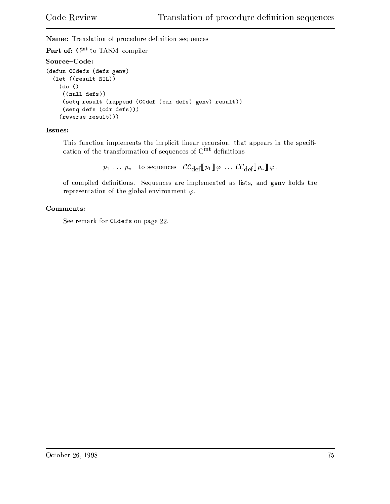Name: Translation of procedure definition sequences

Part of: Cint to TASM-compiler

### Source-Code:

```
(defun CCdefs (defs genv)
  (\text{let } ((result \text{ NIL}))(do()((null defs))(setq result (rappend (CCdef (car defs) genv) result))
     (setq defs (cdr defs)))
    (reverse result))
```
### Issues:

This function implements the implicit linear recursion, that appears in the specification of the transformation of sequences of C<sup>int</sup> definitions

 $p_1 \ldots p_n$  to sequences  $\mathcal{CC}_{\text{def}}[p_1] \varphi \ldots \mathcal{CC}_{\text{def}}[p_n] \varphi$ .

of compiled definitions. Sequences are implemented as lists, and genv holds the representation of the global environment  $\varphi$ .

### Comments:

See remark for CLdefs on page 22.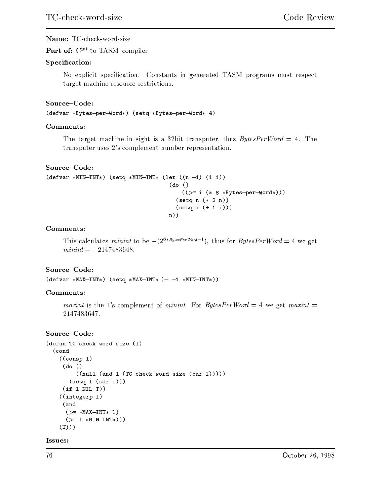Name: TC-check-word-size

Part of: Cint to TASM-compiler

## Specification:

No explicit specification. Constants in generated TASM-programs must respect target machine resource restrictions.

# Source-Code:

 $(detvar *Bytes-per-Word*)$  (setq \*Bytes-per-Word\* 4)

## Comments:

The target machine in sight is a 32bit transputer, thus  $BytesPerWord = 4$ . The transputer uses 2's complement number representation.

## Source-Code:

```
(\text{defvar} *MIN-INT*) (setq *MIN-INT* (let ((n -1) (i 1))(do()((>= i (* 8 *]_ytes-per-Word*)))
                                            (\text{setq n} (\ast 2 n))(setq i (+ 1 i)))n))
```
# Comments:

This calculates minint to be  $-(2^{8*BytesPerWord-1})$ , thus for *BytesPerWord* = 4 we get  $minint = -2147483648.$ 

# Source-Code:

 $(\text{defvar} * \text{MAX} - \text{INT}*)$  (setq \*MAX-INT\* (- -1 \*MIN-INT\*))

## Comments:

maxint is the 1's complement of minint. For BytesPerWord = 4 we get maxint = 2147483647.

## Source-Code:

```
(defun TC-check-word-size (1)
  \epsiloncond
    ((\text{consp 1})(do()((null (and l (TC-check–word-size (car l))))))(setq 1 (cdr 1)))(if 1 NIL T))((integerp 1))(and
      (>= *MAX-INT* 1)
      (>= 1 *MIN-INT*))
    (T))
```
Issues: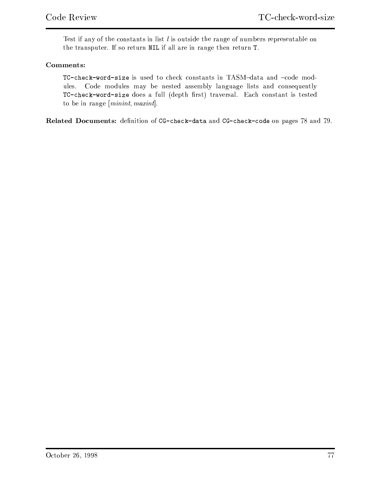Test if any of the constants in list  $l$  is outside the range of numbers representable on the transputer. If so return NIL if all are in range then return T.

## Comments:

TC-check-word-size is used to check constants in TASM-data and -code modules. Code modules may be nested assembly language lists and consequently TC-check-word-size does a full (depth first) traversal. Each constant is tested to be in range  $\left[ minint, maxint \right]$ .

Related Documents: definition of CG-check-data and CG-check-code on pages 78 and 79.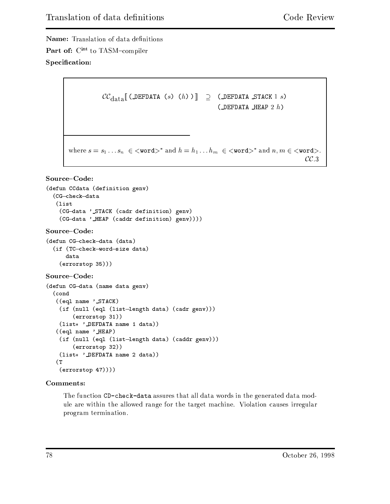Name: Translation of data definitions Part of: Cint to TASM-compiler Specification:

> $\mathcal{CC}_{\text{data}}$  (DEFDATA (s) (h))  $\supseteq$  (DEFDATA STACK 1 s) ( $DEFDATA$  HEAP 2 h)

where  $s = s_1 \dots s_n \in \langle \text{word} \rangle^*$  and  $h = h_1 \dots h_m \in \langle \text{word} \rangle^*$  and  $n, m \in \langle \text{word} \rangle$ .  $\mathcal{CC}.3$ 

### Source-Code:

```
(defun CCdata (definition genv)
  (CG-check-data
   (list
    (CG-data '_STACK (cadr definition) genv)
    (CG-data '_HEAP (caddr definition) genv))))
```
#### Source-Code:

```
(defun CG-check-data (data)
  (if (TC-check-word-size data)
     data
    (errorstop 35)))
```
### Source-Code:

```
(defun CG-data (name data genv)
  (cond((eq1 name 'STACK)(if (null (eql (list-length data) (cadr genv)))
       (errorstop 31))(list* '_DEFDATA name 1 data))
   ((eq1 name 'HERP)(if (null (eql (list-length data) (caddr genv)))
        (errorstop 32))(list* '_DEFDATA name 2 data))
   (T)(errorstop 47))))
```
### Comments:

The function CD-check-data assures that all data words in the generated data module are within the allowed range for the target machine. Violation causes irregular program termination.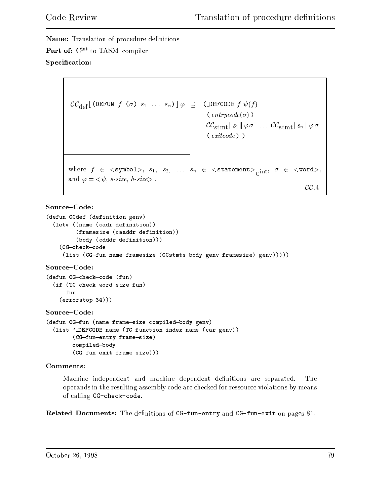Name: Translation of procedure definitions Part of: Cint to TASM-compiler Specification:

> $\mathcal{CC}_{\text{def}}$  (DEFUN  $f$  ( $\sigma$ )  $s_1$  ...  $s_n$ )  $\rrbracket \varphi \supseteq$  (DEFCODE  $f \psi(f)$  $\langle$  entrycode $(\sigma)$ )  $\mathcal{CC}_{\text{stmt}}[s_1] \varphi \sigma \dots \mathcal{CC}_{\text{stmt}}[s_n] \varphi \sigma$  $\left(\right. \mathit{extcode}\right)$ where  $f \in \langle \text{symbol} \rangle, s_1, s_2, \ldots s_n \in \langle \text{statement} \rangle \text{}_{\text{C}}$  int,  $\sigma \in \langle \text{word} \rangle$ , and  $\varphi = \langle \psi, s\text{-}size, h\text{-}size \rangle$ .  $\mathcal{CC}.4$

#### Source-Code:

```
(defun CCdef (definition genv)
  (let* ((name (cadr definition))
         (framesize (caaddr definition))
         (body (cdddr definition)))
    (CG-check-code
     (list (CG-fun name framesize (CCstmts body genv framesize) genv)))))
```
### Source-Code:

```
(defun CG-check-code (fun)
  (if (TC-check-word-size fun)
      fun
    (errorstop 34)))
```
#### Source-Code:

```
(defun CG-fun (name frame-size compiled-body genv)
  (list '_DEFCODE name (TC-function-index name (car genv))
        (CG - fun-entry frame-size)
        compiled-body
        (CG-fun-exit frame-size))
```
### Comments:

Machine independent and machine dependent definitions are separated. The operands in the resulting assembly code are checked for ressource violations by means of calling CG-check-code.

**Related Documents:** The definitions of CG-fun-entry and CG-fun-exit on pages 81.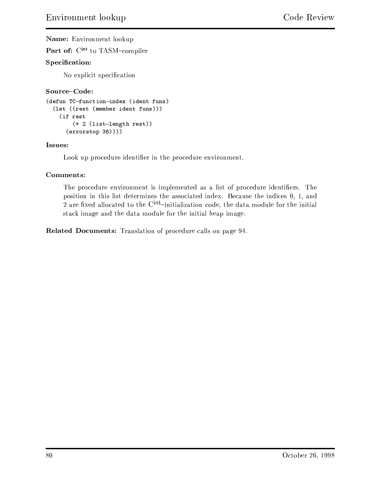Name: Environment lookup

Part of: C<sup>int</sup> to TASM-compiler

### Specification:

No explicit specification

## Source-Code:

```
(defun TC-function-index (ident funs)
 (let ((rest (member ident funs)))
    (if rest
        (+ 2 (list-length rest))(errorstop 36)))
```
## Issues:

Look up procedure identifier in the procedure environment.

# Comments:

The procedure environment is implemented as a list of procedure identifiers. The position in this list determines the associated index. Because the indices 0, 1, and 2 are fixed allocated to the C<sup>int</sup>-initialization code, the data module for the initial stack image and the data module for the initial heap image.

Related Documents: Translation of procedure calls on page 94.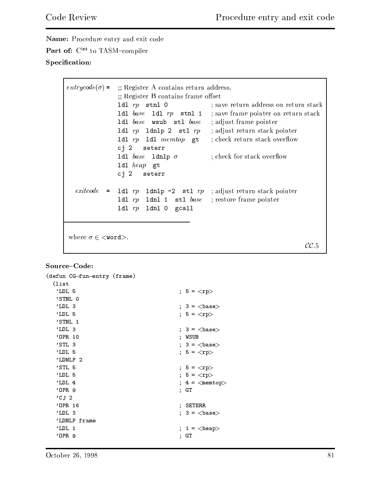Name: Procedure entry and exit code Part of: C<sup>int</sup> to TASM-compiler Specification:

| $entropycode(\sigma) =$                          | , Register A contains return address,<br>:; Register B contains frame offset |                                       |  |  |  |
|--------------------------------------------------|------------------------------------------------------------------------------|---------------------------------------|--|--|--|
|                                                  | 1dl $rp$ stnl 0                                                              | ; save return address on return stack |  |  |  |
|                                                  | 1dl $base$ 1dl $rp$ stnl 1                                                   | ; save frame pointer on return stack  |  |  |  |
|                                                  | 1dl $base$ wsub stl $base$                                                   | ; adjust frame pointer                |  |  |  |
|                                                  | 1dl $rp$ 1dnlp 2 stl $rp$                                                    | ; adjust return stack pointer         |  |  |  |
|                                                  | 1dl $rp$ 1dl $memtop$ gt                                                     | ; check return stack overflow         |  |  |  |
|                                                  | cj 2 seterr                                                                  |                                       |  |  |  |
|                                                  | 1dl <i>base</i> 1dnlp $\sigma$                                               | ; check for stack overflow            |  |  |  |
|                                                  | 1dl $heap$ gt                                                                |                                       |  |  |  |
|                                                  | cj 2 seterr                                                                  |                                       |  |  |  |
|                                                  | exitcode = 1d1 rp 1dn1p -2 st1 rp ; adjust return stack pointer              |                                       |  |  |  |
|                                                  | 1d1 $rp$ 1dn1 1 st1 $base$ ; restore frame pointer                           |                                       |  |  |  |
|                                                  | 1dl $rp$ 1dnl 0 gcall                                                        |                                       |  |  |  |
|                                                  |                                                                              |                                       |  |  |  |
|                                                  |                                                                              |                                       |  |  |  |
| where $\sigma \in \langle \text{word} \rangle$ . |                                                                              |                                       |  |  |  |

Source-Code:

| (defun CG—fun—entry (frame)<br>(list |  |                                    |
|--------------------------------------|--|------------------------------------|
| 'LDL 5                               |  | ; $5 = rp$                         |
| 'STNL 0                              |  |                                    |
| 'LDL 3                               |  | $: 3 = <$ base $>$                 |
| 'LDL 5                               |  | ; 5 = $<$ rp $>$                   |
| 'STNL 1                              |  |                                    |
| 'LDL 3                               |  | $: 3 = <$ base $>$                 |
| OPR 10'                              |  | : WSUB                             |
| 'STL 3                               |  | ; $3 = base$                       |
| 'LDL 5                               |  | ; 5 = $<$ rp $>$                   |
| 'LDNLP 2                             |  |                                    |
| 'STL 5                               |  | ; 5 = $<$ rp $>$                   |
| 'LDL 5                               |  | ; $5 = rp$                         |
| 'LDL 4                               |  | $: 4 =$ $\langle$ memtop $\rangle$ |
| OPR 9                                |  | ; GT                               |
| 'CJ <sub>2</sub>                     |  |                                    |
| OPR 16                               |  | ; SETERR                           |
| 'LDL 3                               |  | ; 3 = $<$ base $>$                 |
| 'LDNLP frame                         |  |                                    |
| 'LDL 1                               |  | ; 1 = $<$ heap $>$                 |
| OPR 9                                |  | ; GT                               |

 $CC.5$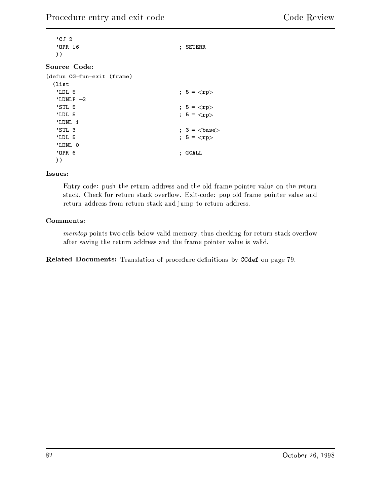$'CI$  2 'OPR 16  $)$ )

## Source-Code:

| (defun CG-fun-exit (frame)<br>(list |  |         |                  |
|-------------------------------------|--|---------|------------------|
|                                     |  |         |                  |
| 'LDL 5                              |  |         | ; 5 = $<$ rp $>$ |
| 'LDNLP $-2$                         |  |         |                  |
| 'STL 5                              |  |         | ; 5 = $<$ rp $>$ |
| 'LDL 5                              |  |         | ; $5 = rp$       |
| 'LDNL 1                             |  |         |                  |
| 'STI 3                              |  |         | : $3 = base$     |
| 'LDL 5                              |  |         | ; 5 = $<$ rp $>$ |
| 'LDNL O                             |  |         |                  |
| OPR 6 ^                             |  | : GCALL |                  |
|                                     |  |         |                  |

#### Issues:

Entry-code: push the return address and the old frame pointer value on the return stack. Check for return stack overflow. Exit-code: pop old frame pointer value and return address from return stack and jump to return address.

: SETERR

### Comments:

memtop points two cells below valid memory, thus checking for return stack overflow after saving the return address and the frame pointer value is valid.

Related Documents: Translation of procedure definitions by CCdef on page 79.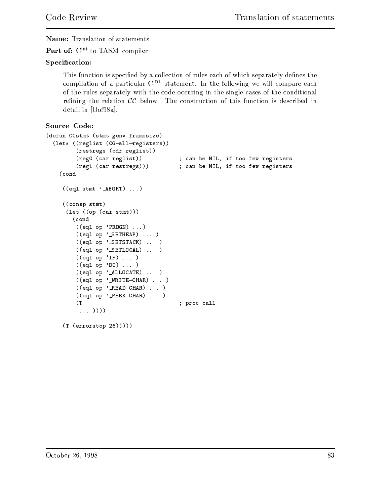Name: Translation of statements

Part of: Cint to TASM-compiler

### Specification:

This function is specified by a collection of rules each of which separately defines the compilation of a particular  $C<sup>int</sup>$ -statement. In the following we will compare each of the rules separately with the code occuring in the single cases of the conditional refining the relation  $CC$  below. The construction of this function is described in detail in [Hof98a].

### Source-Code:

```
(defun CCstmt (stmt genv framesize)
  (let* ((reglist (CG-all-registers))
         (restregs (cdr reglist))
                                          ; can be NIL, if too few registers
         (reg0 (car reglist))
         (reg1 (car restregs)))
                                         ; can be NIL, if too few registers
    \epsiloncond
     ((eq1 \text{stmt } ' \text{ABORT}) ...)((\text{consp strnt})(\text{let } ((op (car stmt)))\epsiloncond
         ((eq1 op 'PROGN) ...)((eq1 op 'SETHEAP) ... )((eq1 op 'SETSTACK) ... )((eq1 op 'SETLOCAL) ... )((eq1 op 'IF) ... )((eq1 op 'D0) ... )((eq1 op 'ALLOCATE) ... )((eq1 op '_WRITE–CHAR) ... )((eq1 op 'ERAD-CHAR) ... )((eq1 op 'PEEK–CHAR) ... )(T); proc call
          \ldots ))))
```
 $(T (errorstop 26))))$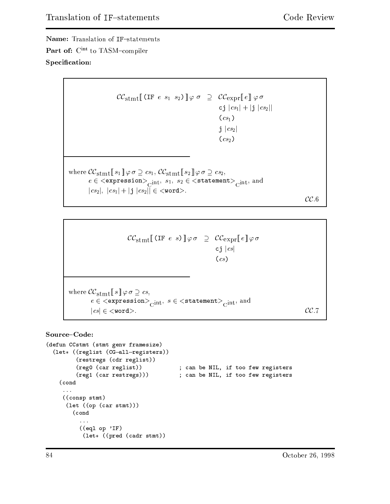Name: Translation of IF-statements Part of: Cint to TASM-compiler Specification:

```
\mathcal{CC}_{\text{stmt}} (IF e \ s_1 \ s_2) \phi \ \sigma \supseteq \ \mathcal{CC}_{\text{expr}}[e] \ \varphi \sigmacj |cs_1| + |j|cs_2||(c_{s_1})j \, |c s_2|(c_{s_2})
```

```
where \mathcal{CC}_{\text{stmt}}[\![s_1]\!] \varphi \sigma \supseteq cs_1, \mathcal{CC}_{\text{stmt}}[\![s_2]\!] \varphi \sigma \supseteq cs_2,
            e \in \langle expression>_{\text{cint}}, s_1, s_2 \in \langle statement>_{\text{cint}}, and
            |cs_2|, |cs_1| + |j| |cs_2| \in \texttt{<word>}.
```
 $CC.6$ 

 $\mathcal{CC}_{\text{stmt}}$  (IF e s)  $\phi \sigma \supseteq \mathcal{CC}_{\text{expr}}$  e  $\phi \sigma$ cj  $|cs|$  $(cs)$ 

where  $\mathcal{CC}_{\text{stmt}}[[s]]\varphi\sigma \supseteq cs,$  $e \in \langle$ expression $>_{\text{cint}}, s \in \langle$ statement $>_{\text{cint}},$  and  $|cs| \in \langle word \rangle$ .

 $CC.7$ 

```
Source-Code:
```

```
(defun CCstmt (stmt genv framesize)
  (let* ((reglist (CG-all-registers))
          (restregs (cdr reglist))
          (reg0 (car reglist))
                                          ; can be NIL, if too few registers
         (reg1 (car restregs)))
                                          ; can be NIL, if too few registers
    \epsiloncond
     \ddots((\text{consp strnt})(left ((op (car stmt)))\epsiloncond
          \ddotsc((eq1 op 'IF)(let* ((pred (cadr stmt))
```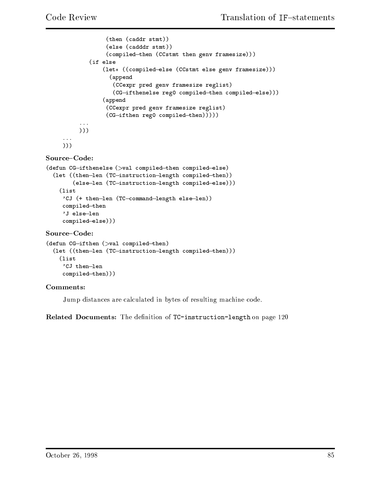```
(then (caddr stmt))
               (else (cadddr stmt))
               (compiled-then (CCstmt then genv framesize)))
         (if else
              (let* ((compiled-else (CCstmt else genv framesize)))
                (append
                 (CCexpr pred genv framesize reglist)
                 (\verb|CG–ifthenelse reg0\hspace*{1.5em} compiled - then\hspace*{1.5em} compiled - else)))(append
               (CCexpr pred genv framesize reglist)
               (CG-ifthen\ reg0\ compiled-then))))\ldots))\mathbf{1})))
```
#### Source-Code:

```
(defun CG-ifthenelse (>val compiled-then compiled-else)
  (let ((then-len (TC-instruction-length compiled-then))
        (else-len (TC-instruction-length compiled-else)))
    (list
    'CJ (+ then-len (TC-command-length else-len))
    compiled-then
    'J else-len
    compiled–else))
```
#### Source-Code:

```
(defun CG-ifthen (>val compiled-then)
  (let ((then-len (TC-instruction-length compiled-then)))
    (list
     'CJ then-len
     compiled-then)))
```
### Comments:

Jump distances are calculated in bytes of resulting machine code.

**Related Documents:** The definition of TC-instruction-length on page 120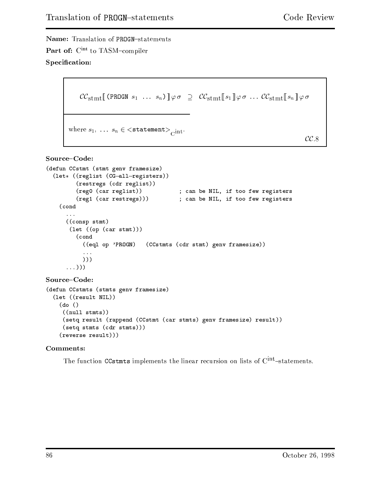Name: Translation of PROGN-statements

Part of: Cint to TASM-compiler

# Specification:

 $\mathcal{CC}_{\text{stmt}}$  [(PROGN  $s_1$  ...  $s_n$ ) ]  $\varphi \sigma \supseteq \mathcal{CC}_{\text{stmt}}$  [ $s_1$ ]  $\varphi \sigma$  ...  $\mathcal{CC}_{\text{stmt}}$  [ $s_n$ ]  $\varphi \sigma$ 

where  $s_1, \ldots s_n \in \langle \texttt{statement} \rangle_{\text{cint}}.$ 

 $CC.8$ 

### Source-Code:

```
(defun CCstmt (stmt genv framesize)
  (let* ((reglist (CG-all-registers))
          (restregs (cdr reglist))
          (reg0 (car reglist))
                                           ; can be NIL, if too few registers
          (\text{reg1} (\text{car restores}))); can be NIL, if too few registers
    (cond
      ((\text{consp strnt})(\text{let } ((op (car stmt)))\epsiloncond
            ((eql op 'PROGN) (CCstmts (cdr stmt) genv framesize))
            \sim 10)))
      \ldots))
```
## Source-Code:

```
(defun CCstmts (stmts genv framesize)
  (left (result NIL))(do()((null \; \text{stmts}))(setq result (rappend (CCstmt (car stmts) genv framesize) result))
     (setq \text{st} \text{mts } (cdr \text{st} \text{mts})))(reverse result))
```
## Comments:

The function CCstmts implements the linear recursion on lists of  $\mathrm{C}^{\text{int}}$ -statements.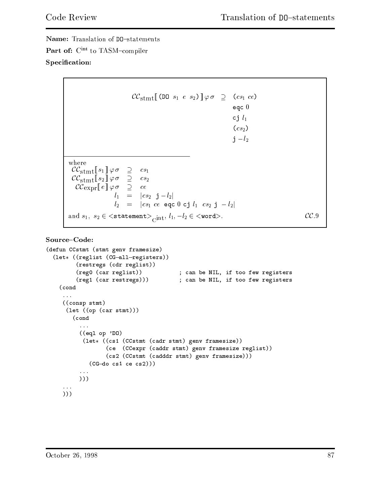Name: Translation of D0-statements Part of: Cint to TASM-compiler

# Specification:

|                                                                                                                                                                                                                                       | $\mathcal{CC}_{\text{stmt}}$ (DO $s_1$ e $s_2$ ) $\phi \sigma \supseteq (cs_1 ce)$<br>$eqc$ 0<br>cj $l_1$<br>$(c_{s_2})$<br>$i - l_2$ |                  |
|---------------------------------------------------------------------------------------------------------------------------------------------------------------------------------------------------------------------------------------|---------------------------------------------------------------------------------------------------------------------------------------|------------------|
| where<br>$\mathcal{CC}_{\text{stmt}}[s_1] \varphi \sigma \supseteq cs_1$<br>$\mathcal{CC}_{\text{stmt}}[s_2] \varphi \sigma \supset cs_2$<br>$\mathcal{CC}_{\rm expr}\llbracket e \rrbracket \varphi \sigma \quad \supseteq \quad ce$ | $l_1 =  cs_2 \t_1 - l_2 $<br>$l_2 =  cs_1 \text{ ce} \text{ eqc} \text{ 0 ci } l_1 \text{ cs}_2 \text{ i } -l_2 $                     |                  |
|                                                                                                                                                                                                                                       | and $s_1, s_2 \in \langle \texttt{statement} \rangle_{\text{C}}$ int, $l_1, -l_2 \in \langle \texttt{word} \rangle$ .                 | $\mathcal{CC}.9$ |

```
(defun CCstmt (stmt genv framesize)
  (left * ((regular (CG–all–registers)))(restregs (cdr reglist))
          (reg0 (car reglist))
                                            ; can be NIL, if too few registers
          (reg1 (car restregs)))
                                            ; can be NIL, if too few registers
    \epsiloncond
     ((\text{consp strnt})(\text{let } ((op (car stmt)))\qquadmathsf{cond}\ddotsc((eq1 op 'DD)(let* ((cs1 (CCstmt (cadr stmt) genv framesize))
                    (ce (CCexpr (caddr stmt) genv framesize reglist))
                    (cs2 (CCstmt (cadddr stmt) genv framesize)))
              (CG-do cs1 ce cs2)))\sim \sim \sim)))
     \ddotsc)))
```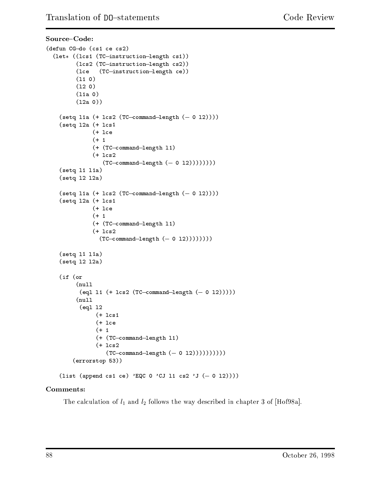#### Source-Code:

```
(defun CG-do (cs1 ce cs2)
  (let* ((lcs1 (TC-instruction-length cs1))
          (lcs2 (TC-instruction-length cs2))
         (1ce(TC-instruction–length ce))(11 0)(12 0)(11a 0)(12a 0))(\text{setq } 11a (+ \text{ lcs2 } (TC_{\text{command-length}} (- 0 12))))(setq 12a (+ 1cs1)(+ 1ce(+ 1)(+ (TC-command-length 11)
               (+ 1cs2)(TC-command-length (- 0 12)))))(setq 11 11a)
    (setq 12 12a)
    (setq 11a (+ 1cs2 (TC-command-length (- 0 12))))(setq 12a (+ 1cs1))(+ 1ce(+ 1)(+ (TC-command-length 11)
               (+ \text{ lcs2})(TC-command-length (- 0 12)))))(setq 11 11a)
    (setq 12 12a)
    (if (or(nu11)(eql 11 (+ lcs2 (TC-command-length (- 0 12)))))(nu11)(eq1 12(+ \text{ } 1 \text{cs1})(+ 1ce(+ 1)(+ (TC-command-length 11)
                (+ \text{ lcs2})(TC_{\text{command-length}}(-0 12))))))))(errorstop 53))
    (list (append cs1 ce) 'EQC 0 'CJ 11 cs2 'J (- 0 12)))
```
#### Comments:

The calculation of  $l_1$  and  $l_2$  follows the way described in chapter 3 of [Hof98a].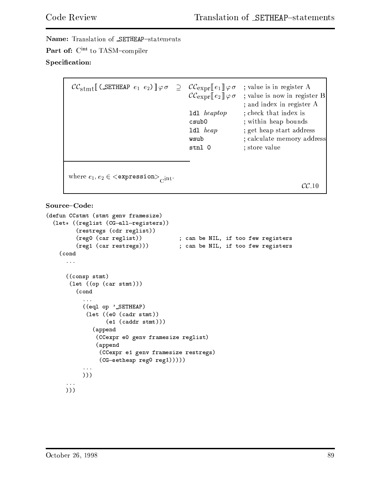Name: Translation of SETHEAP-statements Part of: Cint to TASM-compiler Specification:

| $\mathcal{CC}_{\text{stmt}}$ (SETHEAP $e_1$ $e_2$ ) $\varphi \sigma \supseteq \mathcal{CC}_{\text{expr}}[e_1] \varphi \sigma$ | $\mathcal{CC}_{\rm expr}\llbracket e_2 \rrbracket \varphi \sigma$<br>1d1 heaptop<br>csub0<br>1d1 $heap$<br>wsub<br>stnl O | ; value is in register A<br>; value is now in register B<br>; and index in register A<br>; check that index is<br>; within heap bounds<br>; get heap start address<br>; calculate memory address<br>; store value |
|-------------------------------------------------------------------------------------------------------------------------------|---------------------------------------------------------------------------------------------------------------------------|-------------------------------------------------------------------------------------------------------------------------------------------------------------------------------------------------------------------|
| where $e_1, e_2 \in \langle$ expression $>_{\text{cint}}$ .                                                                   |                                                                                                                           | $\mathcal{CC}.10$                                                                                                                                                                                                 |

```
(defun CCstmt (stmt genv framesize)
  (let* ((reglist (CG-all-registers))
          (restregs (cdr reglist))
          (reg0 (car reglist))
                                             ; can be NIL, if too few registers
          (reg1 (car restregs)))
                                            ; can be NIL, if too few registers
    \epsiloncond
      ((consp stmt)
       (\text{let } ((op (car stmt)))\epsilon cond
            \ddotsc((eql op '_SETHEAP)
             (\text{let } ((\text{e0 } (\text{cadr} \text{ stmt}))(e1 (caddr stmt)))(append
                 (CCexpr e0 genv framesize reglist)
                 (append
                  (CCexpr e1 genv framesize restregs)
                  (CG–setheap reg0 reg1))))\ldots))\ldots)))
```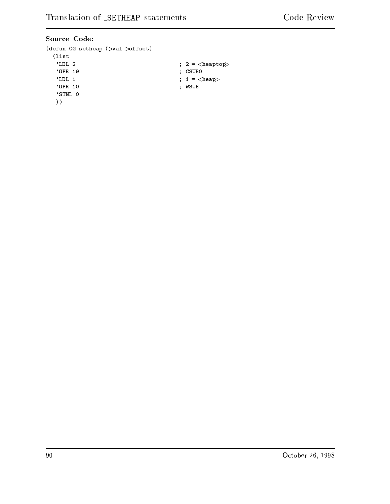```
(\text{defun CG-setheap }(\text{~val }>\text{offset})(iist)'LDL 2; 2 = <htext{heaptop}'OPR 19
                                                  ; CSUBO
   'LDL 1
                                                  ; 1 = \texttt{<heap>}'OPR 10
                                                  ; WSUB
   'STNL 0
   ))
```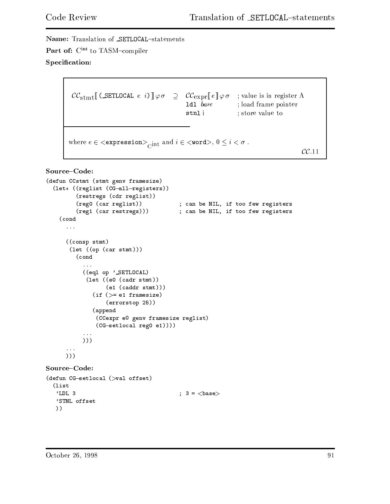Name: Translation of \_SETLOCAL-statements Part of: Cint to TASM-compiler Specification:

> $\mathcal{CC}_{\text{stmt}}[[\text{C}\text{SETLOCAL } e\ i)]\varphi\sigma \supseteq \mathcal{CC}_{\text{expr}}[e]\varphi\sigma$ ; value is in register A  $1d1 \ \ base$ ; load frame pointer stnli ; store value to

```
where e \in \langle \texttt{expression} \rangle_{\text{cint}} and i \in \langle \texttt{word} \rangle, 0 \leq i \leq \sigma.
```
 $\mathcal{CC}.11$ 

```
Source-Code:
```

```
(defun CCstmt (stmt genv framesize)
  (left * ((regular (CG–all–registers)))(restregs (cdr reglist))
         (reg0 (car reglist))
                                          ; can be NIL, if too few registers
         (reg1 (car restregs)))
                                          ; can be NIL, if too few registers
    \epsiloncond
      \cdots((consp stmt)
       (\text{let } ((op (car stmt)))\epsiloncond
            ((eql op '_SETLOCAL)
             (\text{let } ((e0 (cadr stmt)))(e1 (caddr stmt)))(if (>= e1 framesize)(errorstop 25))(append
                (CCexpr e0 genv framesize reglist)
                (CG–setlocal reg0 e1)))))\ddotsc))Source-Code:
(defun CG-setlocal (>val offset)
  (iist)'LDL 3
                                           ; 3 = <base>
   'STNL offset
   ))
```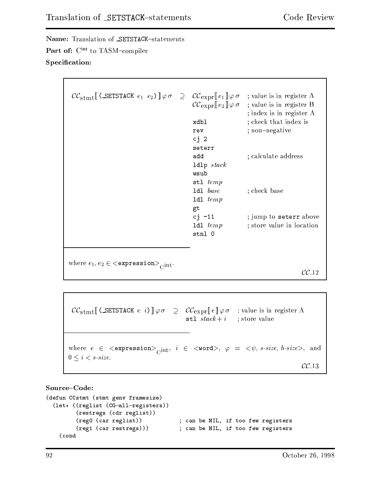Name: Translation of \_SETSTACK-statements Part of: C<sup>int</sup> to TASM-compiler Specification:

| $\mathcal{CC}_{\text{stmt}}$ (SETSTACK $e_1$ $e_2$ ) $\phi \sigma \supseteq \mathcal{CC}_{\text{expr}}[e_1] \varphi \sigma$ | $\mathcal{CC}_{\rm expr}[[e_2]]\varphi\sigma$ | ; value is in register A<br>; value is in register B<br>; index is in register A |
|-----------------------------------------------------------------------------------------------------------------------------|-----------------------------------------------|----------------------------------------------------------------------------------|
|                                                                                                                             | xdbl                                          | ; check that index is                                                            |
|                                                                                                                             | rev                                           | ; non-negative                                                                   |
|                                                                                                                             | $c_j$ 2                                       |                                                                                  |
|                                                                                                                             | seterr                                        |                                                                                  |
|                                                                                                                             | add                                           | ; calculate address                                                              |
|                                                                                                                             | 1d1p $stack$                                  |                                                                                  |
|                                                                                                                             | wsub                                          |                                                                                  |
|                                                                                                                             | $st1$ $temp$                                  |                                                                                  |
|                                                                                                                             | 1d1 $base$                                    | ; check base                                                                     |
|                                                                                                                             | 1d1 $temp$                                    |                                                                                  |
|                                                                                                                             | gt                                            |                                                                                  |
|                                                                                                                             | $cj -11$                                      | ; jump to seterr above                                                           |
|                                                                                                                             | 1d1 $temp$                                    | ; store value in location                                                        |
|                                                                                                                             | stnl 0                                        |                                                                                  |
|                                                                                                                             |                                               |                                                                                  |
|                                                                                                                             |                                               |                                                                                  |
| where $e_1, e_2 \in \langle \texttt{expression} \rangle_{\text{cint}}.$                                                     |                                               |                                                                                  |
|                                                                                                                             |                                               | $\mathcal{CC}.12$                                                                |

```
\mathcal{CC}_{\text{stmt}}[\![\text{C}\text{SETSTACK } e \; i)]\!] \varphi \sigma \supseteq \mathcal{CC}_{\text{expr}}[\![e]\!] \varphi \sigma; value is in register A
                                                                      stl stack + i ; store value
where e \in \langle \texttt{expression} \rangle_{\text{cint}}, i \in \langle \texttt{word} \rangle, \varphi = \langle \psi, s\text{-size}, h\text{-size} \rangle, and
0 \leq i < s-size.
                                                                                                                                           CC.13
```

```
(defun CCstmt (stmt genv framesize)
  (let* ((reglist (CG-all-registers))
         (restregs (cdr reglist))
         (reg0 (car reglist))
                                       ; can be NIL, if too few registers
         (reg1 (car restregs)))
                                      ; can be NIL, if too few registers
    \epsiloncond
```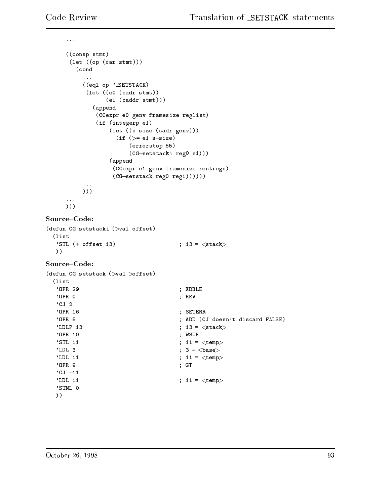```
\sim \sim \sim((consp stmt)
        (\text{let } ((op (car stmt)))(cond
            \sim 10 .
            ((eql op '_SETSTACK)
             (\text{let } ((e0 (cadr stmt)))(e1 (caddr stmt)))(append
                 (CCexpr e0 genv framesize reglist)
                 (if (integerp e1)
                     (left ((s-size (cadr genv)))(if (>= e1 s-size)(errorstop 55)
                            (CG-setstacki reg0 e1))(append
                      (CCexpr e1 genv framesize restregs)
                      (CG-setstack reg0 reg1))))\ddotsc)))
       \ldots))Source-Code:
(defun CG-setstacki (>val offset)
  (i<sub>ist</sub>)'STL (+ offset 13)
                                       ; 13 = <stack>))
Source-Code:
(defun CG-setstack (>val >offset)
  (iist)'OPR 29
                                              ; XDBLE
   OPR 0
                                              ; REV
   'CI 2
   'OPR 16
                                              ; SETERR
                                              ; ADD (CJ doesn't discard FALSE)
   'OPR 5
   'LDLP 13
                                             ; 13 = \text{Stack}OPR 10
                                             ; WSUB
   'STL 11
                                             : 11 = \text{temp}'LDL 3
                                             \frac{1}{2} 3 = \langle \text{base} \rangle'LDL 11
                                             ; 11 = \text{temp}OPR 9
                                              : GT°CJ -11'LDL 11
                                              ; 11 = \texttt{<temp>}'STNL 0
   ))
```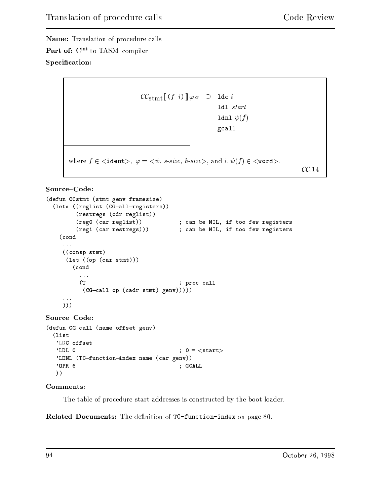Name: Translation of procedure calls Part of: Cint to TASM-compiler Specification:

> $\mathcal{CC}_{\text{stmt}}[(f\ i)]\varphi\sigma \supseteq \text{1dc } i$ 1d1 start 1dnl  $\psi(f)$ gcall

where  $f \in \langle \texttt{ident}\rangle$ ,  $\varphi = \langle \psi, s\text{-}size, h\text{-}size \rangle$ , and  $i, \psi(f) \in \langle \text{word}\rangle$ .

 $\mathcal{CC}.14$ 

### Source-Code:

```
(defun CCstmt (stmt genv framesize)
  (let* ((reglist (CG-all-registers))
          (restregs (cdr reglist))
          (reg0 (car reglist))
                                             ; can be NIL, if too few registers
          (\text{reg1} (\text{car restores}))); can be NIL, if too few registers
    \epsiloncond
     \ddotsc((\text{consp strnt})(\text{let } ((op (car stmt)))(cond
           \ddotsc; proc call
           (T)(CG-call op (cadr stmt) genv)))))
      \ddot{\phantom{a}})))
Source-Code:
```

```
(defun CG-call (name offset genv)
  (iist)'LDC offset
   'LDL 0
                                             ; 0 = \langle start \rangle'LDNL (TC-function-index name (car genv))
   OPR 6
                                             ; GCALL
   ))
```
### Comments:

The table of procedure start addresses is constructed by the boot loader.

Related Documents: The definition of TC-function-index on page 80.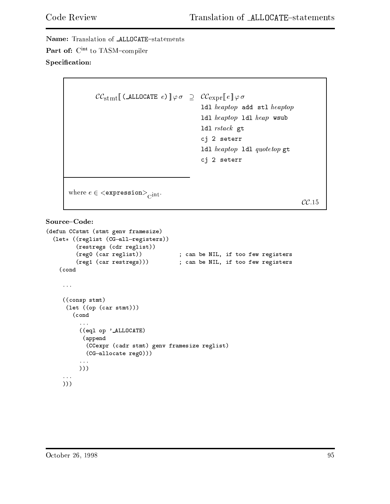Name: Translation of ALLOCATE-statements Part of: Cint to TASM-compiler Specification:

```
\mathcal{CC}_{\text{stmt}} (ALLOCATE e) \phi \sigma \supseteq \mathcal{CC}_{\text{expr}}[e] \varphi \sigma1dl heaptop add stl heaptop
                                           1dl heaptop 1dl heap wsub
                                           1dl rstack gt
                                           cj 2 seterr
                                           1dl heaptop 1dl quotetop gt
                                           cj 2 seterr
```
where  $e \in \langle$  expression $>_{\text{cint}}$ .

 $CC.15$ 

```
(defun CCstmt (stmt genv framesize)
  (let* ((reglist (CG-all-registers))
         (restregs (cdr reglist))
         (reg0 (car reglist))
                                          ; can be NIL, if too few registers
          (reg1 (car restregs)))
                                          ; can be NIL, if too few registers
    (cond
     \ldots((consp stmt)
      (left ((op (car stmt)))\epsiloncond
          \ddotsc((eq1 op 'ALLOCATE)(append
            (CCexpr (cadr stmt) genv framesize reglist)
            (CG—allocate reg0)))\sim \sim \sim)))
     \ldots)))
```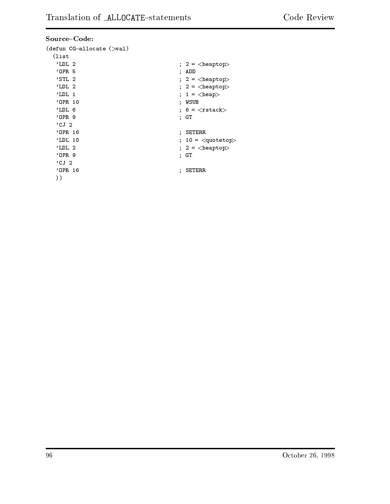| ovulte toue.                            |                                                                |
|-----------------------------------------|----------------------------------------------------------------|
| $(\text{defun CG-allocate } (\gt{val})$ |                                                                |
| (list                                   |                                                                |
| 'LDL 2                                  | ; 2 = $<$ heaptop $>$                                          |
| OPR 5                                   | ADD<br>÷                                                       |
| 'STL 2                                  | ; 2 = $<$ heaptop $>$                                          |
| 'LDL 2                                  | ; 2 = $<$ heaptop $>$                                          |
| 'LDL 1                                  | $: 1 = \langle \texttt{heap} \rangle$                          |
| OPR 10'                                 | WSUB<br>÷                                                      |
| 'LDL 6                                  | : 6 = $<$ rstack $>$                                           |
| OPR 9                                   | ; GT                                                           |
| $'CI$ 2                                 |                                                                |
| OPR 16'                                 | : SETERR                                                       |
| LDL 10 <sup>'</sup>                     | $10 = \langle \text{quotetop} \rangle$<br>$\ddot{\phantom{a}}$ |
| 'LDL 2                                  | ; 2 = $<$ heaptop $>$                                          |
| OPR 9                                   | ; GT                                                           |
| $'CI$ 2                                 |                                                                |
| OPR 16'                                 | SETERR                                                         |
| ))                                      |                                                                |
|                                         |                                                                |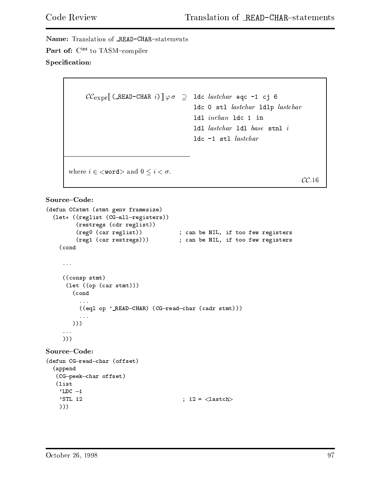Name: Translation of \_READ-CHAR-statements Part of: Cint to TASM-compiler Specification:

```
\mathcal{CC}_{\mathrm{expr}} (READ-CHAR i) \varphi \sigma \supseteq 1dc lastchar eqc -1 cj 6
                                      1dc 0 stl lastchar 1d1p lastchar
                                      1dl inchan 1dc 1 in
                                      1dl lastchar 1dl base stnl i1dc -1 stl lastchar
```
where  $i \in \text{}$  and  $0 \leq i \leq \sigma$ .

 $\mathcal{CC}.16$ 

```
(defun CCstmt (stmt genv framesize)
  (let* ((reglist (CG-all-registers))
          (restregs (cdr reglist))
          (reg0 (car reglist))
                                           ; can be NIL, if too few registers
          (reg1 (car restregs)))
                                          ; can be NIL, if too few registers
    (cond
     \sim \sim \sim((\text{consp strnt})(\text{let } ((op (car stmt)))(cond
           ((eql op '_READ-CHAR) (CG-read-char (cadr stmt)))
           \ldots)))
     \ddotsc))Source-Code:
(defun CG-read-char (offset)
  (append
   (CG-peek-char offset)
   (iist)'LDC -1'STL 12
                                             ; 12 = \langlelastch\rangle)))
```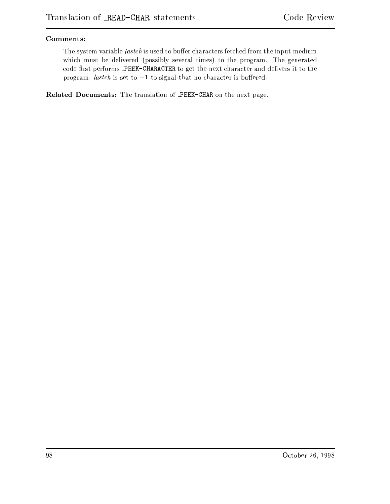### Comments:

The system variable lastch is used to buffer characters fetched from the input medium which must be delivered (possibly several times) to the program. The generated code first performs \_PEEK-CHARACTER to get the next character and delivers it to the program. lastch is set to  $-1$  to signal that no character is buffered.

Related Documents: The translation of PEEK-CHAR on the next page.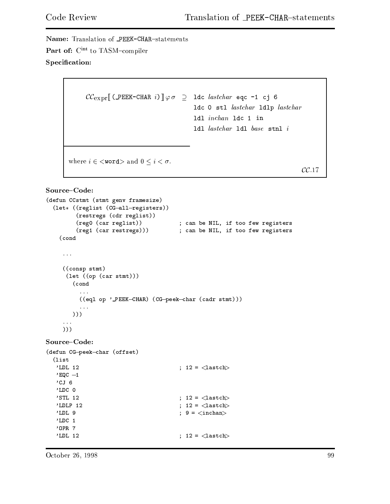Name: Translation of PEEK-CHAR-statements Part of: Cint to TASM-compiler Specification:

```
\mathcal{CC}_{\mathrm{expr}} (PEEK-CHAR i) \varphi \sigma \supseteq 1dc lastchar eqc -1 cj 6
                                       1dc 0 stl lastchar 1dlp lastchar
                                       1d1 inchan 1dc 1 in
                                       1dl lastchar 1dl base stnl i
```
where  $i \in \text{}$  and  $0 \leq i \leq \sigma$ .

 $\mathcal{CC}.17$ 

#### Source-Code:

```
(defun CCstmt (stmt genv framesize)
  (let* ((reglist (CG-all-registers))
          (restregs (cdr reglist))
          (reg0 (car reglist))
                                           ; can be NIL, if too few registers
          (reg1 (car restregs))) ; can be NIL, if too few registers
    \epsiloncond
     \mathbf{1}((consp stmt)
      (\text{let } ((op (car stmt)))\epsiloncond
           ((eql op '_PEEK-CHAR) (CG-peek-char (cadr stmt)))
        )))
     \sim 10))Source-Code:
(defun CG-peek-char (offset)
  (iist)'LDL 12
                                            ; 12 = \text{lastch}'EQC -1'CJ 6
   'LDC O
   'STL 12
                                            ; 12 = \text{lastch}'LDLP 12
                                            ; 12 = \langlelastch>
   'LDL 9
                                            ; 9 = <i>inchan</i>'LDC 1
```
;  $12 = \text{>}$ 

OPR 7 'LDL 12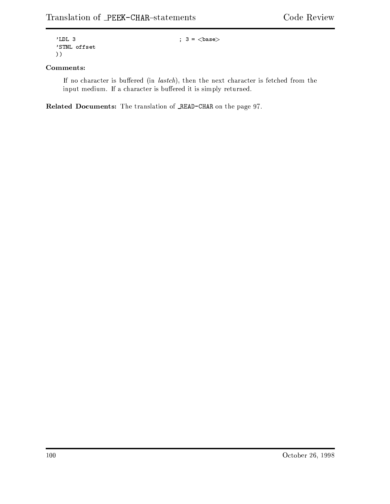'LDL  $3$  $; 3 = <$ base> 'STNL offset  $)$ )

### Comments:

If no character is buffered (in *lastch*), then the next character is fetched from the input medium. If a character is buffered it is simply returned.

Related Documents: The translation of \_READ-CHAR on the page 97.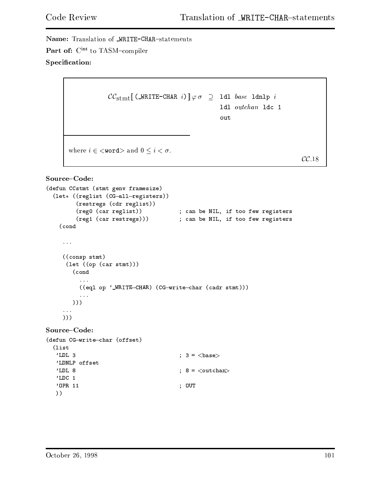Name: Translation of \_WRITE-CHAR-statements Part of: Cint to TASM-compiler Specification:

```
\mathcal{CC}_{\text{stmt}} (_WRITE-CHAR i) \mathcal{Y}\sigma \supseteq 1dl base 1dnlp i
                                                  1d1 outchan 1dc 1
                                                  out
```
where  $i \in \text{}$  and  $0 \leq i < \sigma$ .

 $\mathcal{CC}.18$ 

```
Source-Code:
```

```
(defun CCstmt (stmt genv framesize)
  (\verb|let* ((regular (CG–all–registers))|\\(restregs (cdr reglist))
          (reg0 (car reglist))
                                            ; can be NIL, if too few registers
          (regi (car restregs))) (can be NIL, if too few registers
    \epsiloncond
     \ldots((\text{consp} \text{ s} \text{tmt})(\text{let } ((op (car stmt)))(cond
           ((eql op '_WRITE-CHAR) (CG-write-char (cadr stmt)))
        )))
     \ldots)))
Source-Code:
```

```
(defun CG-write-char (offset)
  (list
   'LDL 3
                                            ; 3 = <base>
   'LDNLP offset
   'LDL 8
                                            ; 8 = \langleoutchan>
   'LDC 1
   'OPR 11
                                            ; OUT
   ))
```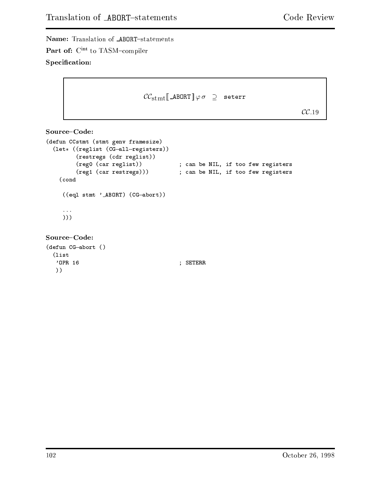Name: Translation of ABORT-statements Part of: C<sup>int</sup> to TASM-compiler Specification:

 $\mathcal{CC}_{\textbf{stmt}}$   $\ll$   $\blacktriangle$  ABORT  $\blacktriangleright \varphi \sigma \supseteq \textbf{seterr}$ 

 $\mathcal{CC}.19$ 

```
(defun CCstmt (stmt genv framesize)
  (let* ((reglist (CG-all-registers))
           (restregs (cdr reglist))
           (reg0 (car reglist))
                                                ; can be NIL, if too few registers
           (reg1 (car restregs)))
                                               ; can be NIL, if too few registers
     \epsiloncond
      ((eq1 \text{stmt } ' \text{ } \text{\texttt{ABORT}}) (CG \text{--abort}))\sim \sim \sim))Source-Code:
```

```
(defun CG-abort ()
  (iist)OPR 16
                                         ; SETERR
  ))
```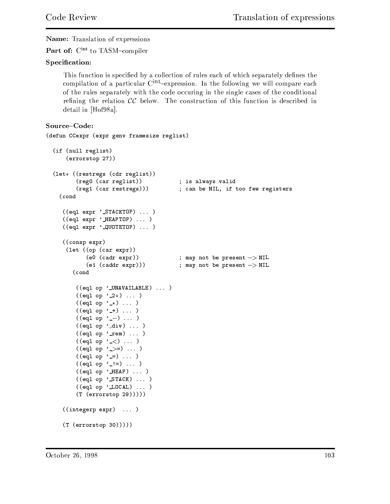Name: Translation of expressions

Part of: Cint to TASM-compiler

#### Specification:

This function is specified by a collection of rules each of which separately defines the compilation of a particular  $C<sup>int</sup>$ -expression. In the following we will compare each of the rules separately with the code occuring in the single cases of the conditional refining the relation  $CC$  below. The construction of this function is described in detail in [Hof98a].

```
(defun CCexpr (expr genv framesize reglist)
```

```
(if (null reglist)
    (errorstop 27))
(let* ((restregs (cdr reglist))
       (reg0 (car reglist))
                                      ; is always valid
       (\texttt{reg1}~(\texttt{car restores}))); can be NIL, if too few registers
  \epsiloncond
   ((eq1 expr 'STACKTOP) ... )((eq1 expr 'HEAPTOP) ... )((eq1 expr / qUOTETOP) ... )((\text{consp} \text{ expr})(\text{let } ((op (car expr)))(e0 (cadr expr)); may not be present -> NIL
          (e1 (caddr expr))); may not be present -> NIL
      \epsiloncond
       ((eq1 op 'UNAVAILABLE) ... )((eq1 op '2*) ... )((eq1 op '')'.)) ... )((eq1 op ' -+) ... )((eq1 op ' - ) ... )((eq1 op 'div) ... )((eq1 op 'rem) ... )((eq1 op ' \lt) ... )((eq1 op '->=) ... )((eq1 op ' = ) ... )((eq1 op ' |= ) ... )((eq1 op 'HEAP) ... )((eq1 op 'STACK) ... )((eq1 op 'LOCAL) ... )(T (errorstop 29))))((integerp expr) ... )(T (errorstop 30))))
```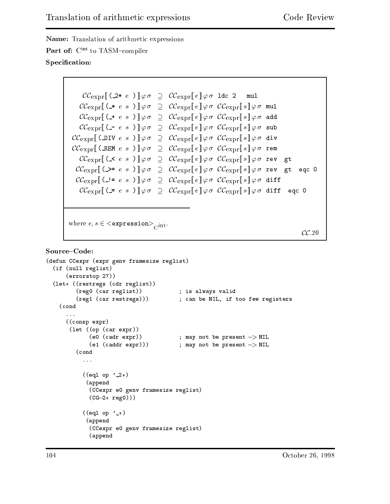Name: Translation of arithmetic expressions Part of: Cint to TASM-compiler Specification:

```
\mathcal{CC}_{\mathrm{expr}}[\llbracket (\mathcal{Q} \ast e \ ) \rrbracket \varphi \sigma \supseteq \mathcal{CC}_{\mathrm{expr}}[\llbracket e \rrbracket \varphi \sigma \mathrm{1dc} 2mul
       \mathcal{CC}_{\rm expr}[(\mathcal{I} * e s)]\varphi\sigma \supseteq \mathcal{CC}_{\rm expr}[[e]]\varphi\sigma \mathcal{CC}_{\rm expr}[[s]]\varphi\sigma mul
       \mathcal{CC}_{\mathrm{expr}}[\![\! (\texttt{-} \mathbf{t} \ \, e \ \, s \; ) \! ]\!] \varphi \sigma \supseteq \mathcal{CC}_{\mathrm{expr}}[\![\! [e]\!] \varphi \sigma \mathcal{CC}_{\mathrm{expr}}[\![\! [s]\!] \varphi \sigma \; \mathsf{add}\mathcal{CC}_{\rm expr}[[(-e \ s])]\varphi\sigma \supseteq \mathcal{CC}_{\rm expr}[[e]]\varphi\sigma \mathcal{CC}_{\rm expr}[[s]]\varphi\sigma \text{ sub}\mathcal{CC}_{\mathrm{expr}}[\![\bot \mathrm{DIV}\; e \; s \;)]\] \varphi \sigma \supseteq \mathcal{CC}_{\mathrm{expr}}[\![e]\!] \varphi \sigma \; \mathcal{CC}_{\mathrm{expr}}[\![s]\!] \varphi \sigma \mathrm{div}\mathcal{CC}_{\mathrm{expr}}[\![\mathcal{C}_{\mathrm{REM}}\!] \mathcal{C}_{\mathrm{exp}}] \subseteq \mathcal{C}_{\mathrm{expr}}[\![\mathcal{C}_{\mathrm{expr}}]\!] \varphi \sigma \mathcal{C}_{\mathrm{expr}}[\![s]\!] \varphi \sigma \mathrm{rem}\mathcal{CC}_{\text{expr}}[\llbracket (\leq e \ s \ ) \rrbracket \varphi \sigma \supseteq \mathcal{CC}_{\text{expr}}[\llbracket e \rrbracket \varphi \sigma \ \mathcal{CC}_{\text{expr}}[\llbracket s \rrbracket \varphi \sigma \text{rev} \text{gt}\mathcal{CC}_{\text{expr}}[\Box \equiv e \ s \ )]\varphi \sigma \supseteq \mathcal{CC}_{\text{expr}}[e] \varphi \sigma \ \mathcal{CC}_{\text{expr}}[s] \varphi \sigma \text{rev} \text{gt} \text{eqc} 0\mathcal{CC}_\mathrm{expr}[\![\; (\underline{\texttt{.!}} = e \;\; s \;\; ) \; ]\!] \varphi \sigma \  \, \supseteq \  \, \mathcal{CC}_\mathrm{expr}[\![\; e \;\!] \varphi \sigma \  \, \mathcal{CC}_\mathrm{expr}[\![\; s \;\!] \varphi \sigma \;\; \mathtt{diff}\mathcal{CC}_{\mathrm{expr}}[\![\; (\texttt{=} \; e \; s \; ) \; ]\!] \varphi \sigma \;\; \supseteq \;\; \mathcal{CC}_{\mathrm{expr}}[\![\; e \; ]\!] \varphi \sigma \;\; \mathcal{CC}_{\mathrm{expr}}[\![\; s \; ]\!] \varphi \sigma \;\; \mathtt{diff} \;\; \mathtt{eqc} \; 0
```
where  $e, s \in \langle$  expression $>_{\text{cint}}$ .

```
\mathcal{CC}.20
```

```
(defun CCexpr (expr genv framesize reglist)
  (if (null reglist)
      (errorstop 27))
  (let* ((restregs (cdr reglist))
         (reg0 (car reglist))
                                          ; is always valid
         (regU (car reglist)) ; is always valid<br>(reg1 (car restregs))) ; can be NIL, if too few registers
    \epsiloncond
      ((consp expr)
       (\text{let } ((op (car expr)))(e0 (cadr expr))
                                         ; may not be present -> NIL
              (e1 (caddr expr))); may not be present -> NIL
         \epsiloncond
           \sim 10((eq1 op '2*)(append
              (CCexpr e0 genv framesize reglist)
              (CG-2*reg0))((eq1 op '*)(append
              (CCexpr e0 genv framesize reglist)
              (append
```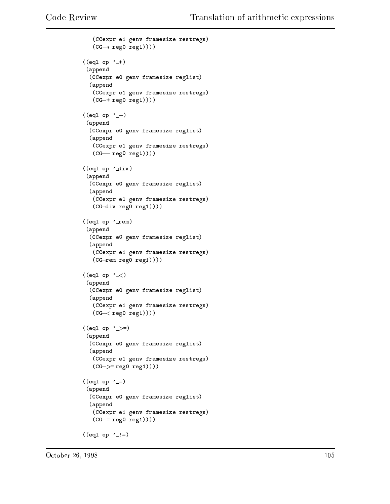```
(CCexpr e1 genv framesize restregs)
  (CG—* reg0 reg1))))
((eal op '_+)
(append
 (CCexpr e0 geny framesize reglist)
 (append
  (CCexpr e1 genv framesize restregs)
  (CG—+ reg0 reg1))))
((eal op '_—)
(append
 (CCexpr e0 geny framesize reglist)
 (append
  (CCexpr e1 genv framesize restregs)
  (CG—— reg0 reg1))))
((eal op '_div)
(append
 (CCexpr e0 geny framesize reglist)
 (append
  (CCexpr e1 genv framesize restregs)
  (CG—div reg0 reg1))))
((eal op '_rem)
(append
 (CCexpr e0 geny framesize reglist)
 (append
  (CCexpr e1 genv framesize restregs)
  (CG—rem reg0 reg1))))
((e a l \; \; o p \; \; ' \; \prec)(append
 (CCexpr e0 genv framesize reglist)
 (append
  (CCexpr e1 genv framesize restregs)
  (CG—< reg0 reg1))))
((eal op '_>=)
(append
 (CCexpr e0 geny framesize reglist)
 (append
  (CCexpr e1 genv framesize restregs)
  (CG—>= reg0 reg1))))
((eal op '_=)
(append
 (CCexpr e0 geny framesize reglist)
 (append
  (CCexpr e1 genv framesize restregs)
  (CG—= reg0 reg1))))
((eal op '_!=)
```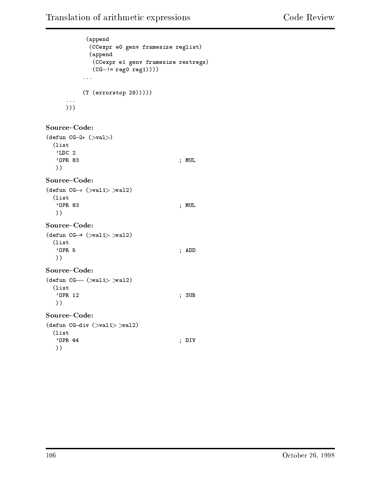(append (CCexpr e0 geny framesize reglist) (append (CCexpr e1 genv framesize restregs) (CG—!= reg0 reg1)))) (T (errorstop 29))))))  $\ddotsc$  $)$  ) )

### $\sim$   $\sim$  1

|         | (defun CG—2*(>val>) |  |       |
|---------|---------------------|--|-------|
| (list   |                     |  |       |
| 'LDC 2  |                     |  |       |
| 'OPR 83 |                     |  | : MUL |
| )       |                     |  |       |
|         |                     |  |       |

#### $\sim$   $\sim$  1

| (defun CG—* (>val1> >val2) |       |
|----------------------------|-------|
| (list                      |       |
| 83 APR י                   | : MUL |
| )                          |       |

### $\sim$   $\sim$  1

| (defun CG—+ (>val1> >val2) |       |
|----------------------------|-------|
| (list                      |       |
| OPR 5'                     | : ADD |
|                            |       |

### $\sim$   $\sim$  1

| (defun CG—— (>val1> >val2) |       |
|----------------------------|-------|
| (list                      |       |
| 12. חקמי                   | : SUE |
| )                          |       |

### $\sim$   $\sim$   $\sim$

| (defun CG—div (>val1> >val2) |       |
|------------------------------|-------|
| (list                        |       |
| A4 חסמי.                     | : DIV |
| $)$ )                        |       |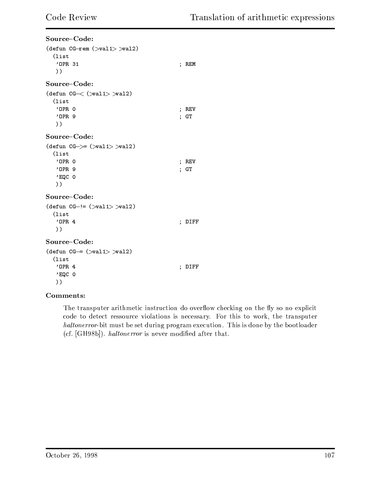$S$ 

| Source–Code:                                                               |                                   |
|----------------------------------------------------------------------------|-----------------------------------|
| (defun CG—rem (>vali> >val2)<br>(list<br>OPR 31'<br>$)$ )                  | REM<br>÷                          |
| Source–Code:                                                               |                                   |
| (defun CG— $<$ (>val1> >val2)<br>(list<br>0 חסחי<br>OPR 9<br>)             | REV<br>÷<br>: GT                  |
| Source–Code:                                                               |                                   |
| (defun CG—>= (>vali> >val2)<br>(list<br>'OPR O<br>OPR 9<br>'EQC O<br>$)$ ) | REV<br>$\ddot{\phantom{a}}$<br>GТ |
|                                                                            |                                   |

Source-Code: (defun  $CG-!=$   $(\rightarrow \text{val1} > \rightarrow \text{val2})$  $(iist)$  $'$ OPR 4 ; DIFF

#### Source-Code:

 $)$ )

| (defun CG—= (>val1> >val2) |        |
|----------------------------|--------|
| (list                      |        |
| י4. חסמי                   | : DIFF |
| 'EQC O                     |        |
|                            |        |

#### Comments:

The transputer arithmetic instruction do overflow checking on the fly so no explicit code to detect ressource violations is necessary. For this to work, the transputer haltonerror-bit must be set during program execution. This is done by the bootloader (cf. [GH98b]). haltonerror is never modified after that.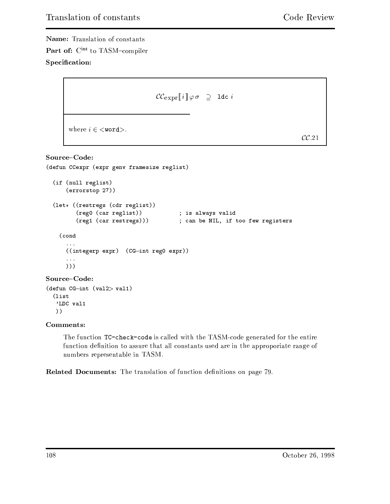Name: Translation of constants Part of: Cint to TASM-compiler Specification:

```
\mathcal{CC}_{\mathrm{expr}}[\![i]\!] \varphi \sigma \supseteq 1dc iwhere i \in \langle word \rangle.
                                                                                                                                                                             \mathcal{CC}.21
```
### Source-Code:

(defun CCexpr (expr genv framesize reglist)

```
(if (null reglist)
      (errorstop 27))
  (let* ((restregs (cdr reglist))
         (reg0 (car reglist))
                                        ; is always valid
         (reg1 (car restregs)))
                                        ; can be NIL, if too few registers
    \epsiloncond
      \ddotsc((integerp expr) (CG-int reg0 expr))
      \sim 10))Source-Code:
(defun CG-int (val2> val1)
  (iist)'LDC val1
```
 $)$ )

# Comments:

The function TC-check-code is called with the TASM-code generated for the entire function definition to assure that all constants used are in the approporiate range of numbers representable in TASM.

Related Documents: The translation of function definitions on page 79.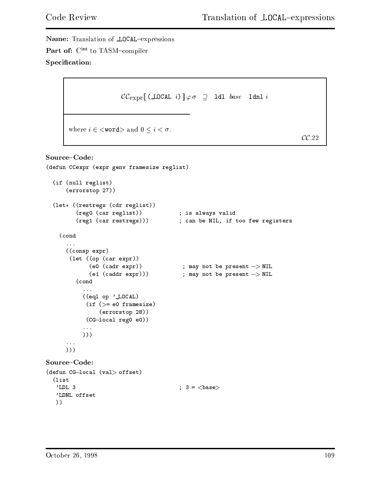Name: Translation of LOCAL-expressions Part of: Cint to TASM-compiler Specification:

 $\mathcal{CC}_{\mathrm{expr}}[\!\![\mathsf{(LOCAL}\;i)\!\!] \varphi\sigma \supseteq \mathsf{1dl}\;\mathit{base}\;\; \mathsf{1dnl}\;\mathit{i}$ 

where  $i \in \text{}$  and  $0 \leq i \leq \sigma$ .

 $\mathcal{CC}.22$ 

```
Source-Code:
```

```
(defun CCexpr (expr genv framesize reglist)
```

```
(if (null reglist)
      (errorstop 27))
  (let* ((restregs (cdr reglist))
         (reg0 (car reglist))
                                         ; is always valid
         (reg1 (car restregs)))
                                         ; can be NIL, if too few registers
    \epsiloncond
      ((consp expr)
       (\text{let } ((op (car expr)))(e0 (cadr expr)); may not be present -> NIL
             (e1 (caddr expr))); may not be present -> NIL
         \epsiloncond
           ((eq1 op 'LOCAL))(if (>= e0 framesize)(errorstop 28))
            (CG-local reg0 e0))
            \mathbf{1}))\ddotsc))Source-Code:
(defun CG-local (val> offset)
  (list
   'LDL 3
                                          ; 3 = <base>
   'LDNL offset
```

```
))
```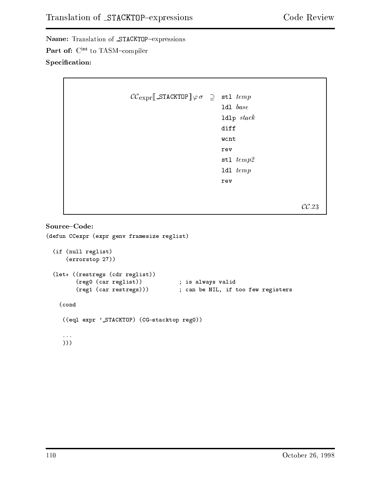Name: Translation of STACKTOP-expressions Part of: C<sup>int</sup> to TASM-compiler Specification:

> $\mathcal{CC}_{\mathrm{expr}}[\![\mathtt{\_STACKTOP}]\!] \varphi \sigma \supseteq \mathtt{stl} \ \mathit{temp}$ 1d1 base  $1d1p$  stack diff wcnt rev  $st1$   $temp2$ 1d1  $temp$ rev

 $CC.23$ 

### Source-Code:

(defun CCexpr (expr genv framesize reglist)

```
(if (null reglist)
     (errorstop 27))(let* ((restregs (cdr reglist))
        (reg0 (car reglist)) ; is always valid<br>(reg1 (car restregs))) ; can be NIL, if too few registers
```
#### (cond

((eql expr '\_STACKTOP) (CG-stacktop reg0))

 $\ddotsc$  $))$ )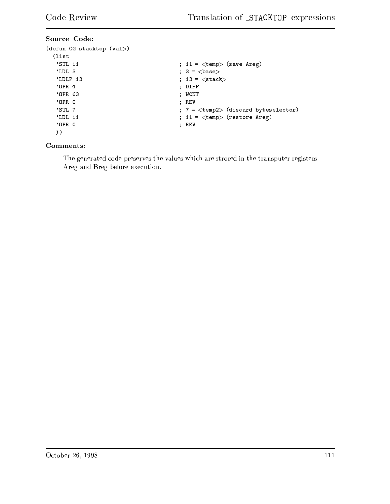#### Source-Code:

| $(\text{defun CG-stacktop } (val))$ |                                                |
|-------------------------------------|------------------------------------------------|
| (list                               |                                                |
| 'STL 11                             | ; 11 = $\langle$ temp $\rangle$ (save Areg)    |
| 'LDL 3                              | $: 3 = base$                                   |
| 'LDLP 13                            | : 13 = $<$ stack $>$                           |
| 'OPR 4                              | : DIFF                                         |
| OPR 63'                             | : WCNT                                         |
| 'OPR O                              | : REV                                          |
| 'STL 7                              | $; 7 = $ (discard byteselector)                |
| 'LDL 11                             | ; 11 = $\langle$ temp $\rangle$ (restore Areg) |
| 'OPR O                              | : REV                                          |
|                                     |                                                |

#### Comments:

The generated code preserves the values which are strored in the transputer registers Areg and Breg before execution.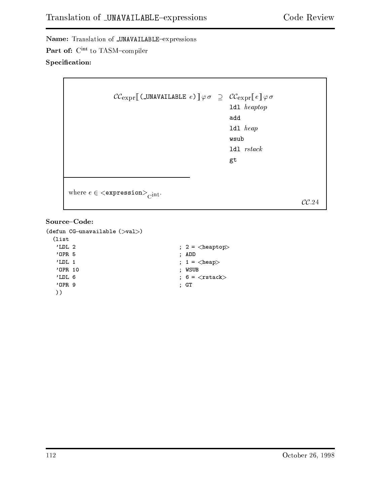Name: Translation of \_UNAVAILABLE-expressions Part of: C<sup>int</sup> to TASM-compiler Specification:

```
\mathcal{CC}_{\mathrm{expr}}[\![\bot \text{UNAVAILABLE } e]\!] \varphi \sigma \supseteq \mathcal{CC}_{\mathrm{expr}}[\![\, e\,]\!]\varphi \sigma1d1 heaptop
                                                                      add
                                                                      1d1 heapwsub
                                                                      1d1 rstackgt
```
where  $e \in \langle$  expression $>_{\text{Cint}}$ .

 $\mathcal{CC}.24$ 

Source-Code:

```
(defun CG-unavailable (>val>)
  (iist)'LDL 2
                                                      ; 2 = <h>heaptop></math>OPR 5
                                                      ; ADD
    'LDL 1; 1 = \langle \text{heap} \rangle'OPR 10
                                                      ; WSUB
    'LDL 6
                                                      6 = \langle \text{rstack} \rangleOPR 9
                                                      ; GT
   ))
```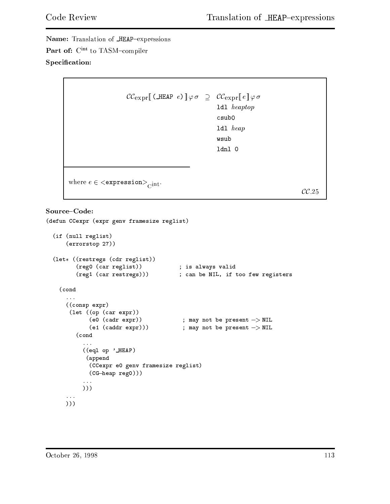Name: Translation of HEAP-expressions Part of: Cint to TASM-compiler Specification:

```
\mathcal{CC}_{\mathrm{expr}}[\![\mathsf{C} \text{-H}\mathsf{EAP}\; e]\!]\] \varphi \sigma \supseteq \mathcal{CC}_{\mathrm{expr}}[\![\![\mathit{e}]\!]\!]\varphi \sigma1d1 heaptop
                                                                     csub01d1 heapwsub
                                                                     1dn1 0
```
where  $e \in \langle$  expression $>_{\text{Cint}}$ .

 $\mathcal{CC}.25$ 

#### Source-Code:

(defun CCexpr (expr genv framesize reglist)

```
(if (null reglist)
    (errorstop 27))
(let* ((restregs (cdr reglist))
       (reg0 (car reglist))
                                        ; is always valid
       (reg1 (car restregs)))
                                        ; can be NIL, if too few registers
  (cond
    ((consp expr)
     (\text{let } ((op (car expr)))(e0 (cadr expr))
                                        ; may not be present -> NIL
           (e1 (caddr expr))); may not be present -> NIL
       (cond
          \ldots((eql op '_HEAP)
          (append
           (CCexpr e0 genv framesize reglist)
           (CG-heap regO)))
          \sim \sim \sim) ) )
    \sim \sim \sim
```
 $))$ )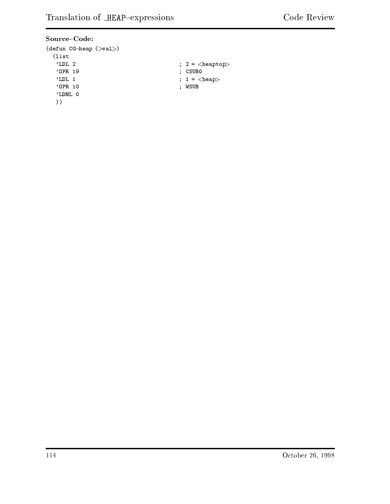#### Source-Code:

 $(\text{defun CG-heap }(\text{val}))$  $(iist)$ 'LDL  $2$  $; 2 =$ 'OPR 19 ; CSUBO 'LDL  $1$ ;  $1 = \langle \texttt{heap} \rangle$ 'OPR 10 ; WSUB 'LDNL 0  $)$ )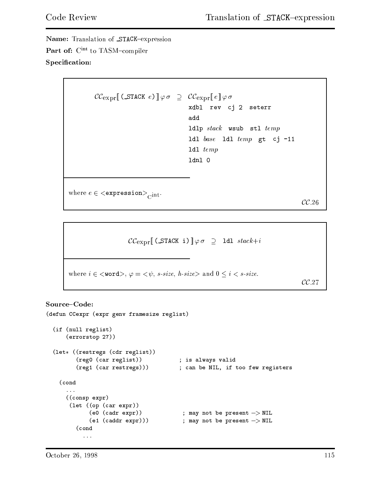Name: Translation of STACK-expression Part of: Cint to TASM-compiler Specification:

> $\mathcal{CC}_{\mathrm{expr}}[\![\mathsf{(\mathcal{S}\mathrm{T}\mathrm{AC}\mathrm{K} \ e)}]\!] \varphi \sigma \supseteq \mathcal{CC}_{\mathrm{expr}}[\![\![\mathit{e}]\!] \varphi \sigma$ xdbl rev cj 2 seterr add 1dlp  $stack$  wsub stl  $temp$ 1dl  $base$  1dl  $temp$  gt cj -11 1d1  $temp$  $1dn1$   $0$

where  $e \in \langle$  expression $>_{\text{Cint}}$ .

 $\mathcal{CC}.26$ 

 $\mathcal{CC}_{\mathrm{expr}}[\![\mathsf{(\mathcal{S}\mathrm{T}\mathrm{AC}\mathrm{K}\mathrm{i})}\!]\] \varphi \sigma \supseteq \mathrm{1d}\mathrm{1}\ \ \mathit{stack}+i$ 

where  $i \in \langle \text{word} \rangle$ ,  $\varphi = \langle \psi, s\text{-}size, h\text{-}size \rangle$  and  $0 \le i \le s\text{-}size$ .

 $CC.27$ 

#### Source-Code:

(defun CCexpr (expr genv framesize reglist)

```
(if (null reglist)
    (errorstop 27))
(let* ((restregs (cdr reglist))
                                        ; is always valid
       (\text{reg0 (car regist)})(reg1 (car restregs)))
                                        ; can be NIL, if too few registers
  (cond
    \mathbf{1}((\text{consp} \text{ expr})(\text{let } ((op (car expr)))(e0 (cadr expr))
                                          ; may not be present -> NIL
            (e1 (caddr expr))); may not be present -> NIL
       \epsiloncond
          \ddotsc
```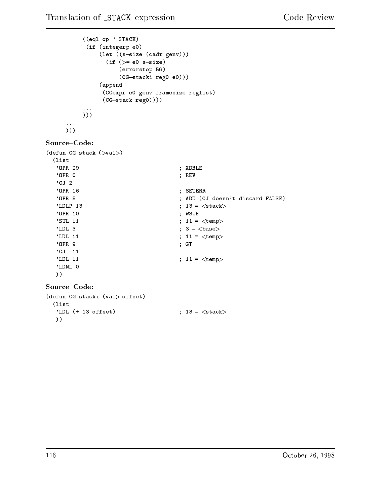```
((eq1 op 'STACK)(if (integerp e0)
                  (left ((s-size (cadr genv)))(if (>= e0 s-size)(errorstop 56)
                         (CG-stacki regO eO)))
                  (append
                   (CCexpr e0 genv framesize reglist)
                   (CG - stack \text{reg0})))\sim \sim \sim))\ddots))Source-Code:
(\text{defun CG-stack } (\text{yal}) )(iist)OPR 29
                                              ; XDBLE
   OPR 0
                                              ; REV
   °CJ 2
   'OPR 16
                                             ; SETERR
   OPR 5
                                             ; ADD (CJ doesn't discard FALSE)
   'LDLP 13
                                             ; 13 = \text{stack}'OPR 10
                                             ; WSUB
   'STL 11: 11 = \langle \texttt{temp} \rangle'LDL 3
                                             ; 3 = <base>
   'LDL 11
                                             : 11 = \text{temp}OPR 9
                                             ; GT
   °CJ -11'LDL 11
                                             ; 11 = \text{temp}'LDNL O
   ))
Source-Code:
(defun CG-stacki (val> offset)
  (iist)'LDL (+ 13 offset)
                                ; 13 = \langle \text{stack} \rangle))
```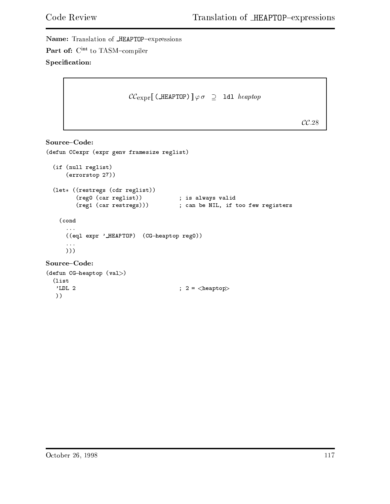Name: Translation of \_HEAPTOP-expressions Part of: C<sup>int</sup> to TASM-compiler Specification:

 $CC_{\text{expr}}$  (HEAPTOP)  $\phi \sigma \supseteq$  1d1 heaptop

 $\mathcal{CC}.28$ 

```
Source-Code:
```

```
(defun CCexpr (expr genv framesize reglist)
  (if (null reglist)
      (errorstop 27))(let* ((restregs (cdr reglist))
                                       ; is always valid<br>; can be NIL, if too few registers
          (reg0 (car reglist))
          (reg1 (car restregs)))
    (cond
      \sim 10 .
      ((eql expr '_HEAPTOP) (CG-heaptop regO))
      \ddotsc)))
Source-Code:
(defun CG-heaptop (val>)
  (iist)'LDL 2
                                             ; 2 = <\heasuredangleheaptop>))
```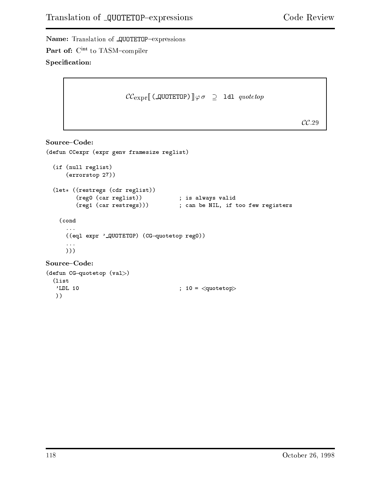Name: Translation of QUOTETOP-expressions Part of: C<sup>int</sup> to TASM-compiler Specification:

 $CC_{\text{expr}}$  (QUOTETOP)  $\phi \sigma \supseteq 1$  d1 quotetop

 $\mathcal{CC}.29$ 

```
Source-Code:
```

```
(defun CCexpr (expr genv framesize reglist)
  (if (null reglist)
       (errorstop 27))(let* ((restregs (cdr reglist))
                                        ; is always valid<br>; can be NIL, if too few registers
          (reg0 (car reglist))
          (reg1 (car restregs)))
    (cond
       \ddotsc((eql expr '_QUOTETOP) (CG-quotetop regO))
      \mathbf{1})))
Source-Code:
(defun CG-quotetop (val>)
  (iist)'LDL 10
                                              ; 10 = \langle \text{quotetop} \rangle))
```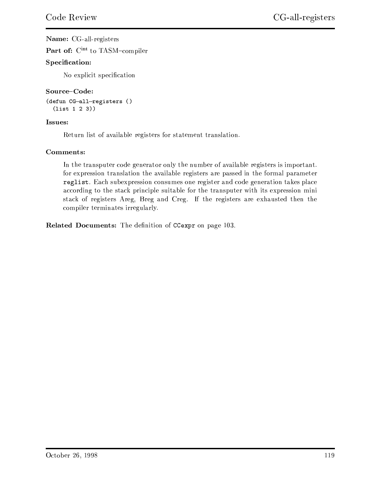Name: CG-all-registers

Part of: Cint to TASM-compiler

### Specification:

No explicit specification

## Source-Code:

```
(defun CG-all-registers ()
 (list 1 2 3))
```
### Issues:

Return list of available registers for statement translation.

## Comments:

In the transputer code generator only the number of available registers is important. for expression translation the available registers are passed in the formal parameter reglist. Each subexpression consumes one register and code generation takes place according to the stack principle suitable for the transputer with its expression mini stack of registers Areg, Breg and Creg. If the registers are exhausted then the compiler terminates irregularly.

Related Documents: The definition of CCexpr on page 103.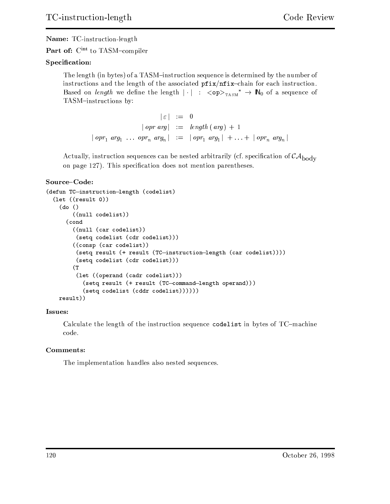Name: TC-instruction-length

Part of: C<sup>int</sup> to TASM-compiler

#### Specification:

The length (in bytes) of a TASM-instruction sequence is determined by the number of instructions and the length of the associated pfix/nfix-chain for each instruction. Based on length we define the length  $|\cdot|$  :  $\langle op\rangle_{\text{TASM}}^* \to \mathbb{N}_0$  of a sequence of TASM-instructions by:

> $|\varepsilon| := 0$  $\vert$  opr arg  $\vert := \vert \text{length}(\text{arg}) + 1 \vert$  $| opr_1 arg_1 ... opr_n arg_n| := | opr_1 arg_1| + ... + | opr_n arg_n|$

Actually, instruction sequences can be nested arbitrarily (cf. specification of  $\mathcal{CA}_{\text{body}}$ on page 127). This specification does not mention parentheses.

#### Source-Code:

```
(defun TC-instruction-length (codelist)
  (\text{let } ((result 0)))(do()((null codelist))\epsiloncond
        ((null (car codelist))(setq codelist (cdr codelist)))
        ((\text{consp }(\text{car codelist}))(setq result (+ result (TC-instruction-length (car codelist))))
         (setq codelist (cdr codelist)))(T)(let ((operand (cadr codelist)))
            (setq result (+ result (TC-command-length operand)))
            (setq codelist (cddr codelist))))))
    result))
```
#### Issues:

Calculate the length of the instruction sequence codelist in bytes of TC-machine code.

#### Comments:

The implementation handles also nested sequences.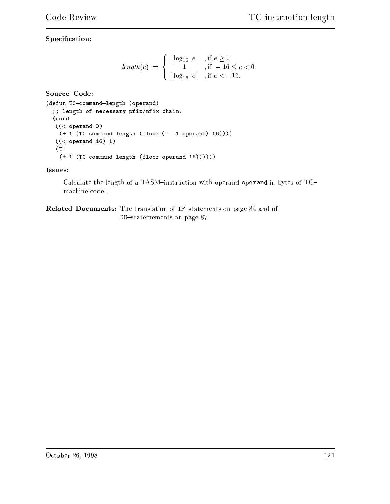### Specification:

$$
length(e) := \begin{cases} \lfloor \log_{16} e \rfloor, & \text{if } e \ge 0\\ 1, & \text{if } -16 \le e < 0\\ \lfloor \log_{16} \overline{e} \rfloor, & \text{if } e < -16. \end{cases}
$$

Source-Code:

```
(defun TC-command-length (operand)
  ;; length of necessary pfix/nfix chain.
 \epsiloncond
  ((\text{<open} 0)(+ 1 (TC-command-length (floor (- -1 operand 16))))((\langle operand 16) 1)
   (T)(+ 1 (TC-command-length (floor operand 16))))
```
#### Issues:

Calculate the length of a TASM-instruction with operand operand in bytes of TCmachine code.

Related Documents: The translation of IF-statements on page 84 and of DO-statemements on page 87.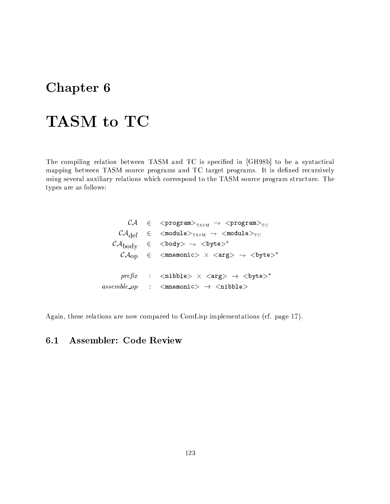# Chapter 6

# TASM to TC

The compiling relation between TASM and TC is specified in [GH98b] to be a syntactical mapping between TASM source programs and TC target programs. It is defined recursively using several auxiliary relations which correspond to the TASM source program structure. The types are as follows:

|                    | $\mathcal{C}\mathcal{A} \quad \in \quad$ $\langle$ program $\rangle_{\text{max}} \quad \rightarrow \quad$ $\langle$ program $\rangle_{\text{max}}$                                                         |
|--------------------|------------------------------------------------------------------------------------------------------------------------------------------------------------------------------------------------------------|
|                    | $\mathcal{C}\mathcal{A}_{\text{def}}$ $\in$ $\langle \text{module} \rangle_{\text{TASM}} \rightarrow \langle \text{module} \rangle_{\text{TC}}$                                                            |
|                    | $\mathcal{C}\mathcal{A}_{\text{body}}$ $\in$<br><br><br><br><br><br><br><br><br><br><br><br><br><br><br><br><br><br><br><br><br><br><br><br><br><br><br><br><br><br>$\mathcal{C}\mathcal{A}_{\text{body}}$ |
|                    | $\mathcal{C} \mathcal{A}_{\text{OD}} \in \langle \text{mmemonic} \rangle \times \langle \text{arg} \rangle \rightarrow \langle \text{byte} \rangle^*$                                                      |
|                    |                                                                                                                                                                                                            |
|                    | <i>prefix</i> : $\langle \text{nibble} \rangle \times \langle \text{arg} \rangle \rightarrow \langle \text{byte} \rangle^*$                                                                                |
| <i>assemble_op</i> | : $\langle$ mnemonic $\rangle \rightarrow \langle$ nibble $\rangle$                                                                                                                                        |

Again, these relations are now compared to ComLisp implementations (cf. page 17).

#### **Assembler: Code Review**  $6.1$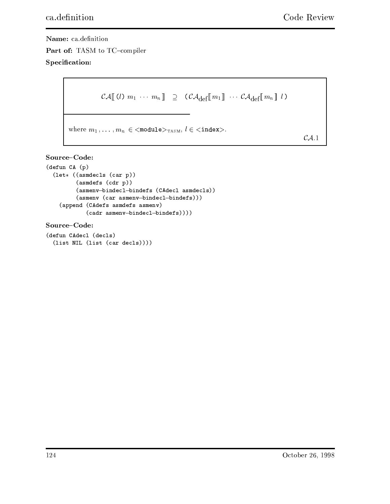Name: ca.definition Part of: TASM to TC-compiler Specification:

 $\mathcal{CA}[\![\mathcal{U}\mathcal{)}\!]$   $m_1 \cdots m_n[\![\ ]\!]$   $\supseteq$   $(\mathcal{CA}_{\text{def}}[\![m_1]\!]\cdots \mathcal{CA}_{\text{def}}[\![m_n]\!]\!]$   $\cup$ 

where  $m_1, \ldots, m_n \in \text{>}_{\text{TASM}}, l \in \text{}$ .

 $CA.1$ 

#### Source-Code:

#### (defun CA (p)

```
(let* ((asmdecls (car p))
      (samdefs (cdr p))(asmenv-bindecl-bindefs (CAdecl asmdecls))
       (samenv (car asmenv-bindec1-bindefs)))(append (CAdefs asmdefs asmenv)
         (cadrasmenv-bindec1-bindefs))))
```
#### Source-Code:

```
(defun CAdecl (decls)
 (list NIL (list (car deck)))
```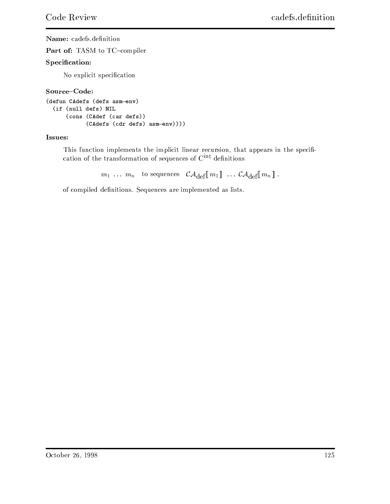Name: cadefs.definition

Part of: TASM to TC-compiler

#### Specification:

No explicit specification

### Source-Code:

```
(defun CAdefs (defs asm-env)
 (if (null defs) NIL
      (cons (CAdef (car defs))
            (CAdefs (cdr defs) as m-env))))
```
#### Issues:

This function implements the implicit linear recursion, that appears in the specification of the transformation of sequences of C<sup>int</sup> definitions

 $m_1 \ldots m_n$  to sequences  $\mathcal{CA}_{\text{def}}[m_1] \ldots \mathcal{CA}_{\text{def}}[m_n]$ .

of compiled definitions. Sequences are implemented as lists.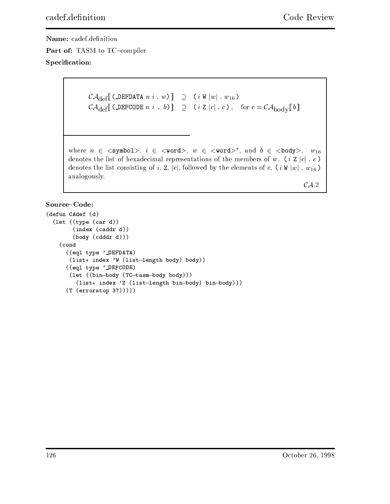Name: cadef.definition Part of: TASM to TC-compiler Specification:

> $\mathcal{CA}_{\text{def}}$  ( <code>DEFDATA n i . w) ]  $\supseteq$  ( i W |w| .  $w_{16}$  )</code>  $\mathcal{C}\mathcal{A}_{\text{def}}[\![\bot\bot\bot]$  (DEFCODE  $n \, i \, . \, b) \, ]\!] \supseteq ( i \, \mathbb{Z} \, |c| \, . \, c ) \, , \quad \text{for } c = \mathcal{C}\mathcal{A}_{\text{body}}[\![\, b \, ]\!]$

where  $n \in \langle \text{symbol}\rangle, i \in \langle \text{word}\rangle, w \in \langle \text{word}\rangle^*$ , and  $b \in \langle \text{body}\rangle$ .  $w_{16}$ denotes the list of hexadecimal representations of the members of w. (i Z |c| . c) denotes the list consisting of i, Z, |c|, followed by the elements of c,  $(i \nabla |w| \cdot w_{16})$ analogously.

# $CA.2$

### Source-Code:

```
(defun CAdef (d)
  (\text{let } ((type (car d)))(index (caddr d))(body (cdddr d)))
    \epsiloncond
      ((eql type '_DEFDATA)
       (list* index 'W (list-length body) body))((eql type '_DEFCODE)
       (let ((bin-body (TC-tasm-body body)))
         (list* index 'Z (list-length bin-body) bin-body)))
      (T (errorstop 37))))
```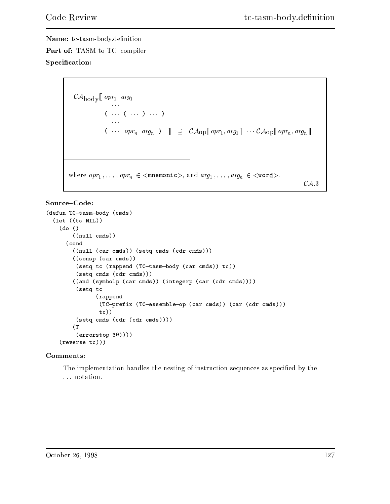Name: tc-tasm-body.definition Part of: TASM to TC-compiler Specification:

> $\mathcal{C}\mathcal{A}_{\text{body}}[$  opr<sub>1</sub> arg<sub>1</sub>  $(\cdots (\cdots) \cdots)$  $\left(\begin{array}{cc} \cdots & opr_n & arg_n \end{array}\right)$   $\quad$   $\quad$   $\quad$   $\quad$   $\quad$   $\mathcal{CA}_{\text{op}}\llbracket opr_1, arg_1 \rrbracket$   $\cdots$   $\mathcal{CA}_{\text{op}}\llbracket opr_n, arg_n \rrbracket$ where  $opr_1, \ldots, opr_n \in \langle \texttt{mnemonic}\rangle$ , and  $arg_1, \ldots, arg_n \in \langle \texttt{word}\rangle$ .  $CA.3$

#### Source-Code:

```
(defun TC-tasm-body (cmds)
  (\text{let } ((tc\text{ NIL}))(do()((null \; cmds))\epsiloncond
         ((null (car cmds)) (setq cmds (cdr cmds)))
         ((\text{consp} (\text{car ends}))(setq tc (rappend (TC-tasm-body (car cmds)) tc))
          (setq \text{ cmds } (cdr \text{ cmds})))((and (symbolp (car cmds)) (integerp (car (cdr cmds))))
          (setq tc
                 (rappend
                  (TC-prefix (TC-assemble-op (car cmds)) (car (cdr cmds)))
                  tc))
          (setq cmds (cdr (cdr cmds))))
         (T)(errorstop 39))))(reverse tc))
```
#### Comments:

The implementation handles the nesting of instruction sequences as specified by the ...-notation.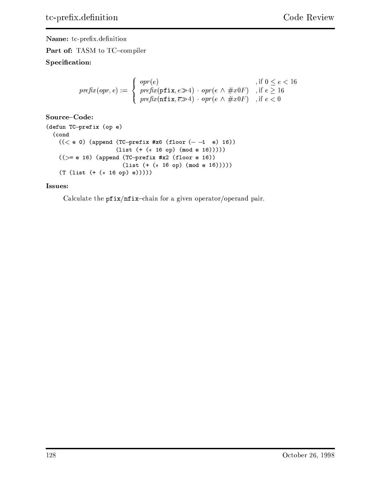Name: tc-prefix.definition Part of: TASM to TC-compiler Specification:

$$
prefix(opr, e) := \begin{cases} opr(e) & , \text{if } 0 \le e < 16 \\ prefix(pfix, e \gg 4) \cdot opr(e \land \#x0F) & , \text{if } e \ge 16 \\ prefix(nfix, \overline{e} \gg 4) \cdot opr(e \land \#x0F) & , \text{if } e < 0 \end{cases}
$$

Source-Code:

```
(defun TC-prefix (op e)
  (cond
   ((\langle e 0 \rangle (append (TC-prefix #x6 (floor (--1 e) 16)))(list (+ (* 16 op) (mod e 16))))((>= e 16) (append (TC–prefix #x2 (floor e 16))(list (+ (* 16 op) (mod e 16))))(T (list (+ (* 16 op) e))))
```
Issues:

Calculate the pfix/nfix-chain for a given operator/operand pair.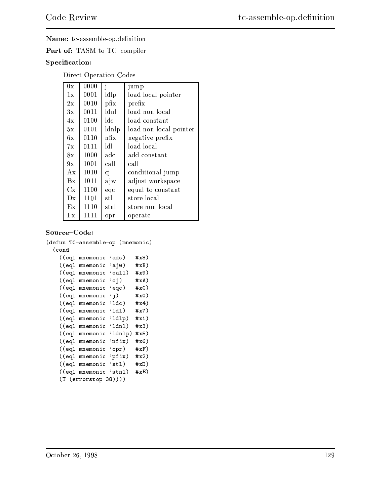Name: tc-assemble-op.definition

Part of: TASM to TC-compiler

#### Specification:

Direct Operation Codes

| 0x | 0000 | i     | $\mu$ mp               |
|----|------|-------|------------------------|
| 1x | 0001 | ldlp  | load local pointer     |
| 2x | 0010 | pfix  | prefix                 |
| 3x | 0011 | ldnl  | load non local         |
| 4x | 0100 | ldc   | load constant          |
| 5x | 0101 | ldnlp | load non local pointer |
| 6x | 0110 | nfix  | negative prefix        |
| 7x | 0111 | 1d1   | load local             |
| 8x | 1000 | adc   | add constant           |
| 9x | 1001 | call  | call                   |
| Ax | 1010 | сj    | conditional jump       |
| Bx | 1011 | ajw   | adjust workspace       |
| Cх | 1100 | eqc   | equal to constant      |
| Dx | 1101 | stl   | store local            |
| Ex | 1110 | stnl  | store non local        |
| Fx | 1111 | opr   | operate                |

#### Source-Code:

```
(\verb|defun TC-asssemble-op (mmemonic)|% \label{def:2}\epsiloncond
     ((eql mnemonic 'adc)
                                       #x8)
```

```
((eq1 mnemonic 'ajw)
                      #xB)((eql mnemonic 'call)
                      #x9)((eq1) mnemonic 'cj)
                      #xA)((eql mnemonic 'eqc)
                      \#xC)
((eq1 memonic 'j))#x()((eql mnemonic 'ldc)
                      #x4)((eql mnemonic '1dl)
                      #x7)((eql mnemonic 'ldlp)
                      #x1)((eql mnemonic 'ldnl)
                     #x3)((eql mnemonic 'ldnlp) #x5)
((eql mnemonic 'nfix) #x6)
((eql mnemonic 'opr)
                      #xF)((eql mnemonic 'pfix)
                      #x2)((eql mnemonic 'stl)
                      #xD)((eq1 menonic 'stnl) #xE)
(T (errorstop 38))))
```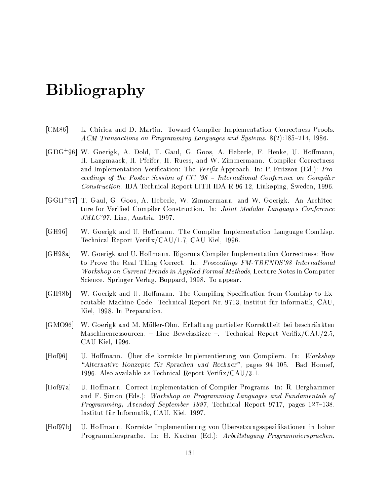# **Bibliography**

- $[CM86]$ L. Chirica and D. Martin. Toward Compiler Implementation Correctness Proofs. ACM Transactions on Programming Languages and Systems, 8(2):185-214, 1986.
- [GDG+96] W. Goerigk, A. Dold, T. Gaul, G. Goos, A. Heberle, F. Henke, U. Hoffmann, H. Langmaack, H. Pfeifer, H. Ruess, and W. Zimmermann. Compiler Correctness and Implementation Verification: The Verifix Approach. In: P. Fritzson (Ed.): Proceedings of the Poster Session of CC '96 - International Conference on Compiler Construction. IDA Technical Report LiTH-IDA-R-96-12, Linkøping, Sweden, 1996.
- [GGH<sup>+97</sup>] T. Gaul, G. Goos, A. Heberle, W. Zimmermann, and W. Goerigk. An Architecture for Verified Compiler Construction. In: Joint Modular Languages Conference  $JMLC'97$ . Linz, Austria, 1997.
- W. Goerigk and U. Hoffmann. The Compiler Implementation Language ComLisp.  $[GH96]$ Technical Report Verifix/CAU/1.7, CAU Kiel, 1996.
- $[GHz]$ W. Goerigk and U. Hoffmann. Rigorous Compiler Implementation Correctness: How to Prove the Real Thing Correct. In: Proceedings FM-TRENDS'98 International Workshop on Current Trends in Applied Formal Methods, Lecture Notes in Computer Science. Springer Verlag, Boppard, 1998. To appear.
- $[GH98b]$ W. Goerigk and U. Hoffmann. The Compiling Specification from ComLisp to Executable Machine Code. Technical Report Nr. 9713, Institut für Informatik, CAU, Kiel, 1998. In Preparation.
- $[GMO96]$ W. Goerigk and M. Müller-Olm. Erhaltung partieller Korrektheit bei beschränkten Maschinenressourcen. - Eine Beweisskizze -. Technical Report Verifix/CAU/2.5, CAU Kiel, 1996.
- U. Hoffmann. Über die korrekte Implementierung von Compilern. In: Workshop  $[Hof96]$ "Alternative Konzepte für Sprachen und Rechner", pages 94–105. Bad Honnef, 1996. Also available as Technical Report Verifix/CAU/3.1.
- [Hof97a] U. Hoffmann. Correct Implementation of Compiler Programs. In: R. Berghammer and F. Simon (Eds.): Workshop on Programming Languages and Fundamentals of *Programming, Avendorf September 1997, Technical Report 9717, pages 127-138.* Institut für Informatik, CAU, Kiel, 1997.
- U. Hoffmann. Korrekte Implementierung von Übersetzungsspezifikationen in hoher  $[Hof97b]$ Programmiersprache. In: H. Kuchen (Ed.): Arbeitstagung Programmiersprachen.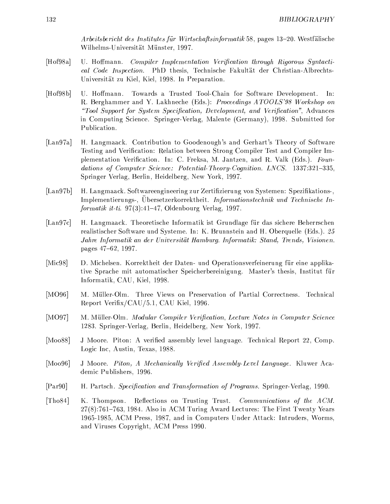Arbeitsbericht des Institutes für Wirtschaftsinformatik 58, pages 13–20. Westfälische Wilhelms-Universität Münster, 1997.

- $[Hof98a]$ U. Hoffmann. Compiler Implementation Verification through Rigorous Syntactical Code Inspection. PhD thesis, Technische Fakultät der Christian-Albrechts-Universität zu Kiel, Kiel, 1998. In Preparation.
- $[Hof98b]$ U. Hoffmann. Towards a Trusted Tool-Chain for Software Development. In: R. Berghammer and Y. Lakhneche (Eds.): Proceedings ATOOLS'98 Workshop on "Tool Support for System Specification, Development, and Verification", Advances in Computing Science. Springer-Verlag, Malente (Germany), 1998. Submitted for Publication.
- $\lceil$ Lan97a $\rceil$ H. Langmaack. Contribution to Goodenough's and Gerhart's Theory of Software Testing and Verification: Relation between Strong Compiler Test and Compiler Implementation Verification. In: C. Freksa, M. Jantzen, and R. Valk (Eds.). Foundations of Computer Science: Potential-Theory-Cognition. LNCS. 1337:321-335, Springer Verlag, Berlin, Heidelberg, New York, 1997.
- $[Lan97b]$ H. Langmaack. Softwareengineering zur Zertifizierung von Systemen: Spezifikations-, Implementierungs-, Übersetzerkorrektheit. Informationstechnik und Technische Informatik it-ti. 97(3):41-47, Oldenbourg Verlag, 1997.
- $\vert$ Lan97c $\vert$ H. Langmaack. Theoretische Informatik ist Grundlage für das sichere Beherrschen realistischer Software und Systeme. In: K. Brunnstein and H. Oberquelle (Eds.). 25 Jahre Informatik an der Universität Hamburg. Informatik: Stand, Trends, Visionen. pages 47-62, 1997.
- [ $Mic98$ ] D. Michelsen. Korrektheit der Daten- und Operationsverfeinerung für eine applikative Sprache mit automatischer Speicherbereinigung. Master's thesis, Institut für Informatik, CAU, Kiel, 1998.
- $[MO96]$ M. Müller-Olm. Three Views on Preservation of Partial Correctness. Technical Report Verifix/CAU/5.1, CAU Kiel, 1996.
- $[MO97]$ M. Müller-Olm. Modular Compiler Verification, Lecture Notes in Computer Science 1283. Springer-Verlag, Berlin, Heidelberg, New York, 1997.
- $[Moo88]$ J Moore. Piton: A verified assembly level language. Technical Report 22, Comp. Logic Inc. Austin, Texas, 1988.
- $[Moo96]$ J Moore. Piton, A Mechanically Verified Assembly-Level Language. Kluwer Academic Publishers, 1996.
- $[Par90]$ H. Partsch. Specification and Transformation of Programs. Springer-Verlag, 1990.
- $[Tho84]$ K. Thompson. Reflections on Trusting Trust. Communications of the ACM. 27(8):761-763, 1984. Also in ACM Turing Award Lectures: The First Twenty Years 1965-1985, ACM Press, 1987, and in Computers Under Attack: Intruders, Worms, and Viruses Copyright, ACM Press 1990.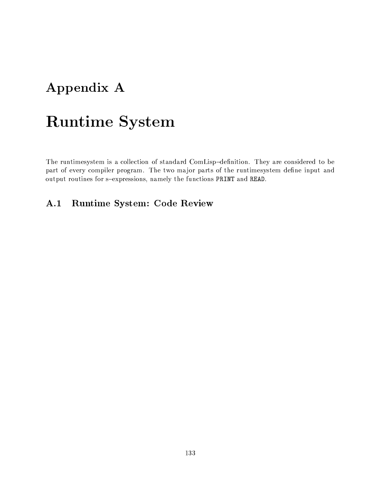# Appendix A

# **Runtime System**

The runtimesystem is a collection of standard ComLisp-definition. They are considered to be part of every compiler program. The two major parts of the runtimesystem define input and output routines for s-expressions, namely the functions PRINT and READ.

#### Runtime System: Code Review  $A.1$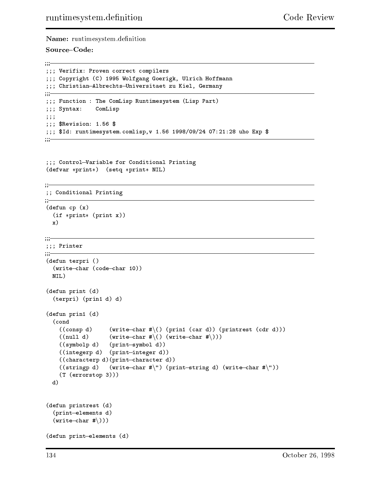Name: runtimesystem.definition

#### Source-Code:

```
\frac{1}{2};;; Verifix: Proven correct compilers
;;; Copyright (C) 1995 Wolfgang Goerigk, Ulrich Hoffmann
;;; Christian-Albrechts-Universitaet zu Kiel, Germany
\frac{1}{2};;; Function : The ComLisp Runtimesystem (Lisp Part)
;; ; Syntax:
                ComLisp
\frac{1}{2};
;;; $Revision: 1.56 $;;; $Id: runtimesystem.comlisp, v 1.56 1998/09/24 07:21:28 uho Exp $
```

```
;;;-
```
 $;;-$ 

```
;;; Control-Variable for Conditional Printing
(defvar *print*) (setq *print* NIL)
```

```
;; Conditional Printing
```

```
;;-(\text{defun cp } (x))(if *print* (print x))\mathbf{x})
```

```
\frac{1}{2}
```

```
;;; Printer
\frac{1}{2}(defun terpri ()
  (write–char (code–char 10))NIL)
(defun print (d)
  (terpri) (prin1 d) d)
(defun prin1 (d)
  _{\rm (cond)}(write-char \# \setminus () (prin1 (car d)) (printrest (cdr d)))
     ((\text{consp d})(write-char \# \setminus () (write-char #\)))
     ((null d)
     ((symbol{0}(print-symbol d))((integerp d) (print-integer d))
     ((characterp d)(print-character d))
     ((string d)(write-char #\langle") (print-string d) (write-char #\langle"))
     (T (errorstop 3)))d)(defun printrest (d)
  (print-elements d)
  (write–char \# \rangle))(defun print-elements (d)
```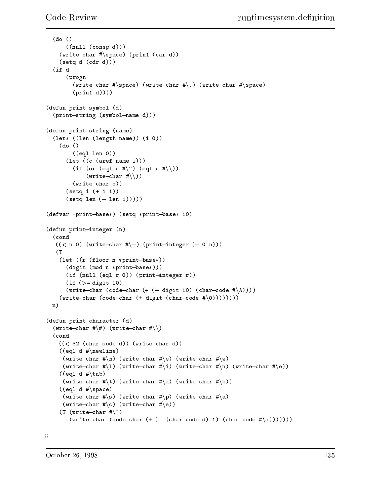```
(do()((null (consp d)))(write—char \# \space space) (prin1 (car d))
    (setq d (cdr d)))(if d)(progn
        (write-char #\space) (write-char #\.) (write-char #\space)
        (prin1 d))))(defun print-symbol (d)
  (print-string (symbol-name d)))
(defun print-string (name)
  (let* ((len (length name)) (i 0))
    (do()((eq1 len 0))(\text{let } ((c (aref name i)))(if (or (eql c #\") (eql c #\\))
             (write–char \#\\))(write–char c))(setq i (+ i 1))(\text{setq len }(- \text{ len } 1))))(defvar *print-base*) (setq *print-base* 10)
(defun print-integer (n)
  _{\rm (cond}((\langle n 0) (write–char <math>\# \rangle -)</math> (print–integer (- 0 n)))(T)(let ((r (floor n *print-base*))
      (digit (mod n *print-base*)))
      (if (null (eql r 0)) (print-integer r))
      (if (>= digit 10)(write–char (code–char (+ (- digit 10) (char–code #\A))))(write-char (code-char (+ digit (char–code <math>#(0))))))))n)(defun print-character (d)
  (write-char #\langle#) (write-char #\langle \rangle)
  (cond
    ((\langle 32 (char-code d)) (write-char d))((eq1 d #\\newline)(write-char #\n) (write-char #\e) (write-char #\w)
     (write-char #\1) (write-char #\i) (write-char #\n) (write-char #\e))
    ((eq1 d # \text{tab})(write-char \# \t) (write-char #\a) (write-char #\b))
    ((eq1 d \#) space)(write-char #\s) (write-char #\p) (write-char #\a)
     (write-char \#c) (write-char #\e))
    (T (write–char t\^*)(write-char (code-char (+ (- (char-code d) 1) (char-code <math>\#(a))))))))
```

```
\dddot{\phantom{1}}
```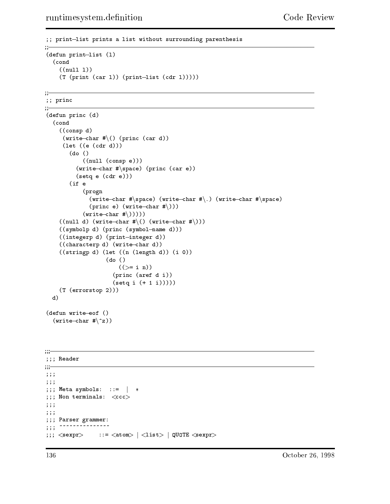```
;; print-list prints a list without surrounding parenthesis
\dddot{\phantom{1}}(defun print-list (1)
  (cond
     ((null 1))(T (print (car 1)) (print-list (cdr 1))));;-;; princ
;;-(defun princ (d)
  (\texttt{cond}((\text{consp d})(write-char #() (princ (car d))
      (\text{let } ((e (cdr d)))(do()((null (consp e)))(write-char #\space) (princ (car e))
           (\text{setq e } (\text{cdr e})))(if e(progn
                (write-char #\space) (write-char #\.) (write-char #\space)
                (princ e) (write-char \# \langle ) ))
              (write–char t\)))))((null d) (write–char <math>\# \setminus ()</math> (write–char <math>\# \setminus)</math>))((symbolp d) (princ (symbol-name d)))
     ((integerp d) (print-integer d))
     ((characterp d) (write–char d))((string d) (let ((n (length d)) (i 0))(do()((>= i n))(princ (aret d i))(setq i (+ 1 i))))(T (errorstop 2)))d)(defun write-eof ()
  (write–char \#^z)\frac{1}{2};;; Reader
\frac{1}{2}555;;;;;; Meta symbols: ::= | *;;; Non terminals: \langle ccc \rangle\frac{1}{2};
555;;; Parser grammer:
;;;\therefore = \langleatom\rangle | \langlelist\rangle | QUOTE \langlesexpr\rangle\frac{1}{2}; \frac{1}{2} <sexpr>
```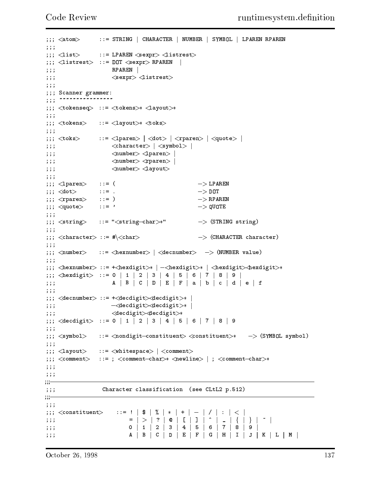```
\cdot: = STRING | CHARACTER | NUMBER | SYMBOL | LPAREN RPAREN
;;; \langleatom\rangle; ; ;;;; \langlelist> ::= LPAREN \langlesexpr> \langlelistrest>
;;; \langle \text{listrest} \rangle ::= DOT \langle \text{sexpr} \rangle RPAREN
                          RPAREN |
\frac{1}{2};
                          \langlesexpr\rangle \langlelistrest\rangle\frac{1}{2}; ;
\cdots;;; Scanner grammer:
;;; \langle \texttt{tokenseq} \rangle ::= \langle \texttt{tokens} \rangle* \langle \texttt{layout} \rangle*;;;;;; \langle \text{tokens} \rangle ::= \langle \text{layout} \rangle^* \langle \text{toks} \rangle5.5.5;;; <toks> ::= <lparen> | <dot> | <rparen> | <quote> |
                          \langlecharacter> | \langlesymbol> |
5:5\langlenumber\rangle\langle1paren\rangle;;;\langlenumber> \langlerparen> |
; ; ;\langlenumber\rangle \langlelayout\rangle; ; ;\cdots\rightarrow LPAREN
                   \cdots : : = (
;;; <lparen>-> DOT
;;;<dot>\cdots : i = 1.
                  \therefore := )-> RPAREN
;;; <rparen>-> QUOTE
;;; \langle \texttt{quote}\rangle\cdots : : = \cdot\frac{1}{2};
;;; \langlestring> ::= "\langlestring-char>*"
                                                             \Rightarrow (STRING string)
;;;;;; <
character> ::= #\<
char>
                                                             \Rightarrow (CHARACTER character)
\cdots;;; \langlenumber> ::= \langlehexnumber> | \langledecnumber> -> (NUMBER value)
5.5.5;;; <hexnumber> ::= +<hexdigit>* | -<hexdigit>* | <hexdigit><hexdigit>*
;;; <hexdigit> ::= 0 | 1 | 2 | 3 | 4 | 5 | 6 | 7 | 8 | 9 |
                           555; ; ;;;; <decnumber> ::= +<decdigit><decdigit>* |
                          -<decdigit><decdigit>* |
\frac{1}{2};
                          <decdigit><decdigit>*
;;;;;; <decdigit> ::= 0 | 1 | 2 | 3 | 4 | 5 | 6 | 7 | 8 | 9
\frac{1}{2};
;;; \langlesymbol> := \langlenondigit-constituent> \langleconstituent>* -> (SYMBOL symbol)
\frac{1}{2};
;;; <layout> ::= <whitespace> | <comment>
;;; <comment> ::= ; <comment-char>* <newline> | ; <comment-char>*
\vdots;
555;;;-Character classification (see CLtL2 p.512)
; ; ;\frac{1}{2}555;;; \langle constituent\rangle\cdot : = ! | $ | % | * | + | - | / | : | < |
                                                            \mathbf{I}\hat{\phantom{a}}| 7 |= | > | ? | 0 | 1 |- | {
                                                                               \vert \ \}5550 | 1 | 2 | 3 | 4 | 5 | 6 |\overline{7}|8|9|\frac{1}{2};
                                 A \mid B \mid C \mid D \mid E \mid F \mid G \mid H \mid I \mid J \mid K \mid L \mid M \mid\frac{1}{2};
```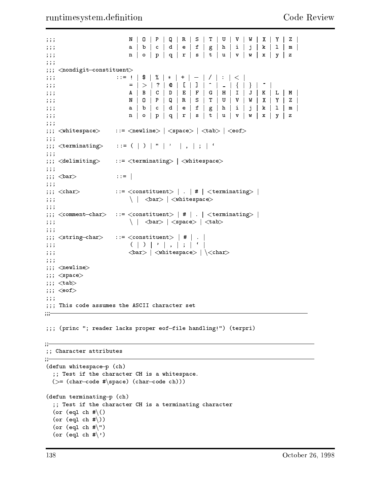```
N | O | P | Q | R | S | T | U | V | W | X | Y | Z, ; ;ab \mid c \mid d \mid e \mid f \mid g \mid h \mid i \mid j \mid k \mid 1 \mid m; ; ;\mathtt{n} \mid \mathtt{o} \mid \mathtt{p} \mid \mathtt{q} \mid \mathtt{r} \mid \mathtt{s} \mid \mathtt{t} \mid \mathtt{u} \mid \mathtt{v} \mid \mathtt{w} \mid \mathtt{x} \mid \mathtt{y} \mid \mathtt{z}\frac{1}{2};
;;;;;; <nondigit-constituent>
                                  \cdot \cdot = \cdot | $ | % | * | + | - |
                                                                             7 : 1 < 1;;;\tilde{\phantom{a}}= | > | ? | @ | [ |\mathbf{I}\hat{\phantom{a}}| - | 1| \};;;A | B | C | D | E | FG | H | I | J | K | L | M
\frac{1}{2}; ;
                                                                              \mathbf T\begin{array}{c|c|c|c|c|c|c|c} & \textbf{U} & \textbf{V} & \textbf{W} & \textbf{W} & \textbf{X} & \textbf{Y} & \textbf{Z} \end{array}\mathbf N\mathcal{L};;;\mathbf b|c|d|e|f|g \mid h \mid i \mid j \midk \mid 1 \mid ma; ; ;\mathtt{n} | o | \mathtt{p} | \mathtt{q} | \mathtt{r} | \mathtt{s} | \mathtt{t} | \mathtt{u} | \mathtt{v} | \mathtt{w} | \mathtt{x} | \mathtt{y} | \mathtt{z}555: : :;;;; \langlewhitespace\rangle\therefore = \langlenewline\rangle | \langlespace\rangle | \langletab\rangle | \langleeof\rangle555;;; \langleterminating\rangle| ::= ( | ) | " | ' | , | ; | '
, ; ;;;; \triangleleft elimiting\triangleright\therefore := \ltterminating> | \ltwhitespace>; ; ;: : = |;;; <bar>\frac{1}{2}; ;
;;; \langlechar\rangle\cdot:= <constituent> | . | # | <terminating> |
                                       \setminus | \langlebar> | \langlewhitespace>
555\frac{1}{2}; ;
                                \therefore = \langleconstituent> | # | . | \langleterminating> |
;;;; \langlecomment-char>\setminus | <br/> <br/> \setminus <space> | <tab>
;;;;;;;;; \langlestring-char\rangle\cdot := <constituent> | # | . |
                                        ( | ) | ' | , | ; | ' |;;;\langlebar> | \langlewhitespace> | \langlechar>
: : :;;;;;; \langlenewline\rangle;;; \langlespace\rangle;;; <tab>;;; \langle \texttt{eof} \rangle: : :;;; This code assumes the ASCII character set
\frac{1}{2};;; (princ "; reader lacks proper eof-file handling!") (terpri)
\mathbb{R};; Character attributes
;;-(defun whitespace-p (ch)
   ;; Test if the character CH is a whitespace.
   (>= (char–code #\sp{space}) (char–code ch)))(defun terminating-p (ch)
   ;; Test if the character CH is a terminating character
   (or (eql ch \# \setminus ()(or (eq1 ch #)))(or (eql ch #\langle")
   (or (eql ch #\langle \rangle)
```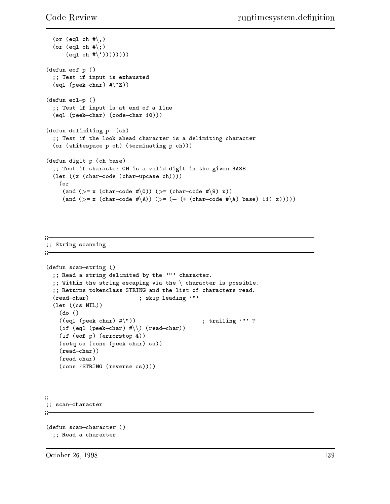```
(or (eql ch \sharp \backslash,)
  (or (eql ch \sharp \backslash ;)
       \text{(eql ch }\# \langle ' \rangle))))))(\text{defun } \text{eof} - p);; Test if input is exhausted
  (eq1 (peek–char) #\\2))(\text{defun eol}-p);; Test if input is at end of a line
  (eq1 (peek–char) (code–char 10)))(defun delimiting-p (ch)
  ;; Test if the look ahead character is a delimiting character
  (or (whitespace-p ch) (terminating-p ch)))(defun digit-p (ch base)
  ;; Test if character CH is a valid digit in the given BASE
  (\text{let } ((x (char—code (char—upcase ch))))( or
      (and (\geq x \text{ (char–code <math>\# \setminus 0)) (\geq 0 \text{ (char–code <math>\# \setminus 9) \times 0</math>))
      (and (>= x (char-code #\A)) (>= (- (+ (char-code #\A) base) 11) x)))))
```
;; String scanning

 $\ddot{\phantom{a}}$ :

 $;;-$ 

```
(defun scan-string ()
  ;; Read a string delimited by the '"' character.
  ;; Within the string escaping via the \setminus character is possible.
  ;; Returns tokenclass STRING and the list of characters read.
  (\texttt{read} - \texttt{char}); skip leading '"'
  (\text{let } ((\text{cs } \text{NIL}))(do()((eq1 (peek–char) # \wedge'')'); trailing '"' ?
    (if (eql (peek-char) \#\rangle) (read-char))
    (if (eof-p) (errorstop 4))(setq cs (cons (peek-char) cs))
    (\text{read–char}))
    (\text{read–char})(cons 'STRING (reverse cs))))
```

```
;; scan-character
```
 $\ddot{\phantom{a}}$ 

 $;;$ 

```
(defun scan-character ()
 ;; Read a character
```
October 26, 1998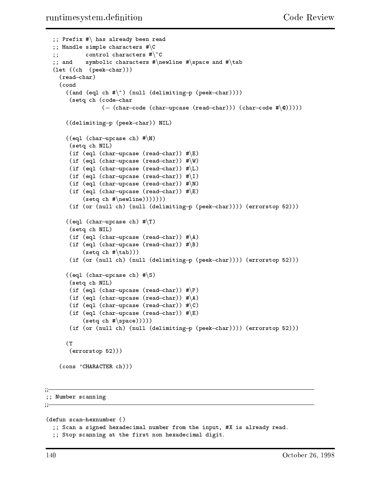```
;; Prefix #\ has already been read
;; Handle simple characters \#\backslash Ccontrol characters \#\backslash \hat{C}\mathbf{5.5}symbolic characters #\newline #\space and #\tab
; and
(\text{let } ((\text{ch } (\text{peek—char})))(\text{read–char})(cond
    ((and (eql ch #)^*) (null (delimiting-p (peek–char))))(setq ch (code-char
                (- (char-code (char-upcase (read-char))) (char-code \#(0)))))
    ((delimiting-p (peek-char)) NIL)
    ((eq1 (char-upcase ch) #)(setq ch NIL)
     (if (eql (char-upcase (read-char)) \#E)
     (if (eql (char-upcase (read-char)) \#W)
     (if (eql (char-upcase (read—char)) #\L)(if (eql (char-upcase (read-char)) \# \(if (eql (char-upcase (read-char)) \# \N)
     (if (eql (char-upcase (read-char)) \#E)
          (\text{setq ch #}\newline (\text{newline}))))))(if (or (null ch) (null (delimiting-p (peek-char)))) (errorstop 52)))
    ((eq1 (char—upcase ch) # T))(setq ch NIL)
     (if (eql (char-upcase (read-char)) \# \nightharpoonup A)
     (if (eql (char-upcase (read-char)) \#\B)
          (\text{setq ch }\# \text{tab})))(if (or (null ch) (null (delimiting-p (peek-char)))) (errorstop 52)))
    ((eq1 (char—upcase ch) #\S)(setq ch NIL)
     (if (eql (char-upcase (read-char)) \# \P)
     (if (eql (char-upcase (read-char)) \# \nightharpoonup A)
     (if (eql (char-upcase (read-char)) \#(C)
     (if (eql (char-upcase (read-char)) \#E)
          (\text{setq ch }\# \text{space})))(if (or (null ch) (null (delimiting-p (peek-char)))) (errorstop 52)))
    (T)(errorstop 52)))(cons 'CHARACTER ch)))
```
;; Number scanning  $\ddot{\phantom{a}}$ 

```
(defun scan-hexnumber ()
 ;; Scan a signed hexadecimal number from the input, #X is already read.
 ;; Stop scanning at the first non hexadecimal digit.
```
 $\ddotsc$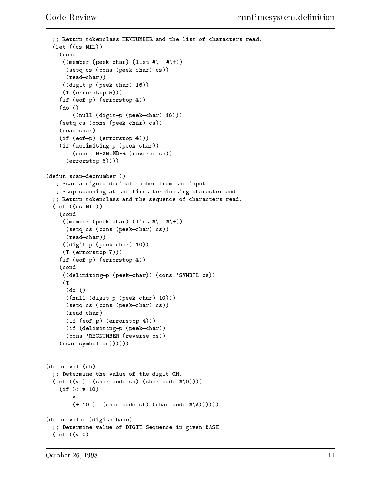```
;; Return tokenclass HEXNUMBER and the list of characters read.
  (left (cs NIL))(cond
     ((\text{member } ( \text{peek—char}) \ ( \text{list } # \rightarrow # )))(setq cs (cons (peek-char) cs))
      (\text{read–char}))
     ((digit-p (peek–char) 16))(T (errorstop 5)))(if (eof-p) (errorstop 4))(do()((null (digit-p (peek–char) 16)))(setq cs (cons (peek-char) cs))
    (\texttt{read}-\texttt{char})(if (eof-p) (errorstop 4)))(if (delimiting-p (peek-char))
         (cons 'HEXNUMBER (reverse cs))
      (errorstop(6))))(defun scan-decnumber ()
  ;; Scan a signed decimal number from the input.
  ;; Stop scanning at the first terminating character and
  ;; Return tokenclass and the sequence of characters read.
  (\text{let } ((\text{cs } \text{NIL}))\epsiloncond
     ((\text{member } ( \text{peek—char}) ( \text{list } # \rightarrow # )))(setq cs (cons (peek-char) cs))
      (\texttt{read–char}))
     ((digit-p (peek–char) 10))(T (errorstop 7)))(if (eof-p) (errorstop 4))(cond
     ((delimiting-p (peek-char)) (cons 'SYMBOL cs))
     (T)(do()((null (digit-p (peek-char) 10)))
       (setq cs (cons (peek-char) cs))
      (\text{read–char})(if (eof-p) (errorstop 4)))(if (delimiting-p (peek-char))
      (cons 'DECNUMBER (reverse cs))
    (\texttt{scan-symbol cs})))))(defun val (ch)
  ;; Determine the value of the digit CH.
  (let ((v (- (char-code ch) (char-code #\0)))))
    (if (< v 10)\mathbf v(+ 10 (- (char–code ch) (char–code #\A))))(defun value (digits base)
  ;; Determine value of DIGIT Sequence in given BASE
  (\text{let } ((v 0))
```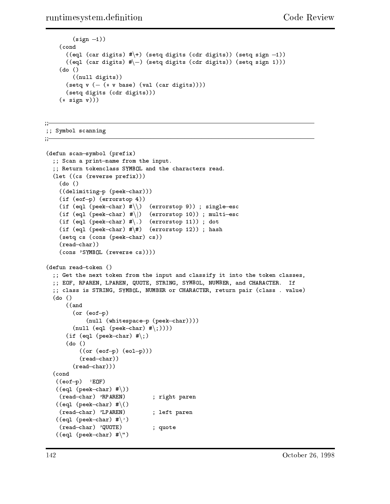```
(sign -1))(cond
  ((eq1 (car digits) <math>\# \rightarrow )</math> (setq digits (cdr digits)) (setq sign -1))((eq1 (car digits) <math>\#(-))</math> (setq digits (cdr digits)) (setq sign 1)))(do()((null digits))(\text{setq } v (- (* v \text{ base}) (val (car digits))))(setq digits (cdr digits)))
(** sign v)))
```

```
;; Symbol scanning
```
 $;;-$ 

```
(defun scan-symbol (prefix)
  ;; Scan a print-name from the input.
  ;; Return tokenclass SYMBOL and the characters read.
  (left ((cs (reverse prefix)))(do()((delimiting-p (peek-char)))
    (if (eof-p) (errorstop 4))(if (eql (peek-char) \#\rangle) (errorstop 9)); single-esc
    (if (eql (peek-char) \#\rangle) (errorstop 10)) ; multi-esc
    (if (eql (peek-char) \#\) (errorstop 11)); dot
    (if (eql (peek-char) \# \H) (errorstop 12)); hash
    (setq cs (cons (peek-char) cs))
    (\text{read–char}))
    (cons 'SYMBOL (reverse cs))))
(defun read-token ()
  ;; Get the next token from the input and classify it into the token classes,
  ;; EOF, RPAREN, LPAREN, QUOTE, STRING, SYMBOL, NUMBER, and CHARACTER. If
  ;; class is STRING, SYMBOL, NUMBER or CHARACTER, return pair (class . value)
  (do()((and
        (or (eof-p))null (whitespace p (peek-char))))
        (\text{null} (\text{eql} (\text{peek—char}) \# \backslash ;)))(if (eq1 (peek–char) #);)(do()((or (eof-p) (eol-p)))(\text{read–char}))
        (\text{read–char}))(cond
   ((\texttt{eof}-p) 'EOF)
   ((eq1 (peek–char) #)))(read-char) 'RPAREN)
                                 ; right paren
   ((eq1 (peek–char) #)())(read-char) 'LPAREN)
                                  ; left paren
   ((eq1 (peek–char) #)'')(\texttt{read–char}) 'QUOTE)
                                 ; quote
   ((eq1 (peek–char) #\\")
```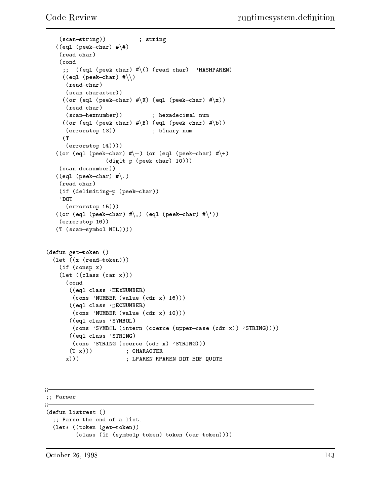```
(\texttt{scan}\text{-}\texttt{string}))
                                   ; string
   ((\verb"eq1" ( \verb"peek–char")  # \verb"#")(\texttt{read}-\texttt{char})(cond
      ;; ((eq1 (peek–char) #)() (read–char) 'HASHPAREN)((eq1 (peek–char) #))(\text{read–char})(scan–character))
      ((or (eq1 (peek–char) #\X) (eq1 (peek–char) #\X))(\text{read}-\text{char})(\texttt{scan} \text{—hexnumber})); hexadecimal num
      ((or (eq1 (peek–char) #\B) (eq1 (peek–char) #\b))(errorstop 13))
                                  ; binary num
      (T)(errorstop 14))))((\texttt{or}\ (\texttt{eq1}\ (\texttt{peek}-\texttt{char})\ \# \backslash -)\ (\texttt{or}\ (\texttt{eq1}\ (\texttt{peek}-\texttt{char})\ \# \backslash +)(digit-p (peek–char) 10)))(\texttt{scan}\text{-}\texttt{deenumber}))
   ((eq1 (peek–char) #).)(\texttt{read–char})(if (delimiting-p (peek-char))
    'DOT
       (errorstop 15)))((or (eql (peek–char) #),) (eql (peek–char) #)')(errorstop 16))(T (scan-symbol NIL))))(defun get-token ()
  (\text{let } ((x (read-token)))(if (consp x)(\text{let } ((\text{class } (\text{car } x))))\epsiloncond
        ((eql class 'HEXNUMBER)
         \text{(cons 'NUMBER (value (cdr x) 16)))}((eql class 'DECNUMBER)
         (cons 'NUMBER (value (cdr x) 10)))((eql class 'SYMBOL)
         (cons 'SYMBOL (intern (coerce (upper-case (cdr x)) 'STRING))))
        ((eql class 'STRING)
         (cons 'STRING (coerce (cdr x) 'STRING)))
        (T x)) ; CHARACTER
       x)) )
                             ; LPAREN RPAREN DOT EOF QUOTE
```
 $\ddot{\phantom{a}}$ : ;; Parser

```
\ddot{\phantom{a}}(defun listrest ()
  ;; Parse the end of a list.
  (let* ((token (get-token))
          (class (if (symbolp token) token (car token))))
```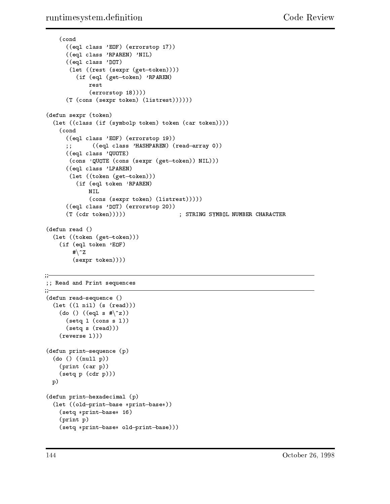```
\epsiloncond
       ((eql class 'EOF) (errorstop 17))
       ((eql class 'RPAREN) 'NIL)
       ((eql class 'DOT)
       (left (rest (sexpr (get-token))))(if (eql (get-token) 'RPAREN)
              rest
              (errorstop 18))))(T (cons (sexpr token) (listrest))))))
(defun sexpr (token)
  (let ((class (if (symbolp token) token (car token))))
    \epsilon cond
       ((eql class 'EOF) (errorstop 19))
               ((eql class 'HASHPAREN) (read-array 0))
       \mathbf{5.5}((eql class 'QUOTE)
       (cons 'QUOTE (cons (sexpr (get-token)) NIL)))
       ((eql class 'LPAREN)
       (let ((token (get-token)))
          (if (eql token 'RPAREN)
              NIL
              (cons (sexpr token) (listrest))))((eql class 'DOT) (errorstop 20))
       (T (cdr token)))); STRING SYMBOL NUMBER CHARACTER
(defun read ()
  (let ((token (get-token)))
    (if (eql token 'EOF)
        #\^Z
         (sexpr token))))\dddot{\phantom{0}};; Read and Print sequences
\ddot{\phantom{a}}(defun read-sequence ()
  (left ((l nil) (s (read)))(do () ((eql s \# \rceil ))
      (setq 1 (cons s 1))(setq s (read)))(reverse 1)))(defun print-sequence (p)
  (do() ((null p))(print (car p))(\text{setq } p (\text{cdr } p)))p)(defun print-hexadecimal (p)
  (let ((old-print-base *print-base*))
    (setq *print-base* 16)
    (print p)(setq *print-base* old-print-base)))
```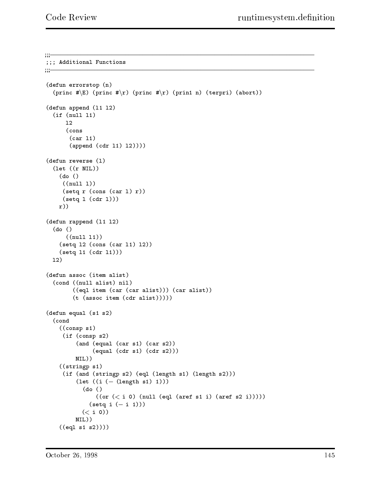$;;$ 

 $;;;$ ;;; Additional Functions

```
(defun errorstop (n)
  (princ #\E) (princ #\r) (princ #\r) (prin1 n) (terpri) (abort))
(defun append (11 12)
  (if (null 11)12\frac{1}{2}(car 11)(\text{append }(\text{cdr }11) 12))))(defun reverse (1)
  (\text{let } ((r \text{ NIL}))(do()((null 1))(\text{setq } r \ (\text{cons } (\text{car } 1) r))(setq 1 (cdr 1)))r))
(defun rappend (11 12)
  (do()((null 11))(\text{setq 12 } (\text{cons } (\text{car 11}) 12))(setq 11 (cdr 11)))12)(defun assoc (item alist)
  (cond ((null alist) nil)
         ((eq1 item (car (car alist))) (car alist))(t (assoc item (cdr alist))))(defun equal (s1 s2)
  (cond
    ((\text{consp s1})(if (consp s2)(and (equal (car s1) (car s2))\text{(equal (cdr s1) (cdr s2)))}NIL))
    ((string p s1)(if (and (stringp s2) (eql (length s1) (length s2)))
          (\text{let } ((i (- (\text{length } s1) 1)))(do()((or (<i>i</i> 0) (null (eql (aref s1 i) (aref s2 i))))))(setq i (- i 1)))(< i 0))
          NIL))
    ((eq1 s1 s2))))
```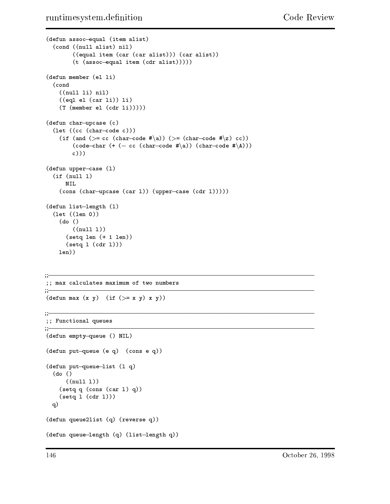```
(defun assoc-equal (item alist)
  (cond ((null alist) nil)
        ((equal item (car (car alist))) (car alist))
        (t (assoc-equal item (cdr alist))))(defun member (el li)
  (cond
    ((null 1i) nil)((eql el (car li)) li)(T (member el (cdr li))))(defun char-upcase (c)
  (\text{let } ((cc (char-code c)))(if (and (>= cc (char-code #\a)) (>= (char-code #\z) cc))
        (code-char (+ (- cc (char–code #\a)) (char–code #\A)))c)))
(defun upper-case (1)
  (if (null 1)NIL
    (cons (char-upcase (car 1)) (upper-case (cdr 1)))))
(defun list-length (1)
  (\text{let } ((\text{len } 0)))(do()((null 1))(\text{setq len } (+ 1 len))(\text{setq 1 }(\text{cdr 1})))len()
```
;; max calculates maximum of two numbers  $;; (\text{defun max } (x y) \text{ (if } (\ge x y) x y))$ 

```
;; Functional queues
```

```
;;-(defun empty-queue () NIL)
(defun put-queue (e q) (cons e q))
(defun put-queue-list (1 q)
  (do()((null 1))(setq q (cons (car 1) q))(\text{setq 1 }(\text{cdr 1})))q)(defun queue2list (q) (reverse q))
(defun queue-length (q) (list-length q))
```
 $\dddot{\phantom{0}}$ 

 $;;-$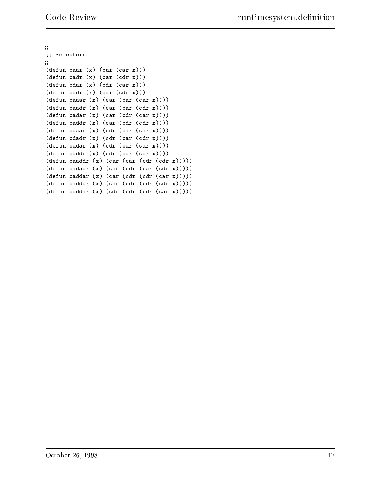| ;;-                                                                                         |
|---------------------------------------------------------------------------------------------|
| ;; Selectors                                                                                |
| $;;-$                                                                                       |
| $(\text{defun caar } (x) (\text{car } (car x)))$                                            |
| $(\text{defun} \text{ card } (x) \text{ (car } (cdr x)))$                                   |
| $(\text{defun } \text{char}(x) \ (\text{cdr} (\text{car } x))))$                            |
| $(\text{defun} \cdot \text{cddr} \cdot (x) \cdot (\text{cdr} \cdot (\text{cdr} \cdot x)))$  |
| $(\text{defun caaar } (x)$ $(\text{car } (car (car x))))$                                   |
| $(\text{defun } \text{cadr } (x) \text{ (car } (\text{car } (cdr x))))$                     |
| $(\text{defun} \text{ cadar } (x) \text{ (car } (\text{cdr } (car x))))$                    |
| $(\text{defun} \text{ caddr } (x) \text{ (car } (cdr x))))$                                 |
| $(\text{defun cdaar } (x) (\text{cdr } (car (car x))))$                                     |
| $(\text{defun} \text{ cdat } (x) \text{ (cdr } (car (cdr x))))$                             |
| $(\text{defun} \text{ cddar} (x) (\text{cdr} (\text{cdr} (\text{car} x))))$                 |
| $(\text{defun} \cdot \text{cddr} \cdot (x) \cdot (\text{cdr} \cdot (\text{cdr} \cdot x))))$ |
| $(\text{defun caaddr } (x)$ $(\text{car } (car (cdr (cdr x))))$                             |
| $(defun cadadr (x) (car (cdr (car (cdr x))))$                                               |
| $(\text{defun} \text{ caddr } (x) \text{ (car } (cdr (cdr x))))$                            |
| $(defun cadddr (x) (car (cdr (cdr (cdr x))))$                                               |
| $(defun cdddar (x) (cdr (cdr (cdr (car x))))$                                               |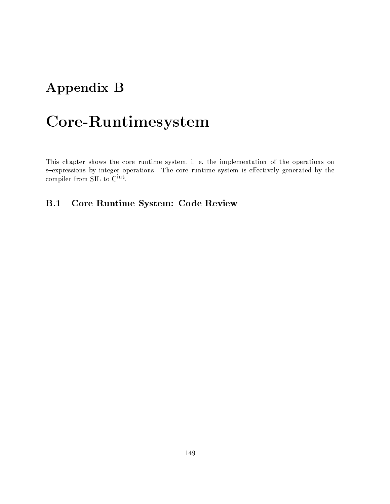### Appendix B

# Core-Runtimesystem

This chapter shows the core runtime system, i. e. the implementation of the operations on s-expressions by integer operations. The core runtime system is effectively generated by the compiler from SIL to C<sup>int</sup>.

#### $B.1$ Core Runtime System: Code Review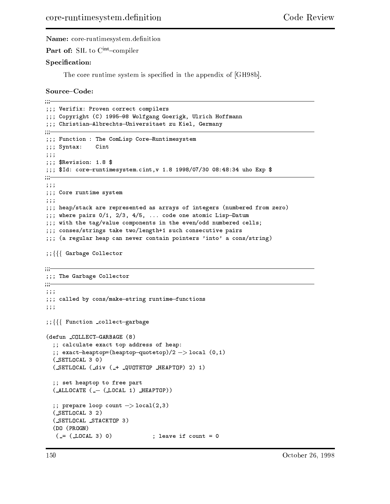Name: core-runtimesystem.definition

Part of: SIL to C<sup>int</sup>-compiler

### Specification:

The core runtime system is specified in the appendix of [GH98b].

Source-Code:

```
\cdots;;; Verifix: Proven correct compilers
;;; Copyright (C) 1995-98 Wolfgang Goerigk, Ulrich Hoffmann
;;; Christian-Albrechts-Universitaet zu Kiel, Germany
\frac{1}{2};;; Function : The ComLisp Core-Runtimesystem
;;; Syntax:
                Cint
\cdots;;;; $Revision: 1.8 $;;; $Id: core-runtimesystem.cint, v 1.8 1998/07/30 08:48:34 uho Exp $
\frac{1}{2};
\cdots;;; Core runtime system
, ; ;;;; heap/stack are represented as arrays of integers (numbered from zero)
;;; where pairs 0/1, 2/3, 4/5, ... code one atomic Lisp-Datum
;;; with the tag/value components in the even/odd numbered cells;
;;; conses/strings take two/length+1 such consecutive pairs
;;; (a regular heap can never contain pointers 'into' a cons/string)
\frac{1}{2}; \frac{1}{2} Garbage Collector
\cdots;;; The Garbage Collector
\frac{1}{2}, ; ;;;; called by cons/make-string runtime-functions
\frac{1}{2};
\sigma;;\{ \{ \} Function _collect-garbage
(defun _COLLECT-GARBAGE (8)
  ;; calculate exact top address of heap:
  ;; exact-heaptop=(heaptop-quotetop)/2 -> local (0,1)(_SETLOCAL 3 0)
  (SETLOCAL (_div (_+ _QUOTETOP _HEAPTOP) 2) 1)
  ;; set heaptop to free part
  (\bot ALLOCATE ( \bot ( \bot OCAL 1) \bot HEAPTOP)));; prepare loop count -> local(2,3)
  ( SETLOCAL 3 2)
  (SETLOCAL STACKTOP 3)
  (DO (PROGN)
   ( = ( LOCAL 3) 0)
                                   ; leave if count = 0
```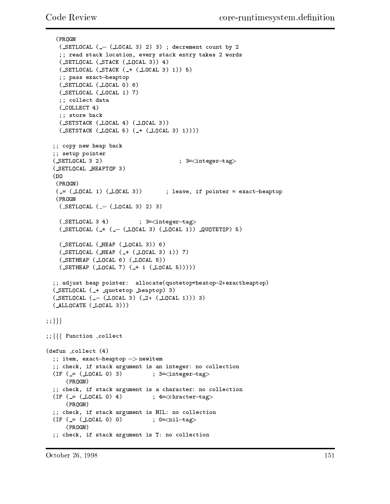```
(PROGN
    (_SETLOCAL (_- (_LOCAL 3) 2) 3) ; decrement count by 2
    ;; read stack location, every stack entry takes 2 words
    (_SETLOCAL (_STACK (_LOCAL 3)) 4)
    (\texttt{-SETLOCAL} (\texttt{-STATE} (+ (\texttt{LOCAL} 3) 1)) 5);; pass exact-heaptop
    (\text{SETLOCAL} (\text{LOCAL} 0) 6)(\text{SETLOCAL} (\text{LOCAL} 1) 7);; collect data
    ( COLLECT 4);; store back
    (_SETSTACK(LOCAL4)(LOCAL3))
    (\text{SETSTACK} (\text{LOCAL 5}) (\text{-} (\text{LOCAL 3}) 1))));; copy new heap back
  ;; setup pointer
  ( SETLOCAL 3 2)
                                            ; 3=<integer—tag>
  ( SETLOCAL HEAPTOP 3)
  (DO
   (PROGN)( = ( LOCAL 1) ( LOCAL 3) ) ; leave, if pointer = exact-heaptop
   (PROGN
    (\text{SETLOCAL} \, (-)(\text{LOCAL} \, 3) \, 2) \, 3); 3=<integer—tag>
    (\_SETLOCAL 34)
    (\texttt{SETLOCAL} (\texttt{-} + (\texttt{-} (\texttt{LOCAL 3}) (\texttt{LOCAL 1})) \texttt{\_QUOTETOP}) 5)(\text{SETLOCAL} (\text{HERP} (\text{LOCAL } 3)) 6)(\text{SETLOCAL} (\text{HERP } (-+ (\text{LOCAL } 3) 1)) 7)(\text{SETHEAP} (\text{LOCAL } 6) (\text{LOCAL } 5))(\text{SETHEAP} (\text{LOCAL } 7) (\text{+ 1} (\text{LOCAL } 5))));; adjust heap pointer: allocate(quotetop+heatop-2*exactheaptop)
  (SETLOCAL (_+ _quotetop _heaptop) 3)
  (\text{SETLOCAL } (- ( \text{LOCAL } 3) (2 * ( \text{LOCAL } 1))) 3)(\bot ALLOCATE (\bot OCAL 3)));; \};; \{\{\}\ Function _collect
(detun_{collect} (4));; item, exact-heaptop -> newitem
  ;; check, if stack argument is an integer: no collection
  (IF ( = (LOCAL 0) 3)); 3 = <integer-tag>(PROGN);; check, if stack argument is a character: no collection
  (IF ( = (LOCAL 0) 4); 4=<chracter—tag>
      (PROGN)
  ;; check, if stack argument is NIL: no collection
  (IF ( = (LOCAL 0) 0); 0=<nil-tag>
       (PROGN);; check, if stack argument is T: no collection
```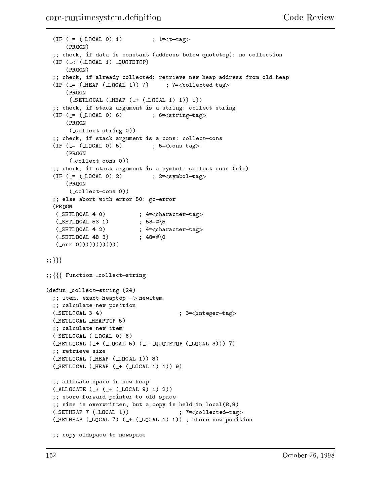Code Review

```
(IF ( = (LOCAL 0) 1); 1=<t-tag>
      (PROGN);; check, if data is constant (address below quotetop): no collection
  (IF (<math>\angle</math> (<math>\bot</math>OCAL 1) <math>\bot</math>QUOTETOP)(PROGN);; check, if already collected: retrieve new heap address from old heap
  (IF ( = (HEAR (LOCAL 1)) 7) ; 7=\ltcollected-tag>
      (PROGN)
       (\text{SETLOCAL} (\text{HERP } (-+ (\text{LOCAL } 1) 1)) 1));; check, if stack argument is a string: collect-string
  (IF ( = (LOCAL 0) 6); 6 = <string—tag>(PROGN
       (\text{\_collect} \text{-string } 0));; check, if stack argument is a cons: collect-cons
  (IF ( = (LOCAL 0) 5)); 5=<cons—tag>
      (PROGN
       (\_collect\_cons 0))
  ;; check, if stack argument is a symbol: collect-cons (sic)
  (IF ( = (LOCAL 0) 2); 2=<symbol-tag>(PROGN
       (\_collect-\text{cons } 0));; else abort with error 50: gc-error
  (PROGN
   (\texttt{-SETLOCAL } 4 0); 4=<character—tag>
   ( SETLOCAL 53 1)
                            ; 53=\# \setminus 5(\texttt{SETLOCAL } 4 2); 4=<character—tag>
   (SETLOCAL 48 3)
                             ; 48=#\0
   (\text{err } 0))))))))))))));; \};; {{{ Function collect-string
(defun _collect-string (24)
  ;; item, exact-heaptop -> newitem
  ;; calculate new position
  (SETLOCAL 3 4); 3=<integer-tag>
  (SETLOCAL HEAPTOP 5)
  ;; calculate new item
  (SETLOCAL (LOCAL 0) 6)(SETLOGAL (-+ (LOGAL 5) (-qUOTETOP (LOGAL 3))) 7);; retrieve size
  (SETLOCAL (_HEAP (_LOCAL 1)) 8)
  (SETLOCAL (HER ( _+ (LOCAL 1) 1)) 9);; allocate space in new heap
  (\_ALLOCATE \ ( \_ * \ ( \_ + \ ( \_ LOCAL 9) 1 ) 2 ));; store forward pointer to old space
  ;; size is overwritten, but a copy is held in local(8,9)
  ( SETHEAP 7 ( LOCAL 1))
                                           ; 7=<collected-tag>
  (SETHEAP (LOCAL 7) (_+ (LOCAL 1) 1)) ; store new position
  ;; copy oldspace to newspace
```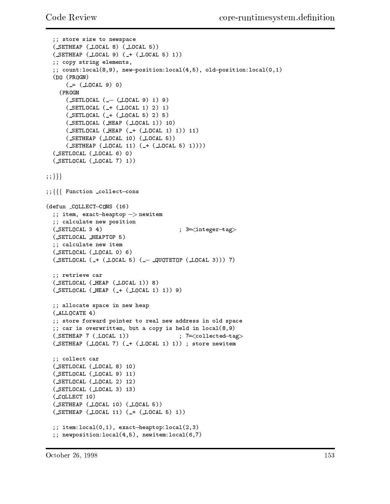```
;; store size to newspace
  ( SETHEAP ( LOCAL 8) ( LOCAL 5))(SETHEAP (LOCAL 9) (- + (LOCAL 5) 1));; copy string elements,
  ;; count:local(8,9), new-position:local(4,5), old-position:local(0,1)
  (DO (PROGN)
      ( = ( LOCAL 9) 0)
    (PROGN
      (SETLOCAL (-CAL 9 1 9))(SETLOCAL (-+ (LOCAL 1) 2) 1)(SETLOCAL (-+ (LOCAL 5) 2) 5)( SETLOCAL ( HEAP ( LOCAL 1)) 10)
      (\text{SETLOCAL} (\text{HERP } (-+ (\text{LOCAL} 1) 1)) 11)(\text{SETHEAP} (\text{LOCAL } 10) (\text{LOCAL } 5))(\neg \text{SETHEAP } (\neg \text{LOCAL } 11) (\neg + (\neg \text{LOCAL } 5) 1))))( SETLOCAL ( LOCAL 6) 0)(SETLOCAL (LOCAL 7) 1)){;;}\}}}}
;; \{\{\} Function collect-cons
(defun COLLECT-CONS (16)
  ;; item, exact-heaptop -> newitem
  ;; calculate new position
  (SETLOCAL 3 4); 3=<integer—tag>
  (SETLOCAL HEAPTOP 5)
  ;; calculate new item
  ( SETLOCAL ( LOCAL 0) 6)(SETLOCAL)(-+ (LOCAL 5) (-- QUOTETOP (LOCAL 3))) 7);; retrieve car
  (\text{SETLOCAL} (\text{HER} (\text{LOCAL} 1)) 8)(\text{SETLOCAL} (\text{HERP } (-+ (\text{LOCAL } 1) 1)) 9);; allocate space in new heap
  (ALLOCATE 4);; store forward pointer to real new address in old space
  ;; car is overwritten, but a copy is held in local(8,9)
  ( SETHEAP 7 ( LOCAL 1); 7=<collected—tag>
  (SETHEAP (LOCAL 7) (_+ (LOCAL 1) 1)) ; store newitem
  ;; collect car
  (SETLOCAL (LOCAL 8) 10)
  ( SETLOCAL ( LOCAL 9) 11)
  (SETLOCAL (LOCAL 2) 12)
  (SETLOCAL (LOCAL 3) 13)
  ( COLLECT 10)( SETHEAP ( LOCAL 10) ( LOCAL 5))(\neg \text{SETHEAP } (\neg \text{LOCAL } 11) (\neg + (\neg \text{LOCAL } 5) 1));; item:local(0,1), exact-heaptop:local(2,3)
  \cdot; newposition:local(4,5), newitem:local(6,7)
```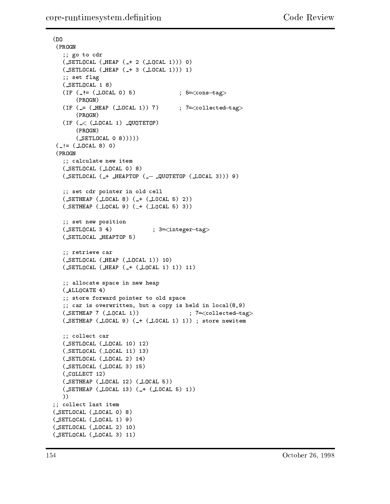```
(DD)(PROGN
    ;; go to cdr
    (\text{SETLOCAL} (\text{HERP } (-+ 2 (\text{LOCAL } 1))) 0)(\text{SETLOCAL} (\text{HERP } (-+ 3 (\text{LOCAL } 1))) 1);; set flag
    (_SETLOCAL 1 8)
    (IF (__ != (__LOCAL 0) 5); 5=<cons—tag>
           (PROGN)(IF ( = (HER ( <math>\_</math> <math>\_</math> <math>\_</math> <math>\_</math> <math>\_</math> <math>\_</math> <math>\_</math> <math>\_</math> <math>\_</math> <math>\_</math> <math>\_</math> <math>\_</math> <math>\_</math> <math>\_</math> <math>\_</math> <math>\_</math> <math>\_</math> <math>\_</math> <math>\_</math> <math>\_</math> <math>\_</math> <math>\_</math> <math>\_</math> <math>\_</math> <math>\_</math> <math>\_</math> <math>\_</math> <math>\_</math> <math>\_</math> <math>\_</math> <math>\; 7=<collected—tag>(PROGN)(IF (<math>\angle</math> (<math>\bot</math>OCAL 1) <math>\bot</math>QUOTETOP)(PROGN)
           (SETLOCAL 0 8))))( = ( \pm 0CAL 8) 0)
 (PROGN
    ;; calculate new item
    (\text{SETLOCAL} (\text{LOCAL} 0) 8)(\text{SETLOCAL} (+ \text{ HERPTOP} (-\text{QUOTETOP} ( \text{LOCAL } 3))) 9);; set cdr pointer in old cell
    (\_SETHEAP \ (LOCAL 8) \ (-+ \ (LOCAL 5) 2))(\_SETHEAP (\_ LOCAL 9) (-+ (\_ LOCAL 5) 3));; set new position
    (\texttt{-SETLOCAL } 3 4); 3=<integer—tag>
    (_SETLOCAL _HEAPTOP 5)
    ;; retrieve car
    (_SETLOCAL (_HEAP (_LOCAL 1)) 10)
    (\text{SETLOCAL} (\text{HERP } (-+ (\text{LOCAL } 1) 1)) 11);; allocate space in new heap
    (\_ALLOCATE 4);; store forward pointer to old space
    ;; car is overwritten, but a copy is held in local(8,9)
    (\text{SETHEAP } 7 (\text{LOCAL } 1)); 7=<collected—tag>
    (_SETHEAP (_LOCAL 9) (_+ (_LOCAL 1) 1)) ; store newitem
    ;; collect car
    (_SETLOCAL (_LOCAL 10) 12)
    (_SETLOCAL(\text{\_LOCAL} 11) 13)
    (\text{SETLOCAL} (\text{LOCAL} 2) 14)(_SETLOCAL (_LOCAL 3) 15)
    ( COLLECT 12)(_SETHEAP(\text{\_}LOCAL12)(\text{\_}LOCAL5))(\text{SETHEAP} (\text{LOCAL } 13) (\text{-} (\text{LOCAL } 5) 1))))
;; collect last item
( SETLOCAL ( LOCAL 0) 8)
( SETLOCAL ( LOCAL 1) 9)(SETLOCAL (LOCAL 2) 10)
(_SETLOCAL (_LOCAL 3) 11)
```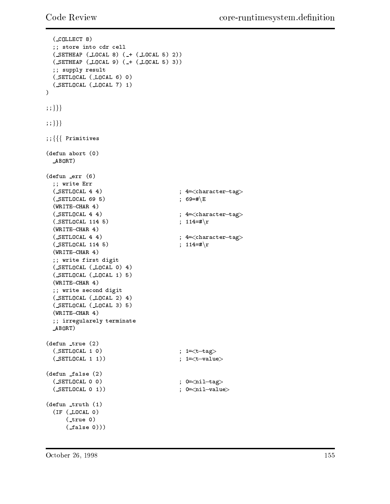```
( COLLECT 8);; store into cdr cell
  (\neg \text{SETHEAP} (\neg \text{LOCAL } 8) (\neg + (\neg \text{LOCAL } 5) 2))(\neg \text{SETHEAP} (\neg \text{LOCAL } 9) (\neg + (\neg \text{LOCAL } 5) 3));; supply result
  ( SETLOCAL ( LOCAL 6) 0)( SETLOCAL ( LOCAL 7) 1)
\lambda\{ ; ; \} \} \};; \}}}}
;; \{{{ Primitives}
(defun abort (0)
  ABORT)(detun_error(6));; write Err
  ( SETLOCAL 4 4)
                                            ; 4=<character-tag>
  ( SETLOCAL 69 5)
                                             ; 69=\#E(WRITE-CHAR 4)(SETLOCAL 4 4); 4=<character-tag>
  ( SETLOCAL 114 5)
                                             ; 114=\#r(WRITE-CHAR 4)(SETLOCAL 4 4); 4=<character-tag>
  (SETLOCAL 114 5); 114=\#r(\verb|WRITE–CHAR 4|);; write first digit
  (\text{SETLOCAL} (\text{LOCAL} 0) 4)(SETLOCAL (LOCAL 1) 5)(WRITE-CHAR 4);; write second digit
  ( SETLOCAL ( LOCAL 2) 4)( SETLOCAL ( LOCAL 3) 5)(WRITE-CHAR 4);; irregularely terminate
  ABORT)(defun _true (2)(SETLOCAL 1 0); 1 = <t-tag(SETLOCAL 1 1)); 1 = <t-value>
(defun false (2)
  ( SETLOCAL 0 0)
                                            ; 0 = <math>n1 - tag</math>(SETLOCAL 0 1)); 0 = \n\pi 1 - \nvalue(detun _truth _(1)(IF (LOCAL 0))(\text{true} 0)(false 0)))
```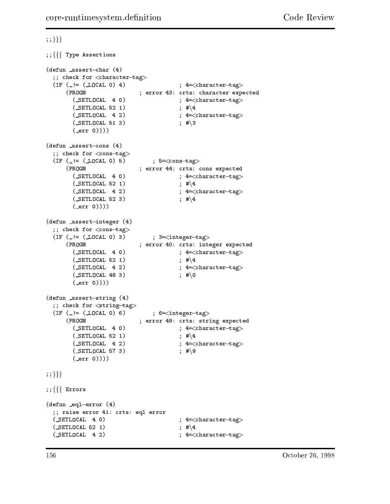```
{;;}\}}}}
\cdot;;{{{ Type Assertions
(defun _assert-char (4)
  ;; check for <character-tag>
  (IF (-) = (LOCAL 0) 4); 4=<character-tag>
      (PROGN
                             ; error 43: crts: character expected
        (SETLOCAL 4 0); 4=<character—tag>
                                         ; \# \backslash 4(SETLOCAL 52 1)(SETLOCAL 4 2); 4=<character-tag>
        (SETLOCAL 51 3)\;; #\3
        (\text{err 0})))(defun_assert—cons (4));; check for <cons-tag>
  (IF (-)= (LOCAL 0) 5); 5=<cons—tag>
      (PROGN
                             ; error 44: crts: cons expected
        ( SETLOCAL 4 0)
                                         ; 4=<character—tag>
        ( SETLOCAL 52 1)
                                         ; #\4
        (SETLOCAL 4 2); 4=<character—tag>
        ( SETLOCAL 52 3)
                                         \;\; ; #\4
        (\text{err } 0))))(defun _assert-integer (4)
  ;; check for <cons-tag>
  (IF (__ != (__LOCAL 0) 3); 3=<integer—tag>
      (PROGN
                             ; error 40: crts: integer expected
        (SETLOCAL 4 0); 4=<character—tag>
        (SETLOCAL 52 1)\;; #\4
        (SETLOCAL 4 2); 4=<character-tag>
        ( SETLOCAL 48 3)
                                         ; #\0
        (\text{err } 0))))(defun _assert-string (4)
  ;; check for \langlestring-tag\rangle(IF (__ != (__LOCAL 0) 6); 6 = <i>intercept</i> - tag>(PROGN)
                             ; error 49: crts: string expected
        ( SETLOCAL 4 0)
                                         ; 4=<character-tag>
                                         ; \# \setminus 4( SETLOCAL 52 1)
        (SETLOCAL 4 2); 4= < character-tag>
        ( SETLOCAL 57 3)
                                          ; #\9
        (\text{err 0})));; \}{f};; {{{ Errors
(defun_eql-error (4));; raise error 41: crts: eql error
  (SETLOCAL 4 0); 4=<character-tag>
  (SETLOCAL 52 1); #\4
  (SETLOCAL 4 2); 4=<character-tag>
```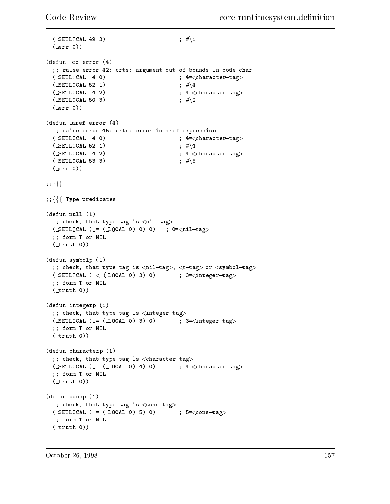```
\cdot; #\1
  ( SETLOCAL 49 3)
  (\text{err 0})(\text{defun }_{c\text{-error}}(4));; raise error 42: crts: argument out of bounds in code-char
  (SETLOCAL 4 0); 4= <character—tag>(SETLOCAL 52 1); \# \backslash 4; 4= < character-tag>
  (SETLOCAL 4 2)(SETLOCAL 50 3)
                                            \cdot; #\2
  (\text{err 0}))(detun_{aref-error}(4));; raise error 45: crts: error in aref expression
                           ; 4 = <character-tag>
  (SETLOCAL 4 0)(\text{SETLOCAL } 52 1)\;; #\backslash 4(SETLOCAL 4 2); 4=<character—tag>
  ( SETLOCAL 53 3)
                                           ; #\5
  (\text{err 0}));; \};; {{{ Type predicates
(\text{defun null} (1));; check, that type tag is \langlenil-tag>
  (\text{SETLOCAL } (= (\text{LOCAL } 0) 0) 0); 0=\langlenil-tag>
  ;; form T or NIL
  (\text{truth } 0))(defun symbolp (1)
  ;; check, that type tag is <nil-tag>, <t-tag> or <symbol-tag>
  (\text{SETLOCAL } (\leq (\text{LOCAL } 0) 3) 0) ; 3=<integer-tag>
  ;; form T or NIL
  (\text{truth } 0))(detun integerp (1);; check, that type tag is <integer-tag>
  (SETLOCAL (= (LOCAL 0) 3) 0) ; 3=\langleinteger-tag>
  ;; form T or NIL
  (\text{truth } 0))(defun characterp (1)
  ;; check, that type tag is <character-tag>
  (SETLOCAL (-5) 4) 0) ; 4={charcter-tag};; form T or NIL
  (\text{\texttt{truth 0}})(defun consp (1)
  ;; check, that type tag is \langle \text{cons–tag}\rangle(\text{SETLOCAL } (= (\text{LOCAL } 0) 5) 0) ; 5=\text{cons-tag};; form T or NIL
  (\text{truth } 0))
```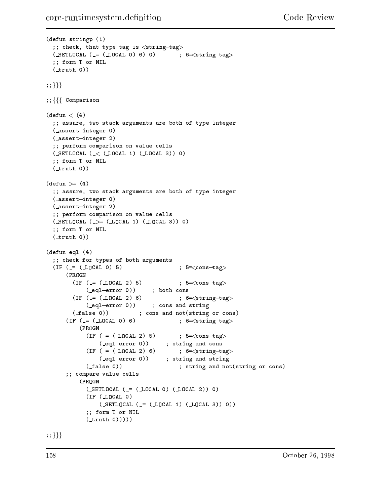```
(defun stringp (1)
  ;; check, that type tag is <string-tag>
  (\text{SETLOCAL } (= (\text{LOCAL 0) 6) 0) ; 6=\langle \text{string-tag} \rangle;; form T or NIL
  (\text{truth } 0));; \}\frac{1}{2}; \frac{1}{2} \frac{1}{2} Comparison
(\text{defun} < (4));; assure, two stack arguments are both of type integer
  (_assert-integer 0)(_assert-integer 2)
  ;; perform comparison on value cells
  (SETLOCAL (< (LOCAL 1) (LOCAL 3)) 0);; form T or NIL
  (\text{\texttt{truth 0}}))(\text{defun }>= (4));; assure, two stack arguments are both of type integer
  (_assert-integer 0)
  (_assert-integer 2)
  ;; perform comparison on value cells
  (SETLOCAL)(\_\>= (LOCAL 1) (LOCAL 3)) 0);; form T or NIL
  (\text{truth } 0))(\text{defun eql} (4));; check for types of both arguments
  (IF ( = (LOCAL 0) 5)); 5=<cons-tag>
      (PROGN
        (IF (- = (LOCAL 2) 5)); 5=<cons-tag>
             (\verb|_{eql-error 0})); both cons
        (IF ( = (LOCAL 2) 6); 6=<string—tag>
             (\text{eql}-error 0)) ; cons and string
        (IF ( = (LOCAL 0) 6); 6=<string-tag>
           (PROGN
                                          ; 5=<cons-tag>
             (IF ( = (LOCAL 2) 5)(\_\texttt{eql-error 0})); string and cons
             (IF ( = (LOCAL 2) 6); 6=<string-tag>
                 (\_\text{eql–error} ())
                                       ; string and string
                                          ; string and not (string or cons)
             (false 0));; compare value cells
           (PROGN
             (\text{SETLOCAL} (= (\text{LOCAL 0}) (\text{LOCAL 2})) 0)(IF (LOCAL 0))(\text{SETLOCAL} (= (\text{LOCAL} 1) (\text{LOCAL} 3)) 0));; form T or NIL
             (\text{\texttt{truth 0})}))
```
 ${::}$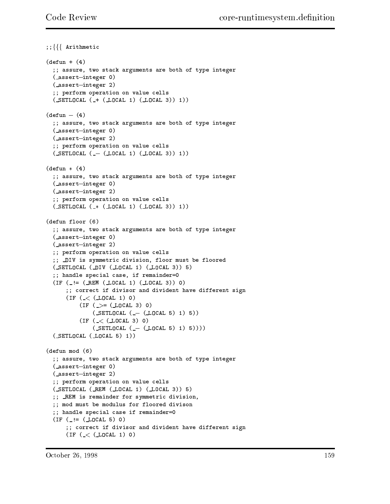```
{\scriptstyle;\;;\;\{\{\right\}} Arithmetic
 \lambda and \lambda is a set of \lambda is a set of \lambda is a set of \lambda is a set of \lambda\cdots seconds these states in the state of the state states in the state of the state of the state of the state of the state of the state of the state of the state of the state of the state of the state of the state of th
     ; ER5-
5-
." "+.*9-
*@n\>
     ; ER5-
5-
." "+.*9-
*@o\>
     L3*!-
(*1f(*3-
*E*. /(*+s(*+0)-
E4*T-
V,445
     / CP-PID-AI / LID-AI 11 / LD-AI 911 111
 ;h-
!T+D ;p>
     \cdots seconds these states in the state of the state states in the state of the state of the state of the state of the state of the state of the state of the state of the state of the state of the state of the state of th
     ; ER5-
5-
." "+.*9-
*@n\>
     ; ER5-
5-
." "+.*9-
*@o\>
     L3*!-
(*1f(*3-
*E*. /(*+s(*+0)-
E4*T-
V,445
     ; `t-
Y-
Z -
6*P-
Zk;  ; Z-
6P-
Z^?>0; Z-
6P-
Z->>0?>>
 ;h-
!T+-vk;p>
     ~E-
55/T-
I.{-
(05/.-
E-
,"HqE*9T*1*+.R5NE-
GQ-
(*.:f(*!f.83-
- "+.*9-
*
     ; ER5-
5-
." "+.*9-
*@n\>
     ; ER5-
5-
." "+.*9-
*@o\>
     L3*!-
(*1f(*3-
*E*. /(*+s(*+0)-
E4*T-
V,445
     ; `t-
Y-
Z -
6*P-
Zk; vk; Z-
6P-
Z^?>0; Z-
6P-
Z->>0?>>
 ;h-
!T+@!-
4((<;=e>
     \cdots seconds these states in the state of the state states in the state of the state of the state of the state of the state of the state of the state of the state of the state of the state of the state of the state of th
     ; ER5-
5-
." "+.*9-
*@n\>
     ; ER5-
5-
." "+.*9-
*@o\>
     L3*!-
(*1f(*3-
*E*. /(*+s(*+0)-
E4*T-
V,445
     \cdots iiiv ta aww.was.as altwo at an filaam words ha filaamaal \cdots, with the state of the state and the state of the state of the state of the state of the state of the state of the state of the state of the state of the state of the state of the state of the state of the state of the st
     .. handia anaasa laaga stummaanaa damuu h
     ה \ 1 – \ מהמחז / דחר או דוד ( דוד / דד)
            \ldots a suna set it divisa sur and divisions believ different as \mu .
            ;"g/W^; -
 ; Z-
6P-
Z<?>Dn>
                    ;"g/W^; k; Z6P-
Zf>Dn\>
                            \ell . We can be a set of the contract of the contract of the contract of the contract of the contract of the contract of the contract of the contract of the contract of the contract of the contract of the contract of the
                    ;"g/W^; -
 ; Z -
6P-
Z->Dn>
                            \alpha , which is a contracted to the contracted to the contracted to the contracted to the contracted to the contracted to the contracted to the contracted to the contracted to the contracted to the contracted to the contr
     \sim . The following the contract of the contract of the contract of the contract of the contract of the contract of the contract of the contract of the contract of the contract of the contract of the contract of the cont
 \ldots . The final function of \alpha is the final function of \alpha is the final function of \alpha~E-
55/T-
I.{-
(05/.-
E-
,"HqE*9T*1*+.R5NE-
GQ-
(*.:f(*!f.83-
- "+.*9-
*
     ; ER5-
5-
." "+.*9-
*@n\>
     ; ER5-
5-
." "+.*9-
*@o\>
     L3*!-
(*1f(*3-
*E*. /(*+s(*+0)-
E4*T-
V,445
     ; `t-
Y-
Z -
6*P-
Zk; [t  ; Z6P-
Z|?>}; Z6P-
Zf>>uB>
     .. DUM is pomojndop for summatria division
      1(*hG1-
TR5/.@Q-
D1(*hT-
4*TR5N!-
(*@!-
4((*-
*hh ") *52(*+
     .. Kandia anaasal aaga st mamasndamu
                                                                          n
     ;=g/W;  X; Z-
6P-
Z0B\> n\>
            \ldots a suna set it divisa sur and divisions believ different as \mu .
            ;"g/W^; -
 ; Z-
6P-
Z<?>Dn>
```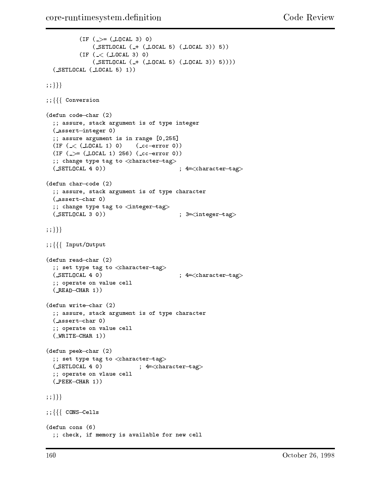```
(IF (-)= (LOCAL 3) 0)(SETLOCAL (- + (LOCAL 5) (LOCAL 3)) 5))(IF ( < (LOCAL 3) 0)(\text{SETLOCAL} (\text{--} (\text{LOCAL} 5) (\text{LOCAL} 3)) 5))))(SETLOCAL (LOCAL 5) 1));; \};; \{\{\} Conversion
(defun code-char (2)
  ;; assure, stack argument is of type integer
  (_assert-integer 0);; assure argument is in range [0,255]
  (IF ( _< ( \text{LOCAL 1) 0) ( _c c-error 0))(IF (-)= (LOCAL 1) 256) (-c-cerror 0));; change type tag to <character-tag>
  (SETLOCAL 4 0)); 4=<character-tag>
(detun char-code(2));; assure, stack argument is of type character
  (_assert-char 0)
  ;; change type tag to <integer-tag>
  (SETLOCAL 3 0)); 3=<integer-tag>
;; \}}}}
;; {{{ Input/Output
(defun read-char (2)
 ;; set type tag to <character-tag>
  (SETLOCAL 4 0); 4=<character—tag>
  ;; operate on value cell
  (READ-CHAR 1))
(detun write—char (2));; assure, stack argument is of type character
  (assert-char 0)
  ;; operate on value cell
  (\texttt{WRITE}-\texttt{CHAR} 1))(defun peek-char (2)
  ;; set type tag to <character-tag>
  ( SETLOCAL 4 0)
                   ; 4= <character-tag>;; operate on vlaue cell
  (\text{PEEK}-\text{CHAR} 1));; \}}}}
;;\{{{ CONS-Cells
(detun cons(6));; check, if memory is available for new cell
```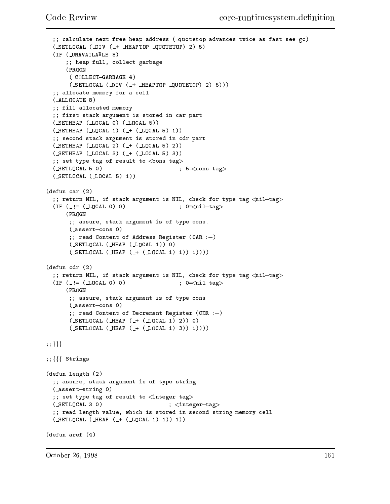```
;; calculate next free heap address (_quotetop advances twice as fast see gc)
  (SETLOCAL (DIV ( + HEAPTOP QUOTETOP) 2) 5)
  (IF (_UNAVAILABLE 8)
      ;; heap full, collect garbage
      (PROGN
       (_COLLECT-GARBAGE 4)
       (SETLOCAL (DIV (-+ HEARTOP \tqUOTETOP) 2) 5)));; allocate memory for a cell
  (ALLOCATE 8)
  ;; fill allocated memory
  ;; first stack argument is stored in car part
  (SETHEAP (LOCAL 0) (LOCAL 5))(SETHERP (LOCAL 1) (-+ (LOCAL 5) 1));; second stack argument is stored in cdr part
  (\neg \text{SETHEAP} (\neg \text{LOCAL } 2) (-+ (\neg \text{LOCAL } 5) 2))(\neg \text{SETHEAP } (\neg \text{LOCAL } 3) (\neg + (\neg \text{LOCAL } 5) 3));; set type tag of result to <cons-tag>
  ( SETLOCAL 5 0)
                                          ; 5=<cons—tag>
  (SETLOCAL (LOCAL 5) 1))(\text{defun car}(2));; return NIL, if stack argument is NIL, check for type tag <nil-tag>
  (IF ( ) = ( \text{LOCAL 0}) 0); 0 = <n11 - tag(PROGN
       ;; assure, stack argument is of type cons.
       (assert-cons 0)
       ;; read Content of Address Register (CAR :-)
       (SETLOCAL (_HEAP (_LOCAL 1)) 0)
       (SETLOCAL (HER ( + (LOCAL 1) 1)))(defun cdr (2)
  ;; return NIL, if stack argument is NIL, check for type tag <nil-tag>
  (IF (-)= (LOCAL 0) 0); 0 = <nil-tag>
      (PROGN
       ;; assure, stack argument is of type cons
       (assert-cons 0)
       ;; read Content of Decrement Register (CDR :-)
       (SETLOCAL (HER ( _+ (LOCAL 1) 2)) 0)(\text{SETLOCAL} (\text{HERP } (-+ (\text{LOCAL } 1) 3))) 1))));; \};; {{{ Strings}}
(defun length (2)
  ;; assure, stack argument is of type string
  (_assert-string 0)
  ;; set type tag of result to \langleinteger-tag>
                                       ; <integer-tag>
  (SETLOCAL 3 0);; read length value, which is stored in second string memory cell
  (\neg \text{SETLOCAL} (\neg \text{HERP} (-+ (\neg \text{LOCAL} 1) 1)) 1))(detun aref (4))
```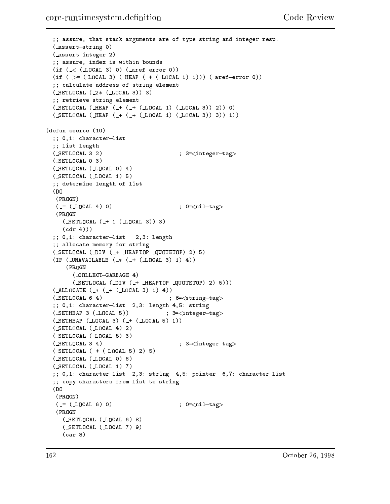```
;; assure, that stack arguments are of type string and integer resp.
 (_assert-string 0)
 (_assert-integer 2)
 ;; assure, index is within bounds
 (if (-(-100AL 3) 0) (-aref-error 0))(if (-)= (LOCAL 3) (HERP (-+ (LOCAL 1) 1))) (aref-error 0));; calculate address of string element
 (SETLOCAL (2 * (LOCAL 3)) 3);; retrieve string element
  (SETLOCAL (_HEAP (_+ (_+ (_LOCAL 1) (_LOCAL 3)) 2)) 0)
 (SETLOCAL (HER ( + (- + (LOCAL 1) (LOCAL 3)) 3))) 1))(defun coerce (10)
 ;; 0,1: character-list
 ;; list-length
 (SETLOCAL 3 2); 3=<integer—tag>
  ( SETLOCAL 0 3)
 ( SETLOCAL ( LOCAL 0) 4)(SETLOCAL (LOCAL 1) 5);; determine length of list
  (DD)(PROGN)( = (LOCAL 4) 0)
                                          ; 0 = \langlenil-tag>
   (PROGN
     (\text{SETLOCAL} (+ 1 (\text{LOCAL} 3)) 3)(cdr 4));; 0,1: character-list 2,3: length
  ;; allocate memory for string
  (SETLOCAL (DIV (_+ HEAPTOP QUOTETOP) 2) 5)
 (IF (UNAVAILABLE ( _* ( _+ ( <math>\bot</math> OCAL 3) 1) 4))(PROGN
        (COLLECT-GARBAGE 4)(\text{SETLOCAL} (\text{DIV } (- + \text{ HERPTOP } \text{QUOTETOP}) 2) 5)))(\_ALLOCATE \ ( \_ * \ ( \_ + \ ( \_ LOCAL 3) 1 ) 4))(SETLOCAL 6 4); 6 = <string-tag>
 ;; 0,1: character-list 2,3: length 4,5: string
  (\negSETHEAP 3 (\negLOCAL 5))
                             ; 3 = <integer-tag>(\neg \text{SETHEAP} (\neg \text{LOCAL } 3) (\neg + (\neg \text{LOCAL } 5) 1))( SETLOCAL ( LOCAL 4) 2)( SETLOCAL ( LOCAL 5) 3)(SETLOCAL 3 4); 3=<integer—tag>
 (SETLOCAL (- + (LOCAL 5) 2) 5)(SETLOCAL (LOCAL 0) 6)(SETLOCAL (LOCAL 1) 7);; 0,1: character-list 2,3: string 4,5: pointer 6,7: character-list
  ;; copy characters from list to string
  (DO
   (PROGN)( = ( LOCAL 6) 0)
                                         ; 0=\langlenil—tag\rangle(PROGN
     ( SETLOCAL ( LOCAL 6) 8)(_SETLOCAL (_LOCAL 7) 9)
     (car 8)
```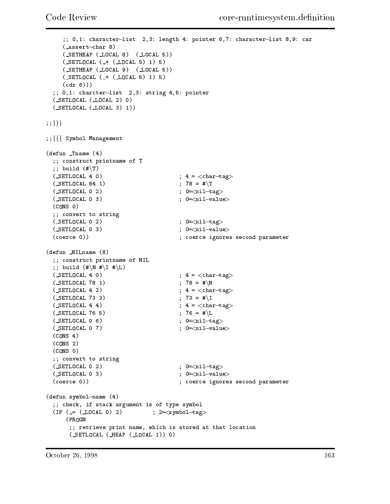```
;; 0,1: character-list 2,3: length 4: pointer 6,7: character-list 8,9: car
     (_assert-char 8)
     (\_ \ETHEAP(\_LOCAL 8)(\_LOCAL 5))
     (\text{SETLOCAL} (\text{-} + (\text{LOCAL} 5) 1) 5)(\_ \ETHEAP(\_LOCAL 9)(\_LOCAL 5))
     (\text{\texttt{\_SETLOCAL}} (\text{\texttt{\_+}} (\text{\texttt{\_LOCAL}} 5) 1) 5)(cdr(6))); 0,1: charcter-list 2,3: string 4,5: pointer
  ( SETLOCAL ( LOCAL 2) 0)(SETLOCAL (LOCAL 3) 1));; \}}}}
;;{{{ Symbol Management
(defun Tname (4)
  ;; construct printname of T
  ;; build (\# \T)( SETLOCAL 4 0)
                                          , 4 = <char—tag>( SETLOCAL 84 1)
                                          ; 78 = #\T
                                          ; 0 = <nil-tag>
  ( SETLOCAL 0 2)
  ( SETLOCAL 0 3)
                                          ; 0=<nil-value>
  (CONS 0);; convert to string
  ( SETLOCAL 0 2)
                                         \Rightarrow 0=\langlenil-tag>
  ( SETLOCAL 0 3)
                                          ; 0=<nil-value>(coerce 0)); coerce ignores second parameter
(defun NILname (8)
  ;; construct printname of NIL
  ;; build (*\nN #\I #\L)(SETLOCAL 4 0)\;\;; 4 = <char-tag>(_SETLOCAL 78 1)
                                          ; 78 = #\N(SETLOCAL 4 2), 4 = <char-tag>( SETLOCAL 73 3)
                                           ; 73 = #\I
                                          ; 4 = \langle char-tag \rangle(SETLOCAL 4 4)( SETLOCAL 76 5)
                                          ; 76 = #\L
                                          ; 0 = \langlenil-tag>
  ( SETLOCAL 0 6)
  (SETLOCAL 0 7); 0 = \langlenil-value>
  (CONS 4)(CONS<sub>2</sub>)(CONS 0);; convert to string
  (SETLOCAL 0 2); 0 = \langlenil-tag\rangle( SETLOCAL 0 3)
                                          ; 0=<nil—value>(coerce 0)); coerce ignores second parameter
(defun symbol-name (4)
  ;; check, if stack argument is of type symbol
  (IF ( = (LOCAL 0) 2) ; 2=\langle symbol -tag \rangle(PROGN
       ;; retrieve print name, which is stored at that location
       (SETLOCAL (HER (LOCAL 1)) 0)
```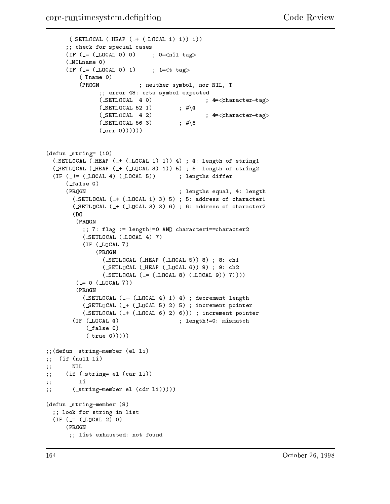```
(\neg \text{SETLOCAL} (\neg \text{HERP} (-+ (\neg \text{LOCAL} 1) 1)) 1));; check for special cases
      (MILname 0)(IF ( = (LOCAL 0) 1) ; 1 = <t-tag</math>)(\_rname 0)
          (PROGN
                             ; neither symbol, nor NIL, T
                 ;; error 48: crts symbol expected
                 (SETLOCAL 4 0); 4=<character-tag>
                                         ; \# \backslash 4( SETLOCAL 52 1)
                 (SETLOCAL 4 2); 4=<character-tag>
                                         ; \sharp \setminus 8(SETLOCAL 56 3)
                 (\text{err } 0))))(defun _string= (10)
  (SETLOCAL (HEAP (_+ (_LOCAL 1) 1)) 4) ; 4: length of string1
  (_SETLOCAL (_HEAP (_+ (_LOCAL 3) 1)) 5) ; 5: length of string2
  (IF (-)= (LOCAL 4) (LOCAL 5)); lengths differ
      (false 0)(PROGN
                                          ; lengths equal, 4: length
        (SETLOCAL (_+ (_LOCAL 1) 3) 5) ; 5: address of character1
        (SETLOCAL (_+ (_LOCAL 3) 3) 6) ; 6: address of character2
        (nn)(PROGN
           ;; 7: flag := length!=0 AND character1==character2
           (SETLOCAL (LOCAL 4) 7)(IF (LOCAL 7))(PROGN
                  (\text{SETLOCAL} (\text{HERP} (\text{LOCAL 5})) 8); 8: ch1
                  (\text{SETLOCAL} (\text{HERP} (\text{LOCAL } 6)) 9); 9: ch2
                 (\text{SETLOCAL} (= (\text{LOCAL} 8) (\text{LOCAL} 9)) 7))))(= 0 (LOCAL 7))
         (PROGN
           (SETLOCAL (_- (LOCAL 4) 1) 4) ; decrement length
           (SETLOCAL (_+ (LOCAL 5) 2) 5) ; increment pointer
           (SETLOCAL (_+ (_LOCAL 6) 2) 6))) ; increment pointer
        (IF (LOCAL 4)); length!=0: mismatch
            (false 0)(\text{true } 0))));; (defun _string-member (el li)
;\; (if (null li)
        NIL
; ;;;(if (string= el (car li))1i
\vdots(\_string\text{-member el (cdr li)})))\vdots(defun _string-member (8)
  ;; look for string in list
  (IF ( = (LOCAL 2) 0)(PROGN
       ;; list exhausted: not found
```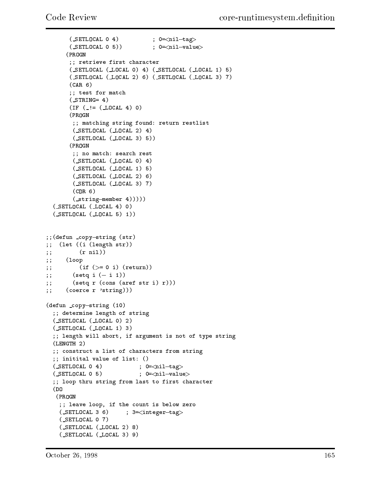```
(SETLOCAL 0 4); 0=<nil—tag>
       (SETLOCAL 0 5)); 0 = <nil-value>
      (PROGN
       ;; retrieve first character
       (SETLOCAL (LOCAL 0) 4) (SETLOCAL (LOCAL 1) 5)
       (SETLOCAL (LOCAL 2) 6) (SETLOCAL (LOCAL 3) 7)
       (CAR 6);; test for match
       (\text{STRING= } 4)(IF (-)= (LOCAL 4) 0)(PROGN
        ;; matching string found: return restlist
        ( SETLOCAL ( LOCAL 2) 4)( SETLOCAL ( LOCAL 3) 5))
       (PROGN
        ;; no match: search rest
        (SETLOCAL (LOCAL 0) 4)( SETLOCAL ( LOCAL 1) 5)( SETLOCAL ( LOCAL 2) 6)(SETLOCAL (LOCAL 3) 7)
        (CDR 6)(\_string\text{-member 4)})))( SETLOCAL ( LOCAL 4) 0)( SETLOCAL ( LOCAL 5) 1);; (defun _copy-string (str)
;; (let ((i (length str))
          (r \text{ nil}))\vdots(Іоор
\mathbf{1}(if (>= 0 i) (return))\vdots(setq i (-i 1));;(\verb|setq r\ (cons\ (aref\ str\ i)\ r)))\vdots;;(coerce r 'string)))
(defun _copy-string (10)
  ;; determine length of string
  (SETLOCAL (LOCAL 0) 2)( SETLOCAL ( LOCAL 1) 3);; length will abort, if argument is not of type string
  (LENGTH 2);; construct a list of characters from string
  ;; initital value of list: ()
  ( SETLOCAL 0 4)
                            ; 0=<nil-tag>
  (\text{SETLOCAL} \ 0 \ 5); 0=<nil—value>
  ;; loop thru string from last to first character
  (DO
   (PROGN
    ;; leave loop, if the count is below zero
    (\texttt{SETLOCAL} 3 6); 3=<integer-tag>
    (_SETLOCAL 0 7)
    (\texttt{SETLOCAL} (\texttt{LOCAL} 2) 8)( SETLOCAL ( LOCAL 3) 9)
```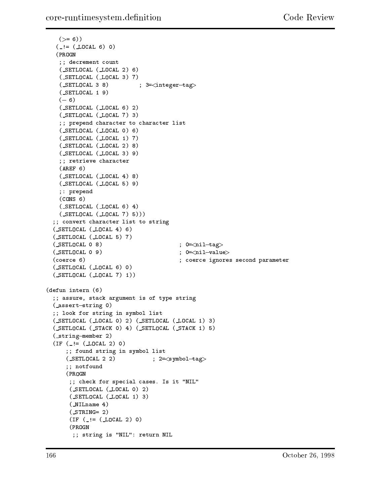```
(>= 6)( = ( \pm 0CAL 6) 0)
   (PROGN
    ;; decrement count
    (\text{SETLOCAL} (\text{LOCAL } 2) 6)(\text{SETLOCAL} (\text{LOCAL} 3) 7)(\texttt{\_SETLOCAL} 3 8) ; 3=\langle \texttt{integer-tag} \rangle(SETLOCAL 1 9)
    (-6)(_SETLOCAL( LOCAL6) 2)
    (_SETLOCAL(\text{\_}LOCAL7)3);; prepend character to character list
    (_SETLOCAL(LOCAL0)6)(\texttt{SETLOCAL} (\texttt{LOCAL} 1) 7)(\text{SETLOCAL} (\text{LOCAL} 2) 8)(\_SETLOCAL (\_LOCAL 3) 9)
    ;; retrieve character
    (AREF 6)(\text{SETLOCAL} (\text{LOCAL } 4) 8)( SETLOCAL ( LOCAL 5) 9); : prepend
    (CONS 6)(_SETLOCAL(LOCAL6)4)(\text{SETLOCAL} (\text{LOCAL } 7) 5)));; convert character list to string
  ( SETLOCAL ( LOCAL 4) 6)( SETLOCAL ( LOCAL 5) 7)( SETLOCAL 0 8)
                                           ; 0 = <nil-tag>
  ( SETLOCAL 0 9)
                                           ; 0 = <nil-value>
  (coerce 6); coerce ignores second parameter
  ( SETLOCAL ( LOCAL 6) 0)( SETLOCAL (LOCAL 7) 1)(defun intern (6)
  ;; assure, stack argument is of type string
  (_assert-string 0)
  ;; look for string in symbol list
  (SETLOCAL (LOCAL 0) 2) (SETLOCAL (LOCAL 1) 3)
  ( SETLOCAL ( STACK 0) 4) ( SETLOCAL ( STACK 1) 5)
  (\text{string}-member 2)
  (IF ()= (LOCAL 2) 0);; found string in symbol list
      (SETLOCAL 2 2); 2=<symbol-tag>;; notfound
      (PROGN
       ;; check for special cases. Is it "NIL"
       (\text{SETLOCAL} (\text{LOCAL} 0) 2)(SETLOCAL (LOCAL 1) 3)
       (MILname 4)
       (\text{STRING}= 2)(IF (-)= (LOCAL 2) 0)(PROGN
        ;; string is "NIL": return NIL
```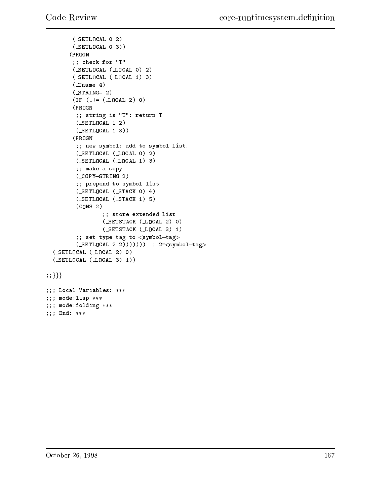```
; `tY-
Z-
6*PZ@nfoR>
                  ; `tY-
Z-
6*PZ@nfR>>
                (PROGN) ,/:-
-
,"H@!-
(*  Y 
                  \mathcal{L} . The contract is the contract of \mathcal{L} . The contract is the contract of \mathcal{L}\mathcal{L} . The contraction of the contraction of the contraction of \mathcal{L}\cdot Y-a and a line
                  (STRING=2);wg/WX;  ^; Z-
6P-
Z-o>un>
                  (FROGN)\ldots atojec is UTU, patupe T
                     \sim . The state of the state of the state of the state of the state of the state of the state of the state of the state of the state of the state of the state of the state of the state of the state of the state of the st
                     \cdot . The state is the state of the state of \sim \cdot . The state of \sim(FROGN~+-
{}5O8*1-
Q-
(4
$LE*hh@.-
(-5/8*1-
Q-
(4G4R *5/.%b
                     ; `t-
YZ6PZ|; Z-
6P-
Zfn>NoR>
                     ; `t-
YZ6PZ|; Z-
6P-
Z|?>NR>
                   ;; make a copy
                     ; 6 & `Y*[g"z-
Fso>
                     ~3*3-
*+h.-
(05/8*1-
Q-
(4V4 *5/.
                     \mathcal{F} . The following the function of \mathcal{F} is the function of \mathcal{F}\mathcal{F} . A substantially the contract of the contract of \mathcal{F}(CONS<sub>2</sub>)u5/.-
(*-
@*#.-
*+h-
h@4R *5/.
                                      \mathcal{F} . A set of the state \mathcal{F} and \mathcal{F} are the state of \mathcal{F} . As a set of the state of \mathcal{F}\mathcal{F} . The contract of the contract of \mathcal{F} 5.V.83-
G.-
E*9@.-
( -
5/81-
Q-
(4].-
E*9
                     \sim . The state of the state of the state of the state of the state of the state of the state of the state of the state of the state of the state of the state of the state of the state of the state of the state of the st
     ; `t-
Y-
Z -
6*P-
Zk; Z-
6PZqoR>Nn>
     ; `t-
Y-
Z -
6*P-
Zk; Z-
6PZqR>f?>>
;; \}Z-
(-
,E4G-
E* OE*Q-
45$ vvv
```
 1(h-J\$ 4R \*5/3kvvv  1(h-J\$d!-(4\*h w+9yvvv  $t;$ ; End: \*\*\*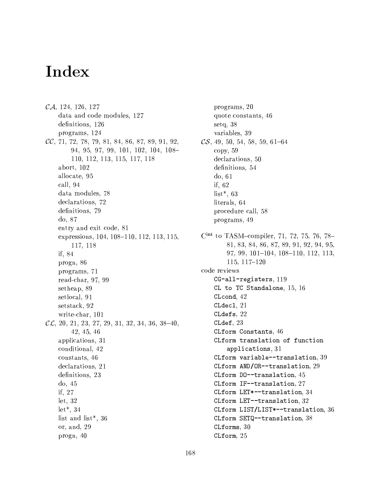# Index

 $CA, 124, 126, 127$ data and code modules, 127 definitions, 126 programs, 124  $\mathcal{CC}, 71, 72, 78, 79, 81, 84, 86, 87, 89, 91, 92,$ 94, 95, 97, 99, 101, 102, 104, 108-110, 112, 113, 115, 117, 118 abort, 102 allocate, 95 call, 94 data modules, 78 declarations, 72 definitions, 79 do, 87 entry and exit code, 81 expressions, 104, 108-110, 112, 113, 115, 117, 118 if,  $84$  $progn, 86$ programs, 71 read-char, 97, 99 setheap, 89 setlocal, 91 setstack, 92 write-char, 101  $\mathcal{CL}, 20, 21, 23, 27, 29, 31, 32, 34, 36, 38-40,$  $42, 45, 46$ applications, 31 conditional, 42 constants, 46 declarations, 21 definitions, 23  $do.45$ if, 27  $let, 32$  $let^*, 34$ list and list\*,  $36$ or, and, 29 progn, 40

programs, 20 quote constants, 46  $setq, 38$ variables, 39  $\mathcal{CS}, 49, 50, 54, 58, 59, 61-64$  $copy, 59$ declarations, 50 definitions, 54  $do, 61$ if,  $62$ list\*,  $63$ literals, 64 procedure call, 58 programs, 49  $C<sup>int</sup>$  to TASM-compiler, 71, 72, 75, 76, 78-81, 83, 84, 86, 87, 89, 91, 92, 94, 95,  $97, 99, 101-104, 108-110, 112, 113,$  $115, 117-120$ code reviews  $CG-all-registers, 119$ CL to TC Standalone, 15, 16 CLcond, 42  $CLdec1, 21$ CLdefs, 22 CLdef, 23 CLform Constants, 46 CLform translation of function  $applications, 31$ CLform variable--translation,  $39$ CLform AND/OR--translation, 29 CLform DO--translation, 45 CLform IF--translation, 27 CLform LET\*--translation, 34 CLform LET--translation,  $32$ CLform LIST/LIST\*--translation, 36 CLform SETQ--translation, 38 CLforms, 30 CLform,  $25$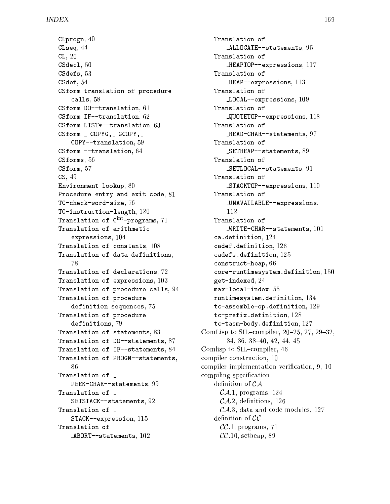CLprogn, 40 CLseq, 44  $CL, 20$  $CSdec1, 50$ CSdefs, 53  $CSdef, 54$ CSform translation of procedure calls,  $58$ CSform DO--translation, 61 CSform IF--translation, 62 CSform LIST\*--translation, 63  $CSform$  \_  $COPYG$ , \_  $GCDPY$ , \_  $COPY$ --translation,  $59$ CSform --translation, 64 CSforms, 56 CSform, 57  $CS, 49$ Environment lookup, 80 Procedure entry and exit code, 81 TC-check-word-size, 76 TC-instruction-length, 120 Translation of C<sup>int</sup>-programs, 71 Translation of arithmetic expressions, 104 Translation of constants, 108 Translation of data definitions, 78 Translation of declarations, 72 Translation of expressions, 103 Translation of procedure calls, 94 Translation of procedure definition sequences, 75 Translation of procedure definitions, 79 Translation of statements, 83 Translation of DO--statements, 87 Translation of IF--statements, 84 Translation of PROGN--statements, 86 Translation of \_ PEEK-CHAR--statements, 99 Translation of \_ SETSTACK--statements, 92 Translation of \_  $STACK$ --expression,  $115$ Translation of  $\text{\texttt{\_ABORT--statements}},\,102$ 

Translation of  $ALLOCATE--statements, 95$ Translation of HEAPTOP--expressions, 117 Translation of HEAP--expressions, 113 Translation of LOCAL--expressions, 109 Translation of \_QUOTETOP--expressions, 118 Translation of  $READ-CHAR--statements, 97$ Translation of  $\texttt{\_SETHEAP--statements}, 89$ Translation of SETLOCAL--statements, 91 Translation of \_STACKTOP--expressions, 110 Translation of \_UNAVAILABLE--expressions, 112 Translation of  $_NRITE-CHAR--statements, 101$ ca.definition, 124 cadef.definition, 126 cadefs.definition,  $125$ construct-heap, 66  $core$ -runtimesystem.definition,  $150$ get-indexed, 24  $max-local-index, 55$ runtimesystem.definition, 134 tc-assemble-op.definition, 129  $tc$ -prefix.definition,  $128$ tc-tasm-body.definition, 127 ComLisp to SIL-compiler, 20-25, 27, 29-32,  $34, 36, 38-40, 42, 44, 45$ Comlisp to SIL-compiler, 46 compiler construction, 10 compiler implementation verification, 9, 10 compiling specification definition of  $CA$  $CA.1$ , programs, 124  $CA.2$ , definitions, 126  $CA.3$ , data and code modules, 127 definition of  $\mathcal{CC}$  $\mathcal{CC}.1$ , programs, 71  $\mathcal{CC}.10$ , setheap, 89